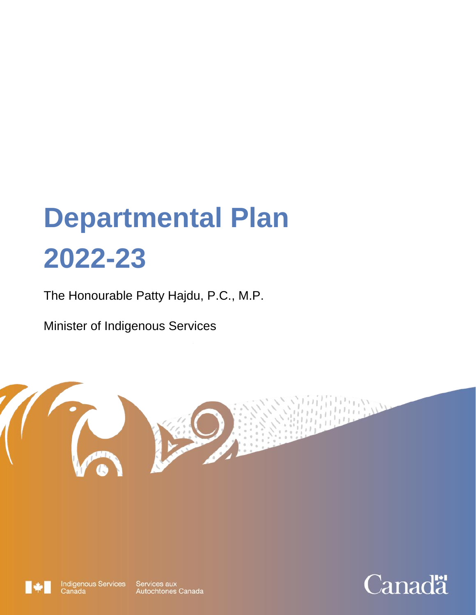# **Departmental Plan 2022-23**

The Honourable Patty Hajdu, P.C., M.P.

Minister of Indigenous Services





**Indigenous Services** Canada

Services aux Autochtones Canada

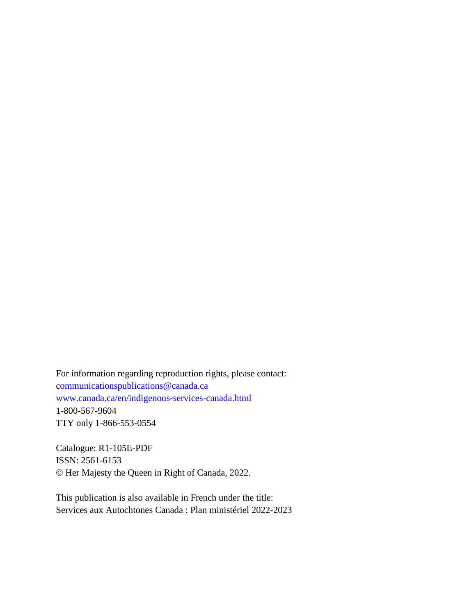For information regarding reproduction rights, please contact: [communicationspublications@canada.ca](mailto:communicationspublications@canada.ca)  [www.canada.ca/en/indigenous-services-canada.html](http://www.canada.ca/en/indigenous-services-canada.html) 1-800-567-9604 TTY only 1-866-553-0554

Catalogue: R1-105E-PDF ISSN: 2561-6153 © Her Majesty the Queen in Right of Canada, 2022.

This publication is also available in French under the title: Services aux Autochtones Canada : Plan ministériel 2022-2023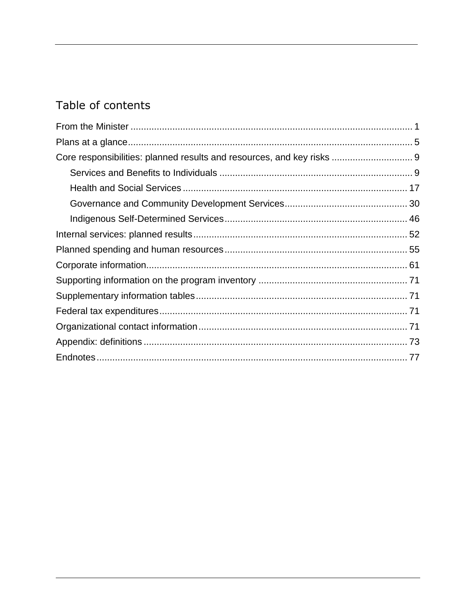# Table of contents

| Core responsibilities: planned results and resources, and key risks  9 |  |
|------------------------------------------------------------------------|--|
|                                                                        |  |
|                                                                        |  |
|                                                                        |  |
|                                                                        |  |
|                                                                        |  |
|                                                                        |  |
|                                                                        |  |
|                                                                        |  |
|                                                                        |  |
|                                                                        |  |
|                                                                        |  |
|                                                                        |  |
|                                                                        |  |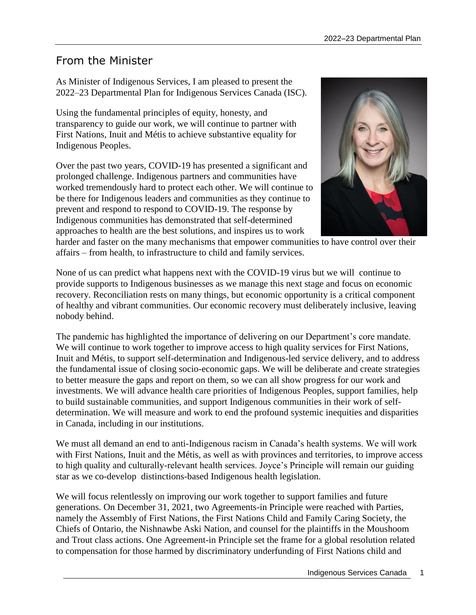# <span id="page-4-0"></span>From the Minister

As Minister of Indigenous Services, I am pleased to present the 2022–23 Departmental Plan for Indigenous Services Canada (ISC).

Using the fundamental principles of equity, honesty, and transparency to guide our work, we will continue to partner with First Nations, Inuit and Métis to achieve substantive equality for Indigenous Peoples.

Over the past two years, COVID-19 has presented a significant and prolonged challenge. Indigenous partners and communities have worked tremendously hard to protect each other. We will continue to be there for Indigenous leaders and communities as they continue to prevent and respond to respond to COVID-19. The response by Indigenous communities has demonstrated that self-determined approaches to health are the best solutions, and inspires us to work



harder and faster on the many mechanisms that empower communities to have control over their affairs – from health, to infrastructure to child and family services.

None of us can predict what happens next with the COVID-19 virus but we will continue to provide supports to Indigenous businesses as we manage this next stage and focus on economic recovery. Reconciliation rests on many things, but economic opportunity is a critical component of healthy and vibrant communities. Our economic recovery must deliberately inclusive, leaving nobody behind.

The pandemic has highlighted the importance of delivering on our Department's core mandate. We will continue to work together to improve access to high quality services for First Nations, Inuit and Métis, to support self-determination and Indigenous-led service delivery, and to address the fundamental issue of closing socio-economic gaps. We will be deliberate and create strategies to better measure the gaps and report on them, so we can all show progress for our work and investments. We will advance health care priorities of Indigenous Peoples, support families, help to build sustainable communities, and support Indigenous communities in their work of selfdetermination. We will measure and work to end the profound systemic inequities and disparities in Canada, including in our institutions.

We must all demand an end to anti-Indigenous racism in Canada's health systems. We will work with First Nations, Inuit and the Métis, as well as with provinces and territories, to improve access to high quality and culturally-relevant health services. Joyce's Principle will remain our guiding star as we co-develop distinctions-based Indigenous health legislation.

We will focus relentlessly on improving our work together to support families and future generations. On December 31, 2021, two Agreements-in Principle were reached with Parties, namely the Assembly of First Nations, the First Nations Child and Family Caring Society, the Chiefs of Ontario, the Nishnawbe Aski Nation, and counsel for the plaintiffs in the Moushoom and Trout class actions. One Agreement-in Principle set the frame for a global resolution related to compensation for those harmed by discriminatory underfunding of First Nations child and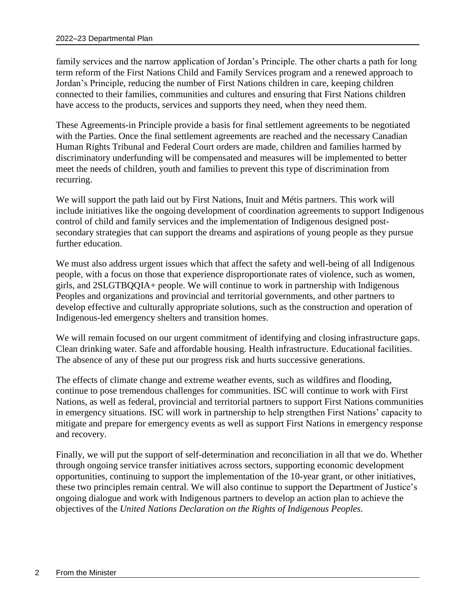family services and the narrow application of Jordan's Principle. The other charts a path for long term reform of the First Nations Child and Family Services program and a renewed approach to Jordan's Principle, reducing the number of First Nations children in care, keeping children connected to their families, communities and cultures and ensuring that First Nations children have access to the products, services and supports they need, when they need them.

These Agreements-in Principle provide a basis for final settlement agreements to be negotiated with the Parties. Once the final settlement agreements are reached and the necessary Canadian Human Rights Tribunal and Federal Court orders are made, children and families harmed by discriminatory underfunding will be compensated and measures will be implemented to better meet the needs of children, youth and families to prevent this type of discrimination from recurring.

We will support the path laid out by First Nations, Inuit and Métis partners. This work will include initiatives like the ongoing development of coordination agreements to support Indigenous control of child and family services and the implementation of Indigenous designed postsecondary strategies that can support the dreams and aspirations of young people as they pursue further education.

We must also address urgent issues which that affect the safety and well-being of all Indigenous people, with a focus on those that experience disproportionate rates of violence, such as women, girls, and 2SLGTBQQIA+ people. We will continue to work in partnership with Indigenous Peoples and organizations and provincial and territorial governments, and other partners to develop effective and culturally appropriate solutions, such as the construction and operation of Indigenous-led emergency shelters and transition homes.

We will remain focused on our urgent commitment of identifying and closing infrastructure gaps. Clean drinking water. Safe and affordable housing. Health infrastructure. Educational facilities. The absence of any of these put our progress risk and hurts successive generations.

The effects of climate change and extreme weather events, such as wildfires and flooding, continue to pose tremendous challenges for communities. ISC will continue to work with First Nations, as well as federal, provincial and territorial partners to support First Nations communities in emergency situations. ISC will work in partnership to help strengthen First Nations' capacity to mitigate and prepare for emergency events as well as support First Nations in emergency response and recovery.

Finally, we will put the support of self-determination and reconciliation in all that we do. Whether through ongoing service transfer initiatives across sectors, supporting economic development opportunities, continuing to support the implementation of the 10-year grant, or other initiatives, these two principles remain central. We will also continue to support the Department of Justice's ongoing dialogue and work with Indigenous partners to develop an action plan to achieve the objectives of the *United Nations Declaration on the Rights of Indigenous Peoples.*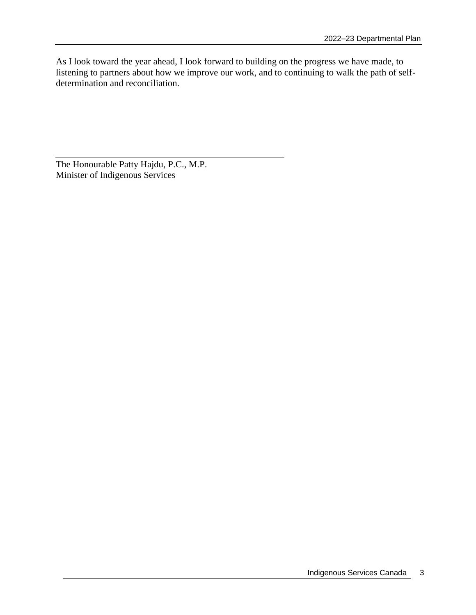As I look toward the year ahead, I look forward to building on the progress we have made, to listening to partners about how we improve our work, and to continuing to walk the path of selfdetermination and reconciliation.

The Honourable Patty Hajdu, P.C., M.P. Minister of Indigenous Services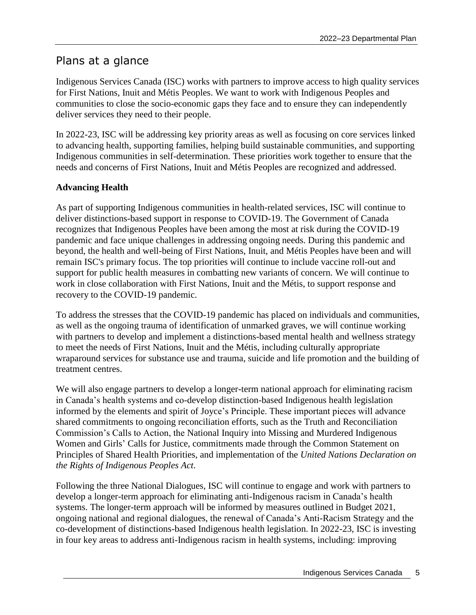# <span id="page-8-0"></span>Plans at a glance

Indigenous Services Canada (ISC) works with partners to improve access to high quality services for First Nations, Inuit and Métis Peoples. We want to work with Indigenous Peoples and communities to close the socio-economic gaps they face and to ensure they can independently deliver services they need to their people.

In 2022-23, ISC will be addressing key priority areas as well as focusing on core services linked to advancing health, supporting families, helping build sustainable communities, and supporting Indigenous communities in self-determination. These priorities work together to ensure that the needs and concerns of First Nations, Inuit and Métis Peoples are recognized and addressed.

## **Advancing Health**

As part of supporting Indigenous communities in health-related services, ISC will continue to deliver distinctions-based support in response to COVID-19. The Government of Canada recognizes that Indigenous Peoples have been among the most at risk during the COVID-19 pandemic and face unique challenges in addressing ongoing needs. During this pandemic and beyond, the health and well-being of First Nations, Inuit, and Métis Peoples have been and will remain ISC's primary focus. The top priorities will continue to include vaccine roll-out and support for public health measures in combatting new variants of concern. We will continue to work in close collaboration with First Nations, Inuit and the Métis, to support response and recovery to the COVID-19 pandemic.

To address the stresses that the COVID-19 pandemic has placed on individuals and communities, as well as the ongoing trauma of identification of unmarked graves, we will continue working with partners to develop and implement a distinctions-based mental health and wellness strategy to meet the needs of First Nations, Inuit and the Métis, including culturally appropriate wraparound services for substance use and trauma, suicide and life promotion and the building of treatment centres.

We will also engage partners to develop a longer-term national approach for eliminating racism in Canada's health systems and co-develop distinction-based Indigenous health legislation informed by the elements and spirit of Joyce's Principle. These important pieces will advance shared commitments to ongoing reconciliation efforts, such as the Truth and Reconciliation Commission's Calls to Action, the National Inquiry into Missing and Murdered Indigenous Women and Girls' Calls for Justice, commitments made through the Common Statement on Principles of Shared Health Priorities, and implementation of the *United Nations Declaration on the Rights of Indigenous Peoples Act*.

Following the three National Dialogues, ISC will continue to engage and work with partners to develop a longer-term approach for eliminating anti-Indigenous racism in Canada's health systems. The longer-term approach will be informed by measures outlined in Budget 2021, ongoing national and regional dialogues, the renewal of Canada's Anti-Racism Strategy and the co-development of distinctions-based Indigenous health legislation. In 2022-23, ISC is investing in four key areas to address anti-Indigenous racism in health systems, including: improving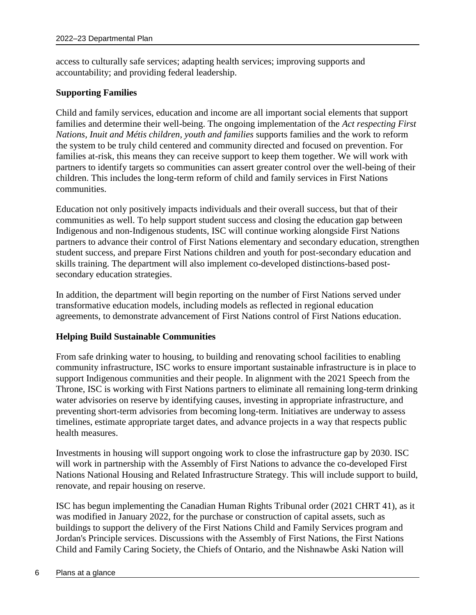access to culturally safe services; adapting health services; improving supports and accountability; and providing federal leadership.

#### **Supporting Families**

Child and family services, education and income are all important social elements that support families and determine their well-being. The ongoing implementation of the *Act respecting First Nations, Inuit and Métis children, youth and families* supports families and the work to reform the system to be truly child centered and community directed and focused on prevention. For families at-risk, this means they can receive support to keep them together. We will work with partners to identify targets so communities can assert greater control over the well-being of their children. This includes the long-term reform of child and family services in First Nations communities.

Education not only positively impacts individuals and their overall success, but that of their communities as well. To help support student success and closing the education gap between Indigenous and non-Indigenous students, ISC will continue working alongside First Nations partners to advance their control of First Nations elementary and secondary education, strengthen student success, and prepare First Nations children and youth for post-secondary education and skills training. The department will also implement co-developed distinctions-based postsecondary education strategies.

In addition, the department will begin reporting on the number of First Nations served under transformative education models, including models as reflected in regional education agreements, to demonstrate advancement of First Nations control of First Nations education.

#### **Helping Build Sustainable Communities**

From safe drinking water to housing, to building and renovating school facilities to enabling community infrastructure, ISC works to ensure important sustainable infrastructure is in place to support Indigenous communities and their people. In alignment with the 2021 Speech from the Throne, ISC is working with First Nations partners to eliminate all remaining long-term drinking water advisories on reserve by identifying causes, investing in appropriate infrastructure, and preventing short-term advisories from becoming long-term. Initiatives are underway to assess timelines, estimate appropriate target dates, and advance projects in a way that respects public health measures.

Investments in housing will support ongoing work to close the infrastructure gap by 2030. ISC will work in partnership with the Assembly of First Nations to advance the co-developed First Nations National Housing and Related Infrastructure Strategy. This will include support to build, renovate, and repair housing on reserve.

ISC has begun implementing the Canadian Human Rights Tribunal order (2021 CHRT 41), as it was modified in January 2022, for the purchase or construction of capital assets, such as buildings to support the delivery of the First Nations Child and Family Services program and Jordan's Principle services. Discussions with the Assembly of First Nations, the First Nations Child and Family Caring Society, the Chiefs of Ontario, and the Nishnawbe Aski Nation will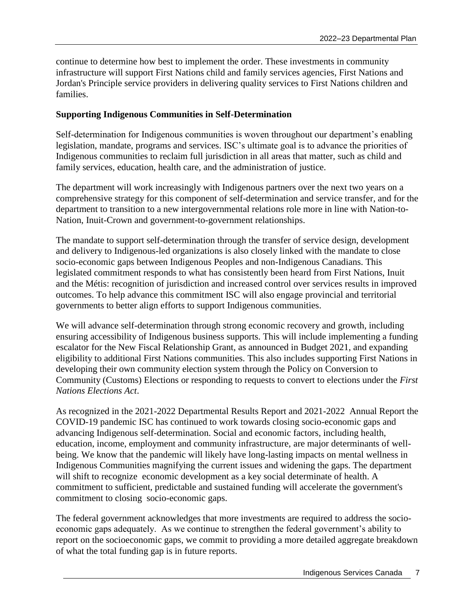continue to determine how best to implement the order. These investments in community infrastructure will support First Nations child and family services agencies, First Nations and Jordan's Principle service providers in delivering quality services to First Nations children and families.

#### **Supporting Indigenous Communities in Self-Determination**

Self-determination for Indigenous communities is woven throughout our department's enabling legislation, mandate, programs and services. ISC's ultimate goal is to advance the priorities of Indigenous communities to reclaim full jurisdiction in all areas that matter, such as child and family services, education, health care, and the administration of justice.

The department will work increasingly with Indigenous partners over the next two years on a comprehensive strategy for this component of self-determination and service transfer, and for the department to transition to a new intergovernmental relations role more in line with Nation-to-Nation, Inuit-Crown and government-to-government relationships.

The mandate to support self-determination through the transfer of service design, development and delivery to Indigenous-led organizations is also closely linked with the mandate to close socio-economic gaps between Indigenous Peoples and non-Indigenous Canadians. This legislated commitment responds to what has consistently been heard from First Nations, Inuit and the Métis: recognition of jurisdiction and increased control over services results in improved outcomes. To help advance this commitment ISC will also engage provincial and territorial governments to better align efforts to support Indigenous communities.

We will advance self-determination through strong economic recovery and growth, including ensuring accessibility of Indigenous business supports. This will include implementing a funding escalator for the New Fiscal Relationship Grant, as announced in Budget 2021, and expanding eligibility to additional First Nations communities. This also includes supporting First Nations in developing their own community election system through the Policy on Conversion to Community (Customs) Elections or responding to requests to convert to elections under the *First Nations Elections Act*.

As recognized in the 2021-2022 Departmental Results Report and 2021-2022 Annual Report the COVID-19 pandemic ISC has continued to work towards closing socio-economic gaps and advancing Indigenous self-determination. Social and economic factors, including health, education, income, employment and community infrastructure, are major determinants of wellbeing. We know that the pandemic will likely have long-lasting impacts on mental wellness in Indigenous Communities magnifying the current issues and widening the gaps. The department will shift to recognize economic development as a key social determinate of health. A commitment to sufficient, predictable and sustained funding will accelerate the government's commitment to closing socio-economic gaps.

The federal government acknowledges that more investments are required to address the socioeconomic gaps adequately. As we continue to strengthen the federal government's ability to report on the socioeconomic gaps, we commit to providing a more detailed aggregate breakdown of what the total funding gap is in future reports.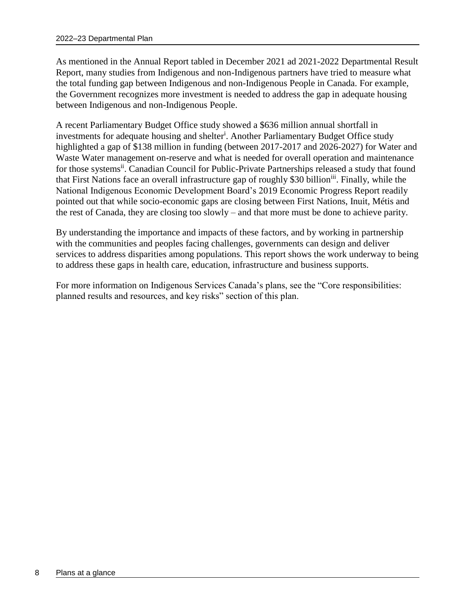As mentioned in the Annual Report tabled in December 2021 ad 2021-2022 Departmental Result Report, many studies from Indigenous and non-Indigenous partners have tried to measure what the total funding gap between Indigenous and non-Indigenous People in Canada. For example, the Government recognizes more investment is needed to address the gap in adequate housing between Indigenous and non-Indigenous People.

A recent Parliamentary Budget Office study showed a \$636 million annual shortfall in investments for adequate housing and shelter<sup>i</sup>. Another Parliamentary Budget Office study highlighted a gap of \$138 million in funding (between 2017-2017 and 2026-2027) for Water and Waste Water management on-reserve and what is needed for overall operation and maintenance for those systems<sup>ii</sup>. Canadian Council for Public-Private Partnerships released a study that found that First Nations face an overall infrastructure gap of roughly \$30 billion<sup>iii</sup>. Finally, while the National Indigenous Economic Development Board's 2019 Economic Progress Report readily pointed out that while socio-economic gaps are closing between First Nations, Inuit, Métis and the rest of Canada, they are closing too slowly – and that more must be done to achieve parity.

By understanding the importance and impacts of these factors, and by working in partnership with the communities and peoples facing challenges, governments can design and deliver services to address disparities among populations. This report shows the work underway to being to address these gaps in health care, education, infrastructure and business supports.

For more information on Indigenous Services Canada's plans, see the "Core responsibilities: planned results and resources, and key risks" section of this plan.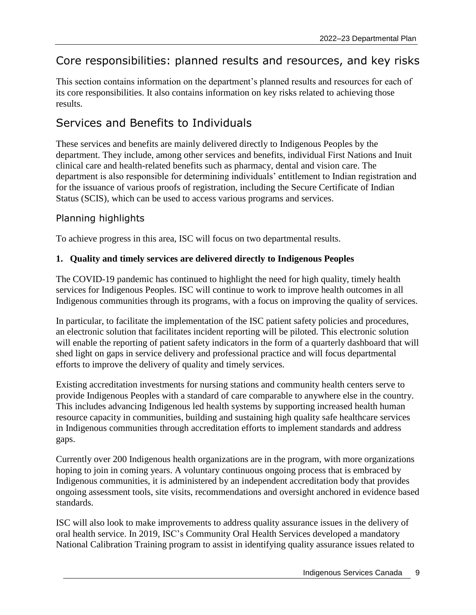# <span id="page-12-0"></span>Core responsibilities: planned results and resources, and key risks

This section contains information on the department's planned results and resources for each of its core responsibilities. It also contains information on key risks related to achieving those results.

# <span id="page-12-1"></span>Services and Benefits to Individuals

These services and benefits are mainly delivered directly to Indigenous Peoples by the department. They include, among other services and benefits, individual First Nations and Inuit clinical care and health-related benefits such as pharmacy, dental and vision care. The department is also responsible for determining individuals' entitlement to Indian registration and for the issuance of various proofs of registration, including the Secure Certificate of Indian Status (SCIS), which can be used to access various programs and services.

# Planning highlights

To achieve progress in this area, ISC will focus on two departmental results.

## **1. Quality and timely services are delivered directly to Indigenous Peoples**

The COVID-19 pandemic has continued to highlight the need for high quality, timely health services for Indigenous Peoples. ISC will continue to work to improve health outcomes in all Indigenous communities through its programs, with a focus on improving the quality of services.

In particular, to facilitate the implementation of the ISC patient safety policies and procedures, an electronic solution that facilitates incident reporting will be piloted. This electronic solution will enable the reporting of patient safety indicators in the form of a quarterly dashboard that will shed light on gaps in service delivery and professional practice and will focus departmental efforts to improve the delivery of quality and timely services.

Existing accreditation investments for nursing stations and community health centers serve to provide Indigenous Peoples with a standard of care comparable to anywhere else in the country. This includes advancing Indigenous led health systems by supporting increased health human resource capacity in communities, building and sustaining high quality safe healthcare services in Indigenous communities through accreditation efforts to implement standards and address gaps.

Currently over 200 Indigenous health organizations are in the program, with more organizations hoping to join in coming years. A voluntary continuous ongoing process that is embraced by Indigenous communities, it is administered by an independent accreditation body that provides ongoing assessment tools, site visits, recommendations and oversight anchored in evidence based standards.

ISC will also look to make improvements to address quality assurance issues in the delivery of oral health service. In 2019, ISC's Community Oral Health Services developed a mandatory National Calibration Training program to assist in identifying quality assurance issues related to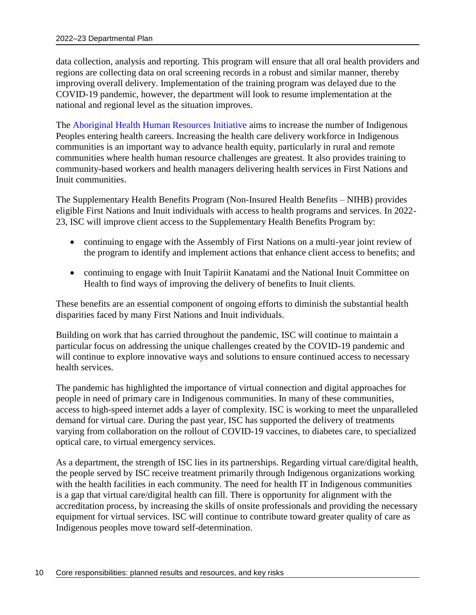data collection, analysis and reporting. This program will ensure that all oral health providers and regions are collecting data on oral screening records in a robust and similar manner, thereby improving overall delivery. Implementation of the training program was delayed due to the COVID-19 pandemic, however, the department will look to resume implementation at the national and regional level as the situation improves.

The [Aboriginal Health Human Resources Initiative](https://www.apcfnc.ca/health/the-aboriginal-health-human-resource-initiative/#:~:text=The%20Aboriginal%20Health%20Human%20Resources%20Initiative%20%28AHHRI%29%20seeks,bursaries%20for%20Indigenous%20students%20pursuing%20post-secondary%20health%20education.) aims to increase the number of Indigenous Peoples entering health careers. Increasing the health care delivery workforce in Indigenous communities is an important way to advance health equity, particularly in rural and remote communities where health human resource challenges are greatest. It also provides training to community-based workers and health managers delivering health services in First Nations and Inuit communities.

The Supplementary Health Benefits Program (Non-Insured Health Benefits – NIHB) provides eligible First Nations and Inuit individuals with access to health programs and services. In 2022- 23, ISC will improve client access to the Supplementary Health Benefits Program by:

- continuing to engage with the Assembly of First Nations on a multi-year joint review of the program to identify and implement actions that enhance client access to benefits; and
- continuing to engage with Inuit Tapiriit Kanatami and the National Inuit Committee on Health to find ways of improving the delivery of benefits to Inuit clients.

These benefits are an essential component of ongoing efforts to diminish the substantial health disparities faced by many First Nations and Inuit individuals.

Building on work that has carried throughout the pandemic, ISC will continue to maintain a particular focus on addressing the unique challenges created by the COVID-19 pandemic and will continue to explore innovative ways and solutions to ensure continued access to necessary health services.

The pandemic has highlighted the importance of virtual connection and digital approaches for people in need of primary care in Indigenous communities. In many of these communities, access to high-speed internet adds a layer of complexity. ISC is working to meet the unparalleled demand for virtual care. During the past year, ISC has supported the delivery of treatments varying from collaboration on the rollout of COVID-19 vaccines, to diabetes care, to specialized optical care, to virtual emergency services.

As a department, the strength of ISC lies in its partnerships. Regarding virtual care/digital health, the people served by ISC receive treatment primarily through Indigenous organizations working with the health facilities in each community. The need for health IT in Indigenous communities is a gap that virtual care/digital health can fill. There is opportunity for alignment with the accreditation process, by increasing the skills of onsite professionals and providing the necessary equipment for virtual services. ISC will continue to contribute toward greater quality of care as Indigenous peoples move toward self-determination.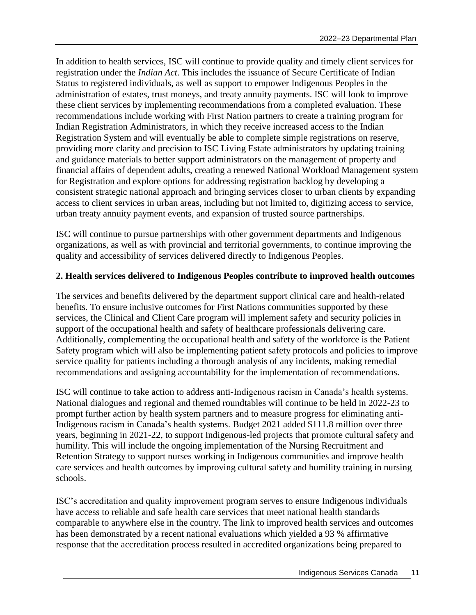In addition to health services, ISC will continue to provide quality and timely client services for registration under the *Indian Act*. This includes the issuance of Secure Certificate of Indian Status to registered individuals, as well as support to empower Indigenous Peoples in the administration of estates, trust moneys, and treaty annuity payments. ISC will look to improve these client services by implementing recommendations from a completed evaluation. These recommendations include working with First Nation partners to create a training program for Indian Registration Administrators, in which they receive increased access to the Indian Registration System and will eventually be able to complete simple registrations on reserve, providing more clarity and precision to ISC Living Estate administrators by updating training and guidance materials to better support administrators on the management of property and financial affairs of dependent adults, creating a renewed National Workload Management system for Registration and explore options for addressing registration backlog by developing a consistent strategic national approach and bringing services closer to urban clients by expanding access to client services in urban areas, including but not limited to, digitizing access to service, urban treaty annuity payment events, and expansion of trusted source partnerships.

ISC will continue to pursue partnerships with other government departments and Indigenous organizations, as well as with provincial and territorial governments, to continue improving the quality and accessibility of services delivered directly to Indigenous Peoples.

#### **2. Health services delivered to Indigenous Peoples contribute to improved health outcomes**

The services and benefits delivered by the department support clinical care and health-related benefits. To ensure inclusive outcomes for First Nations communities supported by these services, the Clinical and Client Care program will implement safety and security policies in support of the occupational health and safety of healthcare professionals delivering care. Additionally, complementing the occupational health and safety of the workforce is the Patient Safety program which will also be implementing patient safety protocols and policies to improve service quality for patients including a thorough analysis of any incidents, making remedial recommendations and assigning accountability for the implementation of recommendations.

ISC will continue to take action to address anti-Indigenous racism in Canada's health systems. National dialogues and regional and themed roundtables will continue to be held in 2022-23 to prompt further action by health system partners and to measure progress for eliminating anti-Indigenous racism in Canada's health systems. Budget 2021 added \$111.8 million over three years, beginning in 2021-22, to support Indigenous-led projects that promote cultural safety and humility. This will include the ongoing implementation of the Nursing Recruitment and Retention Strategy to support nurses working in Indigenous communities and improve health care services and health outcomes by improving cultural safety and humility training in nursing schools.

ISC's accreditation and quality improvement program serves to ensure Indigenous individuals have access to reliable and safe health care services that meet national health standards comparable to anywhere else in the country. The link to improved health services and outcomes has been demonstrated by a recent national evaluations which yielded a 93 % affirmative response that the accreditation process resulted in accredited organizations being prepared to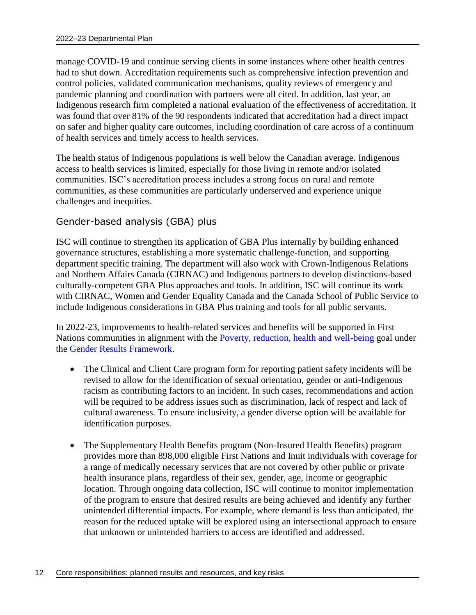manage COVID-19 and continue serving clients in some instances where other health centres had to shut down. Accreditation requirements such as comprehensive infection prevention and control policies, validated communication mechanisms, quality reviews of emergency and pandemic planning and coordination with partners were all cited. In addition, last year, an Indigenous research firm completed a national evaluation of the effectiveness of accreditation. It was found that over 81% of the 90 respondents indicated that accreditation had a direct impact on safer and higher quality care outcomes, including coordination of care across of a continuum of health services and timely access to health services.

The health status of Indigenous populations is well below the Canadian average. Indigenous access to health services is limited, especially for those living in remote and/or isolated communities. ISC's accreditation process includes a strong focus on rural and remote communities, as these communities are particularly underserved and experience unique challenges and inequities.

# Gender-based analysis (GBA) plus

ISC will continue to strengthen its application of GBA Plus internally by building enhanced governance structures, establishing a more systematic challenge-function, and supporting department specific training. The department will also work with Crown-Indigenous Relations and Northern Affairs Canada (CIRNAC) and Indigenous partners to develop distinctions-based culturally-competent GBA Plus approaches and tools. In addition, ISC will continue its work with CIRNAC, Women and Gender Equality Canada and the Canada School of Public Service to include Indigenous considerations in GBA Plus training and tools for all public servants.

In 2022-23, improvements to health-related services and benefits will be supported in First Nations communities in alignment with the [Poverty, reduction, health and well-being](https://women-gender-equality.canada.ca/en/gender-results-framework/poverty-reduction-health-well-being.html) goal under the [Gender Results Framework.](https://women-gender-equality.canada.ca/en/gender-results-framework.html)

- The Clinical and Client Care program form for reporting patient safety incidents will be revised to allow for the identification of sexual orientation, gender or anti-Indigenous racism as contributing factors to an incident. In such cases, recommendations and action will be required to be address issues such as discrimination, lack of respect and lack of cultural awareness. To ensure inclusivity, a gender diverse option will be available for identification purposes.
- The Supplementary Health Benefits program (Non-Insured Health Benefits) program provides more than 898,000 eligible First Nations and Inuit individuals with coverage for a range of medically necessary services that are not covered by other public or private health insurance plans, regardless of their sex, gender, age, income or geographic location. Through ongoing data collection, ISC will continue to monitor implementation of the program to ensure that desired results are being achieved and identify any further unintended differential impacts. For example, where demand is less than anticipated, the reason for the reduced uptake will be explored using an intersectional approach to ensure that unknown or unintended barriers to access are identified and addressed.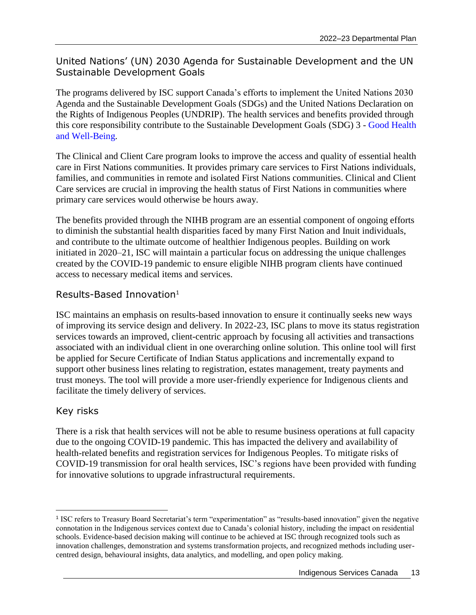# United Nations' (UN) 2030 Agenda for Sustainable Development and the UN Sustainable Development Goals

The programs delivered by ISC support Canada's efforts to implement the United Nations 2030 Agenda and the Sustainable Development Goals (SDGs) and the United Nations Declaration on the Rights of Indigenous Peoples (UNDRIP). The health services and benefits provided through this core responsibility contribute to the Sustainable Development Goals (SDG) 3 - [Good Health](https://sdgs.un.org/goals/goal3)  [and Well-Being.](https://sdgs.un.org/goals/goal3)

The Clinical and Client Care program looks to improve the access and quality of essential health care in First Nations communities. It provides primary care services to First Nations individuals, families, and communities in remote and isolated First Nations communities. Clinical and Client Care services are crucial in improving the health status of First Nations in communities where primary care services would otherwise be hours away.

The benefits provided through the NIHB program are an essential component of ongoing efforts to diminish the substantial health disparities faced by many First Nation and Inuit individuals, and contribute to the ultimate outcome of healthier Indigenous peoples. Building on work initiated in 2020–21, ISC will maintain a particular focus on addressing the unique challenges created by the COVID-19 pandemic to ensure eligible NIHB program clients have continued access to necessary medical items and services.

# Results-Based Innovation<sup>1</sup>

ISC maintains an emphasis on results-based innovation to ensure it continually seeks new ways of improving its service design and delivery. In 2022-23, ISC plans to move its status registration services towards an improved, client-centric approach by focusing all activities and transactions associated with an individual client in one overarching online solution. This online tool will first be applied for Secure Certificate of Indian Status applications and incrementally expand to support other business lines relating to registration, estates management, treaty payments and trust moneys. The tool will provide a more user-friendly experience for Indigenous clients and facilitate the timely delivery of services.

# Key risks

There is a risk that health services will not be able to resume business operations at full capacity due to the ongoing COVID-19 pandemic. This has impacted the delivery and availability of health-related benefits and registration services for Indigenous Peoples. To mitigate risks of COVID-19 transmission for oral health services, ISC's regions have been provided with funding for innovative solutions to upgrade infrastructural requirements.

 $\overline{a}$ 1 ISC refers to Treasury Board Secretariat's term "experimentation" as "results-based innovation" given the negative connotation in the Indigenous services context due to Canada's colonial history, including the impact on residential schools. Evidence-based decision making will continue to be achieved at ISC through recognized tools such as innovation challenges, demonstration and systems transformation projects, and recognized methods including usercentred design, behavioural insights, data analytics, and modelling, and open policy making.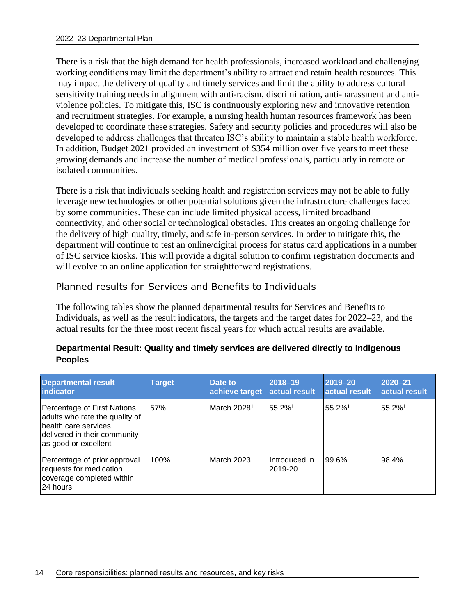There is a risk that the high demand for health professionals, increased workload and challenging working conditions may limit the department's ability to attract and retain health resources. This may impact the delivery of quality and timely services and limit the ability to address cultural sensitivity training needs in alignment with anti-racism, discrimination, anti-harassment and antiviolence policies. To mitigate this, ISC is continuously exploring new and innovative retention and recruitment strategies. For example, a nursing health human resources framework has been developed to coordinate these strategies. Safety and security policies and procedures will also be developed to address challenges that threaten ISC's ability to maintain a stable health workforce. In addition, Budget 2021 provided an investment of \$354 million over five years to meet these growing demands and increase the number of medical professionals, particularly in remote or isolated communities.

There is a risk that individuals seeking health and registration services may not be able to fully leverage new technologies or other potential solutions given the infrastructure challenges faced by some communities. These can include limited physical access, limited broadband connectivity, and other social or technological obstacles. This creates an ongoing challenge for the delivery of high quality, timely, and safe in-person services. In order to mitigate this, the department will continue to test an online/digital process for status card applications in a number of ISC service kiosks. This will provide a digital solution to confirm registration documents and will evolve to an online application for straightforward registrations.

## Planned results for Services and Benefits to Individuals

The following tables show the planned departmental results for Services and Benefits to Individuals, as well as the result indicators, the targets and the target dates for 2022–23, and the actual results for the three most recent fiscal years for which actual results are available.

#### **Departmental Result: Quality and timely services are delivered directly to Indigenous Peoples**

| <b>Departmental result</b><br>indicator                                                                                                       | <b>Target</b> | Date to<br>achieve target | 2018-19<br>actual result | 2019-20<br>actual result | 2020-21<br>actual result |
|-----------------------------------------------------------------------------------------------------------------------------------------------|---------------|---------------------------|--------------------------|--------------------------|--------------------------|
| Percentage of First Nations<br>adults who rate the quality of<br>health care services<br>delivered in their community<br>as good or excellent | 57%           | March 2028 <sup>1</sup>   | 55.2%1                   | 55.2%1                   | 55.2%1                   |
| Percentage of prior approval<br>requests for medication<br>coverage completed within<br>24 hours                                              | 100%          | March 2023                | Introduced in<br>2019-20 | 99.6%                    | 98.4%                    |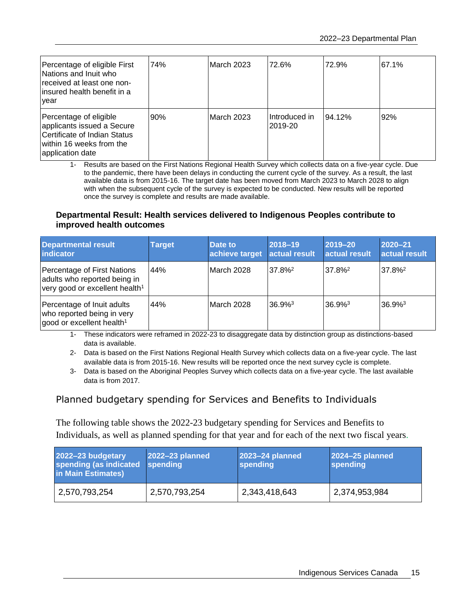| Percentage of eligible First<br>Nations and Inuit who<br>received at least one non-<br>linsured health benefit in a<br>year          | 74% | March 2023 | 72.6%                    | 72.9%  | 67.1% |
|--------------------------------------------------------------------------------------------------------------------------------------|-----|------------|--------------------------|--------|-------|
| Percentage of eligible<br>applicants issued a Secure<br>Certificate of Indian Status<br>within 16 weeks from the<br>application date | 90% | March 2023 | Introduced in<br>2019-20 | 94.12% | 92%   |

1- Results are based on the First Nations Regional Health Survey which collects data on a five-year cycle. Due to the pandemic, there have been delays in conducting the current cycle of the survey. As a result, the last available data is from 2015-16. The target date has been moved from March 2023 to March 2028 to align with when the subsequent cycle of the survey is expected to be conducted. New results will be reported once the survey is complete and results are made available.

#### **Departmental Result: Health services delivered to Indigenous Peoples contribute to improved health outcomes**

| <b>Departmental result</b><br>indicator                                                                   | <b>Target</b> | Date to<br>achieve target | 2018-19<br>actual result | $ 2019 - 20 $<br>actual result | $2020 - 21$<br>actual result |
|-----------------------------------------------------------------------------------------------------------|---------------|---------------------------|--------------------------|--------------------------------|------------------------------|
| Percentage of First Nations<br>adults who reported being in<br>very good or excellent health <sup>1</sup> | 44%           | March 2028                | $37.8\%^2$               | 37.8% <sup>2</sup>             | 37.8% <sup>2</sup>           |
| Percentage of Inuit adults<br>who reported being in very<br>good or excellent health <sup>1</sup>         | 44%           | March 2028                | $36.9%^{3}$              | 36.9% <sup>3</sup>             | $36.9%^{3}$                  |

1- These indicators were reframed in 2022-23 to disaggregate data by distinction group as distinctions-based data is available.

2- Data is based on the First Nations Regional Health Survey which collects data on a five-year cycle. The last available data is from 2015-16. New results will be reported once the next survey cycle is complete.

3- Data is based on the Aboriginal Peoples Survey which collects data on a five-year cycle. The last available data is from 2017.

# Planned budgetary spending for Services and Benefits to Individuals

The following table shows the 2022-23 budgetary spending for Services and Benefits to Individuals, as well as planned spending for that year and for each of the next two fiscal years.

| 2022-23 budgetary<br>spending (as indicated<br>in Main Estimates) | 2022-23 planned<br>spending | 2023-24 planned<br>spending | 2024-25 planned<br>spending |
|-------------------------------------------------------------------|-----------------------------|-----------------------------|-----------------------------|
| 2,570,793,254                                                     | 2,570,793,254               | 2,343,418,643               | 2,374,953,984               |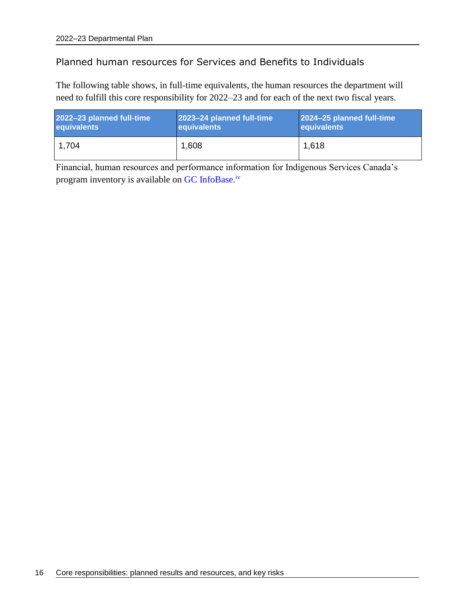# Planned human resources for Services and Benefits to Individuals

The following table shows, in full-time equivalents, the human resources the department will need to fulfill this core responsibility for 2022–23 and for each of the next two fiscal years.

| 2022-23 planned full-time | 2023-24 planned full-time | 2024-25 planned full-time |
|---------------------------|---------------------------|---------------------------|
| equivalents               | equivalents               | <b>equivalents</b>        |
| 1.704                     | 1,608                     | 1,618                     |

Financial, human resources and performance information for Indigenous Services Canada's program inventory is available on [GC InfoBase.](https://www.tbs-sct.gc.ca/ems-sgd/edb-bdd/index-eng.html#infographic/dept/348/intro)<sup>iv</sup>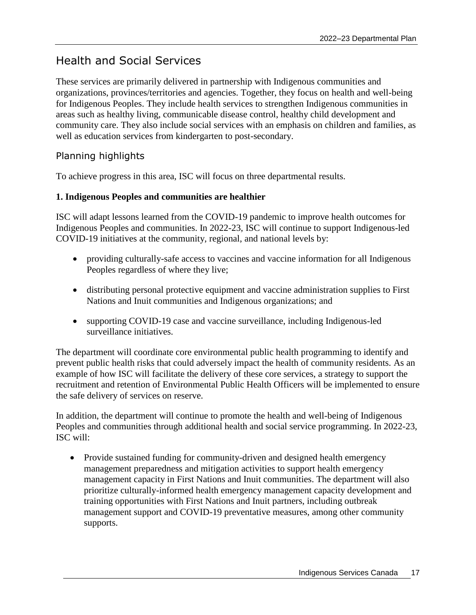# <span id="page-20-0"></span>Health and Social Services

These services are primarily delivered in partnership with Indigenous communities and organizations, provinces/territories and agencies. Together, they focus on health and well-being for Indigenous Peoples. They include health services to strengthen Indigenous communities in areas such as healthy living, communicable disease control, healthy child development and community care. They also include social services with an emphasis on children and families, as well as education services from kindergarten to post-secondary.

# Planning highlights

To achieve progress in this area, ISC will focus on three departmental results.

#### **1. Indigenous Peoples and communities are healthier**

ISC will adapt lessons learned from the COVID-19 pandemic to improve health outcomes for Indigenous Peoples and communities. In 2022-23, ISC will continue to support Indigenous-led [COVID-19 initiatives](https://www.sac-isc.gc.ca/eng/1602703831334/1602703863331) at the community, regional, and national levels by:

- providing culturally-safe access to vaccines and vaccine information for all Indigenous Peoples regardless of where they live;
- distributing personal protective equipment and vaccine administration supplies to First Nations and Inuit communities and Indigenous organizations; and
- supporting COVID-19 case and vaccine surveillance, including Indigenous-led surveillance initiatives.

The department will coordinate core environmental public health programming to identify and prevent public health risks that could adversely impact the health of community residents. As an example of how ISC will facilitate the delivery of these core services, a strategy to support the recruitment and retention of Environmental Public Health Officers will be implemented to ensure the safe delivery of services on reserve.

In addition, the department will continue to promote the health and well-being of Indigenous Peoples and communities through additional health and social service programming. In 2022-23, ISC will:

• Provide sustained funding for community-driven and designed health emergency management preparedness and mitigation activities to support health emergency management capacity in First Nations and Inuit communities. The department will also prioritize culturally-informed health emergency management capacity development and training opportunities with First Nations and Inuit partners, including outbreak management support and COVID-19 preventative measures, among other community supports.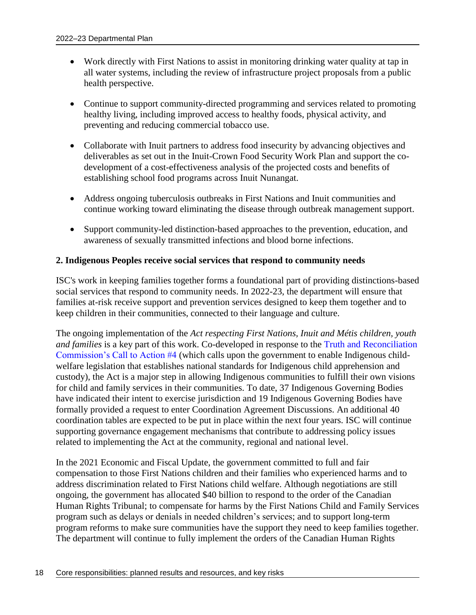- Work directly with First Nations to assist in monitoring drinking water quality at tap in all water systems, including the review of infrastructure project proposals from a public health perspective.
- Continue to support community-directed programming and services related to promoting healthy living, including improved access to healthy foods, physical activity, and preventing and reducing commercial tobacco use.
- Collaborate with Inuit partners to address food insecurity by advancing objectives and deliverables as set out in the Inuit-Crown Food Security Work Plan and support the codevelopment of a cost-effectiveness analysis of the projected costs and benefits of establishing school food programs across Inuit Nunangat.
- Address ongoing tuberculosis outbreaks in First Nations and Inuit communities and continue working toward eliminating the disease through outbreak management support.
- Support community-led distinction-based approaches to the prevention, education, and awareness of sexually transmitted infections and blood borne infections.

#### **2. Indigenous Peoples receive social services that respond to community needs**

ISC's work in keeping families together forms a foundational part of providing distinctions-based social services that respond to community needs. In 2022-23, the department will ensure that families at-risk receive support and prevention services designed to keep them together and to keep children in their communities, connected to their language and culture.

The ongoing implementation of the *Act respecting First Nations, Inuit and Métis children, youth and families* is a key part of this work. Co-developed in response to the [Truth and Reconciliation](https://www.rcaanc-cirnac.gc.ca/eng/1524494379788/1557513026413)  [Commission's Call to Action #4](https://www.rcaanc-cirnac.gc.ca/eng/1524494379788/1557513026413) (which calls upon the government to enable Indigenous childwelfare legislation that establishes national standards for Indigenous child apprehension and custody), the Act is a major step in allowing Indigenous communities to fulfill their own visions for child and family services in their communities. To date, 37 Indigenous Governing Bodies have indicated their intent to exercise jurisdiction and 19 Indigenous Governing Bodies have formally provided a request to enter Coordination Agreement Discussions. An additional 40 coordination tables are expected to be put in place within the next four years. ISC will continue supporting governance engagement mechanisms that contribute to addressing policy issues related to implementing the Act at the community, regional and national level.

In the 2021 Economic and Fiscal Update, the government committed to full and fair compensation to those First Nations children and their families who experienced harms and to address discrimination related to First Nations child welfare. Although negotiations are still ongoing, the government has allocated \$40 billion to respond to the order of the Canadian Human Rights Tribunal; to compensate for harms by the First Nations Child and Family Services program such as delays or denials in needed children's services; and to support long-term program reforms to make sure communities have the support they need to keep families together. The department will continue to fully implement the orders of the Canadian Human Rights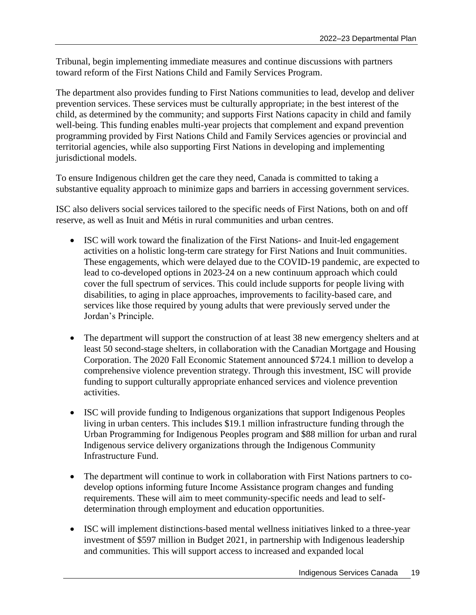Tribunal, begin implementing immediate measures and continue discussions with partners toward reform of the First Nations Child and Family Services Program.

The department also provides funding to First Nations communities to lead, develop and deliver prevention services. These services must be culturally appropriate; in the best interest of the child, as determined by the community; and supports First Nations capacity in child and family well-being. This funding enables multi-year projects that complement and expand prevention programming provided by First Nations Child and Family Services agencies or provincial and territorial agencies, while also supporting First Nations in developing and implementing jurisdictional models.

To ensure Indigenous children get the care they need, Canada is committed to taking a substantive equality approach to minimize gaps and barriers in accessing government services.

ISC also delivers social services tailored to the specific needs of First Nations, both on and off reserve, as well as Inuit and Métis in rural communities and urban centres.

- ISC will work toward the finalization of the First Nations- and Inuit-led engagement activities on a holistic long-term care strategy for First Nations and Inuit communities. These engagements, which were delayed due to the COVID-19 pandemic, are expected to lead to co-developed options in 2023-24 on a new continuum approach which could cover the full spectrum of services. This could include supports for people living with disabilities, to aging in place approaches, improvements to facility-based care, and services like those required by young adults that were previously served under the Jordan's Principle.
- The department will support the construction of at least 38 new emergency shelters and at least 50 second-stage shelters, in collaboration with the Canadian Mortgage and Housing Corporation. The 2020 Fall Economic Statement announced \$724.1 million to develop a comprehensive violence prevention strategy. Through this investment, ISC will provide funding to support culturally appropriate enhanced services and violence prevention activities.
- ISC will provide funding to Indigenous organizations that support Indigenous Peoples living in urban centers. This includes \$19.1 million infrastructure funding through the Urban Programming for Indigenous Peoples program and \$88 million for urban and rural Indigenous service delivery organizations through the Indigenous Community Infrastructure Fund.
- The department will continue to work in collaboration with First Nations partners to codevelop options informing future Income Assistance program changes and funding requirements. These will aim to meet community-specific needs and lead to selfdetermination through employment and education opportunities.
- ISC will implement distinctions-based mental wellness initiatives linked to a three-year investment of \$597 million in Budget 2021, in partnership with Indigenous leadership and communities. This will support access to increased and expanded local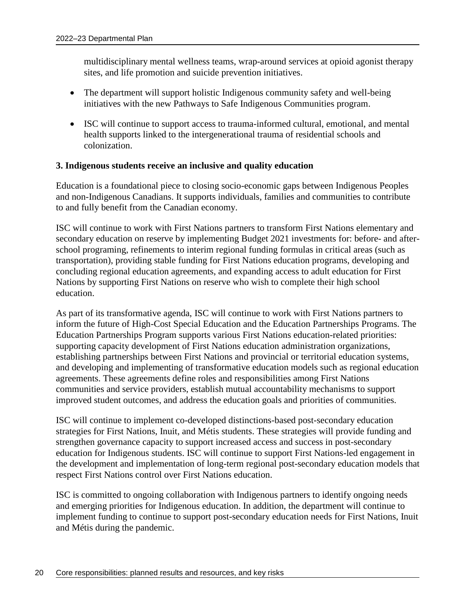multidisciplinary mental wellness teams, wrap-around services at opioid agonist therapy sites, and life promotion and suicide prevention initiatives.

- The department will support holistic Indigenous community safety and well-being initiatives with the new Pathways to Safe Indigenous Communities program.
- ISC will continue to support access to trauma-informed cultural, emotional, and mental health supports linked to the intergenerational trauma of residential schools and colonization.

#### **3. Indigenous students receive an inclusive and quality education**

Education is a foundational piece to closing socio-economic gaps between Indigenous Peoples and non-Indigenous Canadians. It supports individuals, families and communities to contribute to and fully benefit from the Canadian economy.

ISC will continue to work with First Nations partners to transform First Nations elementary and secondary education on reserve by implementing Budget 2021 investments for: before- and afterschool programing, refinements to interim regional funding formulas in critical areas (such as transportation), providing stable funding for First Nations education programs, developing and concluding regional education agreements, and expanding access to adult education for First Nations by supporting First Nations on reserve who wish to complete their high school education.

As part of its transformative agenda, ISC will continue to work with First Nations partners to inform the future of High-Cost Special Education and the Education Partnerships Programs. The Education Partnerships Program supports various First Nations education-related priorities: supporting capacity development of First Nations education administration organizations, establishing partnerships between First Nations and provincial or territorial education systems, and developing and implementing of transformative education models such as regional education agreements. These agreements define roles and responsibilities among First Nations communities and service providers, establish mutual accountability mechanisms to support improved student outcomes, and address the education goals and priorities of communities.

ISC will continue to implement co-developed distinctions-based post-secondary education strategies for First Nations, Inuit, and Métis students. These strategies will provide funding and strengthen governance capacity to support increased access and success in post-secondary education for Indigenous students. ISC will continue to support First Nations-led engagement in the development and implementation of long-term regional post-secondary education models that respect First Nations control over First Nations education.

ISC is committed to ongoing collaboration with Indigenous partners to identify ongoing needs and emerging priorities for Indigenous education. In addition, the department will continue to implement funding to continue to support post-secondary education needs for First Nations, Inuit and Métis during the pandemic.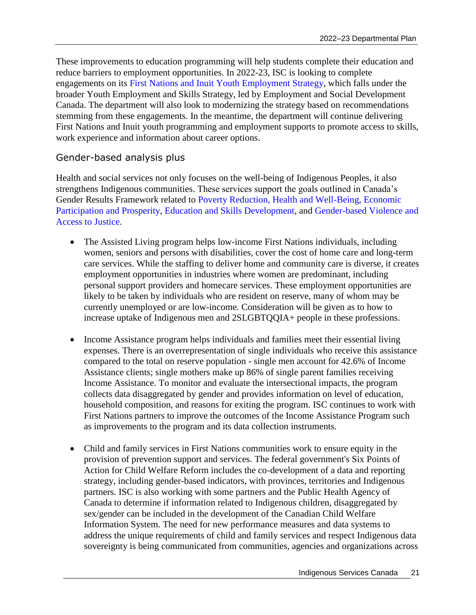These improvements to education programming will help students complete their education and reduce barriers to employment opportunities. In 2022-23, ISC is looking to complete engagements on its [First Nations and Inuit Youth Employment Strategy,](https://www.sac-isc.gc.ca/eng/1100100033607/1533125081187) which falls under the broader Youth Employment and Skills Strategy, led by Employment and Social Development Canada. The department will also look to modernizing the strategy based on recommendations stemming from these engagements. In the meantime, the department will continue delivering First Nations and Inuit youth programming and employment supports to promote access to skills, work experience and information about career options.

# Gender-based analysis plus

Health and social services not only focuses on the well-being of Indigenous Peoples, it also strengthens Indigenous communities. These services support the goals outlined in Canada's Gender Results Framework related to [Poverty Reduction, Health and Well-Being,](https://women-gender-equality.canada.ca/en/gender-results-framework/poverty-reduction-health-well-being.html) [Economic](https://women-gender-equality.canada.ca/en/gender-results-framework/economic-participation-prosperity.html)  [Participation and Prosperity,](https://women-gender-equality.canada.ca/en/gender-results-framework/economic-participation-prosperity.html) [Education and Skills Development,](https://women-gender-equality.canada.ca/en/gender-results-framework/education-skills-development.html) and [Gender-based Violence and](https://women-gender-equality.canada.ca/en/gender-results-framework/gender-based-violence-access-justice.html)  [Access to Justice.](https://women-gender-equality.canada.ca/en/gender-results-framework/gender-based-violence-access-justice.html)

- The Assisted Living program helps low-income First Nations individuals, including women, seniors and persons with disabilities, cover the cost of home care and long-term care services. While the staffing to deliver home and community care is diverse, it creates employment opportunities in industries where women are predominant, including personal support providers and homecare services. These employment opportunities are likely to be taken by individuals who are resident on reserve, many of whom may be currently unemployed or are low-income. Consideration will be given as to how to increase uptake of Indigenous men and 2SLGBTQQIA+ people in these professions.
- Income Assistance program helps individuals and families meet their essential living expenses. There is an overrepresentation of single individuals who receive this assistance compared to the total on reserve population - single men account for 42.6% of Income Assistance clients; single mothers make up 86% of single parent families receiving Income Assistance. To monitor and evaluate the intersectional impacts, the program collects data disaggregated by gender and provides information on level of education, household composition, and reasons for exiting the program. ISC continues to work with First Nations partners to improve the outcomes of the Income Assistance Program such as improvements to the program and its data collection instruments.
- Child and family services in First Nations communities work to ensure equity in the provision of prevention support and services. The federal government's Six Points of Action for Child Welfare Reform includes the co-development of a data and reporting strategy, including gender-based indicators, with provinces, territories and Indigenous partners. ISC is also working with some partners and the Public Health Agency of Canada to determine if information related to Indigenous children, disaggregated by sex/gender can be included in the development of the Canadian Child Welfare Information System. The need for new performance measures and data systems to address the unique requirements of child and family services and respect Indigenous data sovereignty is being communicated from communities, agencies and organizations across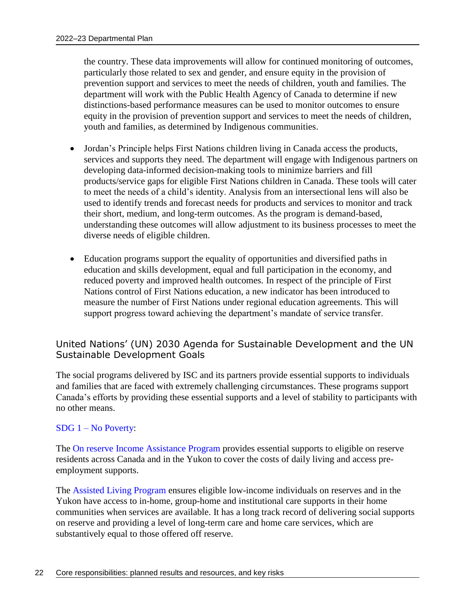the country. These data improvements will allow for continued monitoring of outcomes, particularly those related to sex and gender, and ensure equity in the provision of prevention support and services to meet the needs of children, youth and families. The department will work with the Public Health Agency of Canada to determine if new distinctions-based performance measures can be used to monitor outcomes to ensure equity in the provision of prevention support and services to meet the needs of children, youth and families, as determined by Indigenous communities.

- Jordan's Principle helps First Nations children living in Canada access the products, services and supports they need. The department will engage with Indigenous partners on developing data-informed decision-making tools to minimize barriers and fill products/service gaps for eligible First Nations children in Canada. These tools will cater to meet the needs of a child's identity. Analysis from an intersectional lens will also be used to identify trends and forecast needs for products and services to monitor and track their short, medium, and long-term outcomes. As the program is demand-based, understanding these outcomes will allow adjustment to its business processes to meet the diverse needs of eligible children.
- Education programs support the equality of opportunities and diversified paths in education and skills development, equal and full participation in the economy, and reduced poverty and improved health outcomes. In respect of the principle of First Nations control of First Nations education, a new indicator has been introduced to measure the number of First Nations under regional education agreements. This will support progress toward achieving the department's mandate of service transfer.

#### United Nations' (UN) 2030 Agenda for Sustainable Development and the UN Sustainable Development Goals

The social programs delivered by ISC and its partners provide essential supports to individuals and families that are faced with extremely challenging circumstances. These programs support Canada's efforts by providing these essential supports and a level of stability to participants with no other means.

#### SDG 1 – [No Poverty:](https://sdgs.un.org/goals/goal1)

The On [reserve Income Assistance Program](https://www.sac-isc.gc.ca/eng/1100100035256/1533307528663) provides essential supports to eligible on reserve residents across Canada and in the Yukon to cover the costs of daily living and access preemployment supports.

The [Assisted Living Program](https://www.sac-isc.gc.ca/eng/1100100035250/1533317440443) ensures eligible low-income individuals on reserves and in the Yukon have access to in-home, group-home and institutional care supports in their home communities when services are available. It has a long track record of delivering social supports on reserve and providing a level of long-term care and home care services, which are substantively equal to those offered off reserve.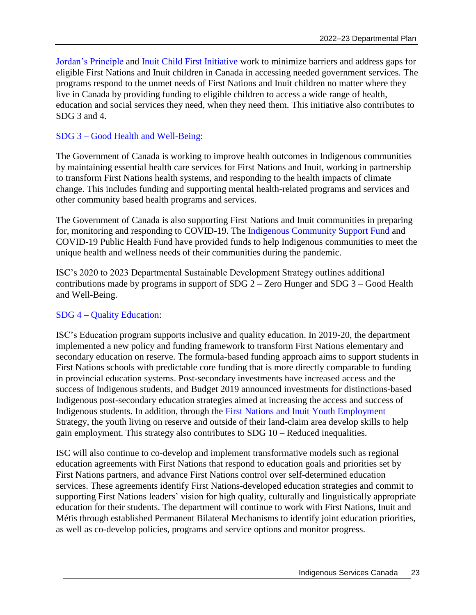[Jordan's Principle](https://www.sac-isc.gc.ca/eng/1568396042341/1568396159824) and [Inuit Child First Initiative](https://www.sac-isc.gc.ca/eng/1536348095773/1536348148664) work to minimize barriers and address gaps for eligible First Nations and Inuit children in Canada in accessing needed government services. The programs respond to the unmet needs of First Nations and Inuit children no matter where they live in Canada by providing funding to eligible children to access a wide range of health, education and social services they need, when they need them. This initiative also contributes to SDG 3 and 4.

## SDG 3 – [Good Health and Well-Being:](https://sdgs.un.org/goals/goal3)

The Government of Canada is working to improve health outcomes in Indigenous communities by maintaining essential health care services for First Nations and Inuit, working in partnership to transform First Nations health systems, and responding to the health impacts of climate change. This includes funding and supporting mental health-related programs and services and other community based health programs and services.

The Government of Canada is also supporting First Nations and Inuit communities in preparing for, monitoring and responding to COVID-19. The [Indigenous Community Support Fund](https://www.sac-isc.gc.ca/eng/1585189335380/1585189357198) and COVID-19 Public Health Fund have provided funds to help Indigenous communities to meet the unique health and wellness needs of their communities during the pandemic.

ISC's 2020 to 2023 Departmental Sustainable Development Strategy outlines additional contributions made by programs in support of SDG 2 – Zero Hunger and SDG 3 – Good Health and Well-Being.

#### SDG 4 – [Quality Education:](https://sdgs.un.org/goals/goal4)

ISC's Education program supports inclusive and quality education. In 2019-20, the department implemented a new policy and funding framework to transform First Nations elementary and secondary education on reserve. The formula-based funding approach aims to support students in First Nations schools with predictable core funding that is more directly comparable to funding in provincial education systems. Post-secondary investments have increased access and the success of Indigenous students, and Budget 2019 announced investments for distinctions-based Indigenous post-secondary education strategies aimed at increasing the access and success of Indigenous students. In addition, through the [First Nations and Inuit Youth Employment](https://www.sac-isc.gc.ca/eng/1100100033607/1533125081187) Strategy, the youth living on reserve and outside of their land-claim area develop skills to help gain employment. This strategy also contributes to SDG 10 – Reduced inequalities.

ISC will also continue to co-develop and implement transformative models such as regional education agreements with First Nations that respond to education goals and priorities set by First Nations partners, and advance First Nations control over self-determined education services. These agreements identify First Nations-developed education strategies and commit to supporting First Nations leaders' vision for high quality, culturally and linguistically appropriate education for their students. The department will continue to work with First Nations, Inuit and Métis through established Permanent Bilateral Mechanisms to identify joint education priorities, as well as co-develop policies, programs and service options and monitor progress.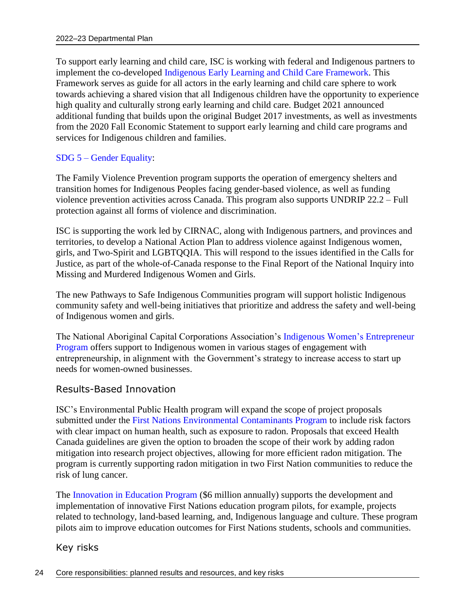To support early learning and child care, ISC is working with federal and Indigenous partners to implement the co-developed [Indigenous Early Learning and Child Care Framework.](https://www.canada.ca/en/employment-social-development/programs/indigenous-early-learning/2018-framework.html) This Framework serves as guide for all actors in the early learning and child care sphere to work towards achieving a shared vision that all Indigenous children have the opportunity to experience high quality and culturally strong early learning and child care. Budget 2021 announced additional funding that builds upon the original Budget 2017 investments, as well as investments from the 2020 Fall Economic Statement to support early learning and child care programs and services for Indigenous children and families.

#### SDG 5 – [Gender Equality:](https://sdgs.un.org/goals/goal5)

The Family Violence Prevention program supports the operation of emergency shelters and transition homes for Indigenous Peoples facing gender-based violence, as well as funding violence prevention activities across Canada. This program also supports UNDRIP 22.2 – Full protection against all forms of violence and discrimination.

ISC is supporting the work led by CIRNAC, along with Indigenous partners, and provinces and territories, to develop a National Action Plan to address violence against Indigenous women, girls, and Two-Spirit and LGBTQQIA. This will respond to the issues identified in the Calls for Justice, as part of the whole-of-Canada response to the Final Report of the National Inquiry into Missing and Murdered Indigenous Women and Girls.

The new Pathways to Safe Indigenous Communities program will support holistic Indigenous community safety and well-being initiatives that prioritize and address the safety and well-being of Indigenous women and girls.

The National Aboriginal Capital Corporations Association's [Indigenous Women's](https://nacca.ca/resources/iwe/) Entrepreneur [Program](https://nacca.ca/resources/iwe/) offers support to Indigenous women in various stages of engagement with entrepreneurship, in alignment with the Government's strategy to increase access to start up needs for women-owned businesses.

#### Results-Based Innovation

ISC's Environmental Public Health program will expand the scope of project proposals submitted under the [First Nations Environmental Contaminants Program](https://www.sac-isc.gc.ca/eng/1583779185601/1583779243216) to include risk factors with clear impact on human health, such as exposure to radon. Proposals that exceed Health Canada guidelines are given the option to broaden the scope of their work by adding radon mitigation into research project objectives, allowing for more efficient radon mitigation. The program is currently supporting radon mitigation in two First Nation communities to reduce the risk of lung cancer.

The [Innovation in Education Program](https://www.sac-isc.gc.ca/eng/1488201235288/1531315804884) (\$6 million annually) supports the development and implementation of innovative First Nations education program pilots, for example, projects related to technology, land-based learning, and, Indigenous language and culture. These program pilots aim to improve education outcomes for First Nations students, schools and communities.

Key risks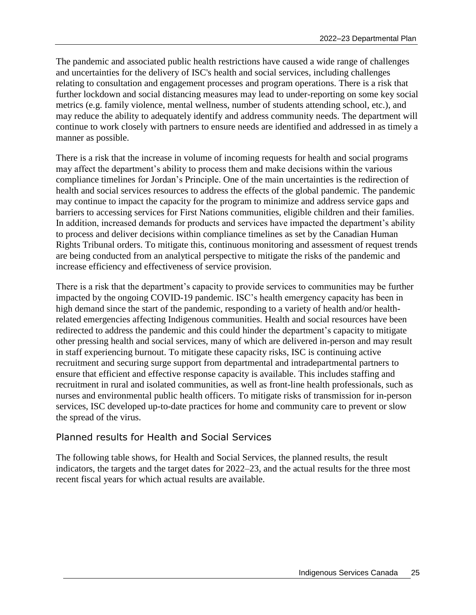The pandemic and associated public health restrictions have caused a wide range of challenges and uncertainties for the delivery of ISC's health and social services, including challenges relating to consultation and engagement processes and program operations. There is a risk that further lockdown and social distancing measures may lead to under-reporting on some key social metrics (e.g. family violence, mental wellness, number of students attending school, etc.), and may reduce the ability to adequately identify and address community needs. The department will continue to work closely with partners to ensure needs are identified and addressed in as timely a manner as possible.

There is a risk that the increase in volume of incoming requests for health and social programs may affect the department's ability to process them and make decisions within the various compliance timelines for Jordan's Principle. One of the main uncertainties is the redirection of health and social services resources to address the effects of the global pandemic. The pandemic may continue to impact the capacity for the program to minimize and address service gaps and barriers to accessing services for First Nations communities, eligible children and their families. In addition, increased demands for products and services have impacted the department's ability to process and deliver decisions within compliance timelines as set by the Canadian Human Rights Tribunal orders. To mitigate this, continuous monitoring and assessment of request trends are being conducted from an analytical perspective to mitigate the risks of the pandemic and increase efficiency and effectiveness of service provision.

There is a risk that the department's capacity to provide services to communities may be further impacted by the ongoing COVID-19 pandemic. ISC's health emergency capacity has been in high demand since the start of the pandemic, responding to a variety of health and/or healthrelated emergencies affecting Indigenous communities. Health and social resources have been redirected to address the pandemic and this could hinder the department's capacity to mitigate other pressing health and social services, many of which are delivered in-person and may result in staff experiencing burnout. To mitigate these capacity risks, ISC is continuing active recruitment and securing surge support from departmental and intradepartmental partners to ensure that efficient and effective response capacity is available. This includes staffing and recruitment in rural and isolated communities, as well as front-line health professionals, such as nurses and environmental public health officers. To mitigate risks of transmission for in-person services, ISC developed up-to-date practices for home and community care to prevent or slow the spread of the virus.

## Planned results for Health and Social Services

The following table shows, for Health and Social Services, the planned results, the result indicators, the targets and the target dates for 2022–23, and the actual results for the three most recent fiscal years for which actual results are available.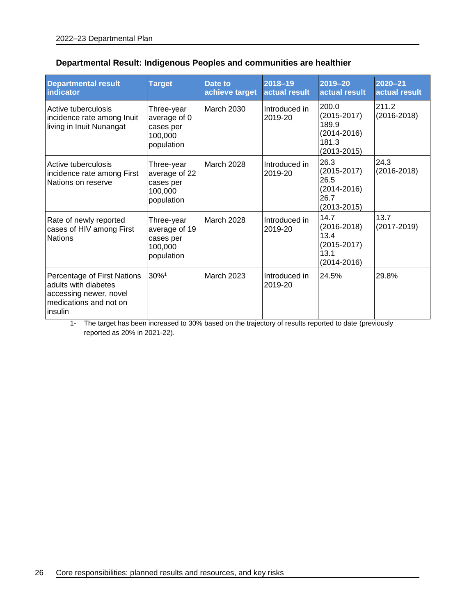| <b>Departmental result</b><br>indicator                                                                            | <b>Target</b>                                                     | Date to<br>achieve target | 2018-19<br>actual result | 2019-20<br>actual result                                                         | $2020 - 21$<br>actual result |
|--------------------------------------------------------------------------------------------------------------------|-------------------------------------------------------------------|---------------------------|--------------------------|----------------------------------------------------------------------------------|------------------------------|
| Active tuberculosis<br>incidence rate among Inuit<br>living in Inuit Nunangat                                      | Three-year<br>average of 0<br>cases per<br>100,000<br>population  | <b>March 2030</b>         | Introduced in<br>2019-20 | 200.0<br>$(2015 - 2017)$<br>189.9<br>$(2014 - 2016)$<br>181.3<br>$(2013 - 2015)$ | 211.2<br>$(2016 - 2018)$     |
| Active tuberculosis<br>incidence rate among First<br>Nations on reserve                                            | Three-year<br>average of 22<br>cases per<br>100,000<br>population | March 2028                | Introduced in<br>2019-20 | 26.3<br>$(2015 - 2017)$<br>26.5<br>$(2014 - 2016)$<br>26.7<br>$(2013 - 2015)$    | 24.3<br>$(2016 - 2018)$      |
| Rate of newly reported<br>cases of HIV among First<br><b>Nations</b>                                               | Three-year<br>average of 19<br>cases per<br>100,000<br>population | <b>March 2028</b>         | Introduced in<br>2019-20 | 14.7<br>$(2016 - 2018)$<br>13.4<br>$(2015 - 2017)$<br>13.1<br>$(2014 - 2016)$    | 13.7<br>$(2017 - 2019)$      |
| Percentage of First Nations<br>adults with diabetes<br>accessing newer, novel<br>medications and not on<br>insulin | 30%1                                                              | <b>March 2023</b>         | Introduced in<br>2019-20 | 24.5%                                                                            | 29.8%                        |

## **Departmental Result: Indigenous Peoples and communities are healthier**

1- The target has been increased to 30% based on the trajectory of results reported to date (previously reported as 20% in 2021-22).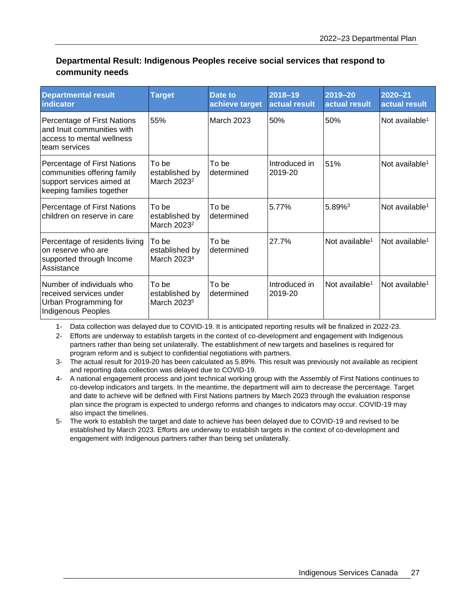### **Departmental Result: Indigenous Peoples receive social services that respond to community needs**

| <b>Departmental result</b><br>indicator                                                                              | <b>Target</b>                                      | Date to<br>achieve target | 2018-19<br>actual result | $2019 - 20$<br>actual result | $2020 - 21$<br>actual result |
|----------------------------------------------------------------------------------------------------------------------|----------------------------------------------------|---------------------------|--------------------------|------------------------------|------------------------------|
| Percentage of First Nations<br>and Inuit communities with<br>access to mental wellness<br>team services              | 55%                                                | <b>March 2023</b>         | 50%                      | 50%                          | Not available <sup>1</sup>   |
| Percentage of First Nations<br>communities offering family<br>support services aimed at<br>keeping families together | To be<br>established by<br>March 2023 <sup>2</sup> | To be<br>determined       | Introduced in<br>2019-20 | 51%                          | Not available <sup>1</sup>   |
| Percentage of First Nations<br>children on reserve in care                                                           | To be<br>established by<br>March 2023 <sup>2</sup> | To be<br>determined       | 5.77%                    | 5.89% <sup>3</sup>           | Not available <sup>1</sup>   |
| Percentage of residents living<br>on reserve who are<br>supported through Income<br>Assistance                       | To be<br>established by<br>March 2023 <sup>4</sup> | To be<br>determined       | 27.7%                    | Not available <sup>1</sup>   | Not available <sup>1</sup>   |
| Number of individuals who<br>received services under<br>Urban Programming for<br><b>Indigenous Peoples</b>           | To be<br>established by<br>March 2023 <sup>5</sup> | To be<br>determined       | Introduced in<br>2019-20 | Not available <sup>1</sup>   | Not available <sup>1</sup>   |

1- Data collection was delayed due to COVID-19. It is anticipated reporting results will be finalized in 2022-23.

2- Efforts are underway to establish targets in the context of co-development and engagement with Indigenous partners rather than being set unilaterally. The establishment of new targets and baselines is required for program reform and is subject to confidential negotiations with partners.

3- The actual result for 2019-20 has been calculated as 5.89%. This result was previously not available as recipient and reporting data collection was delayed due to COVID-19.

- 4- A national engagement process and joint technical working group with the Assembly of First Nations continues to co-develop indicators and targets. In the meantime, the department will aim to decrease the percentage. Target and date to achieve will be defined with First Nations partners by March 2023 through the evaluation response plan since the program is expected to undergo reforms and changes to indicators may occur. COVID-19 may also impact the timelines.
- 5- The work to establish the target and date to achieve has been delayed due to COVID-19 and revised to be established by March 2023. Efforts are underway to establish targets in the context of co-development and engagement with Indigenous partners rather than being set unilaterally.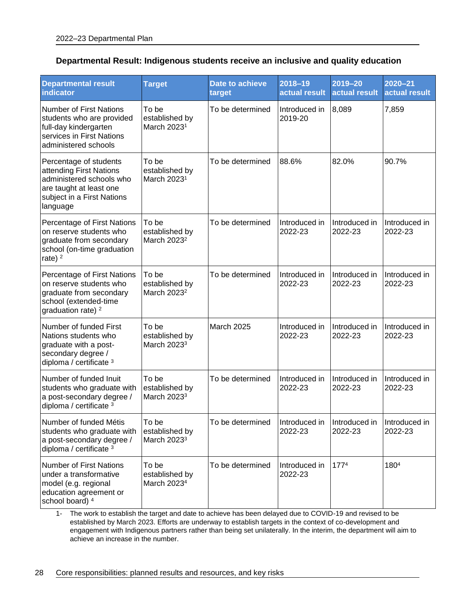#### **Departmental Result: Indigenous students receive an inclusive and quality education**

| <b>Departmental result</b><br>indicator                                                                                                            | <b>Target</b>                                      | <b>Date to achieve</b><br>target | 2018-19<br>actual result                             | 2019-20<br>actual result | 2020-21<br>actual result |
|----------------------------------------------------------------------------------------------------------------------------------------------------|----------------------------------------------------|----------------------------------|------------------------------------------------------|--------------------------|--------------------------|
| <b>Number of First Nations</b><br>students who are provided<br>full-day kindergarten<br>services in First Nations<br>administered schools          | To be<br>established by<br>March 2023 <sup>1</sup> | To be determined                 | Introduced in<br>2019-20                             | 8,089                    | 7,859                    |
| Percentage of students<br>attending First Nations<br>administered schools who<br>are taught at least one<br>subject in a First Nations<br>language | To be<br>established by<br>March 2023 <sup>1</sup> | To be determined                 | 88.6%                                                | 82.0%                    | 90.7%                    |
| Percentage of First Nations<br>on reserve students who<br>graduate from secondary<br>school (on-time graduation<br>rate) $2$                       | To be<br>established by<br>March 2023 <sup>2</sup> | To be determined                 | Introduced in<br>2022-23                             | Introduced in<br>2022-23 | Introduced in<br>2022-23 |
| Percentage of First Nations<br>on reserve students who<br>graduate from secondary<br>school (extended-time<br>graduation rate) <sup>2</sup>        | To be<br>established by<br>March 2023 <sup>2</sup> | To be determined                 | Introduced in<br>2022-23                             | Introduced in<br>2022-23 | Introduced in<br>2022-23 |
| Number of funded First<br>Nations students who<br>graduate with a post-<br>secondary degree /<br>diploma / certificate 3                           | To be<br>established by<br>March 2023 <sup>3</sup> | March 2025                       | Introduced in<br>2022-23                             | Introduced in<br>2022-23 | Introduced in<br>2022-23 |
| Number of funded Inuit<br>students who graduate with<br>a post-secondary degree /<br>diploma / certificate 3                                       | To be<br>established by<br>March 2023 <sup>3</sup> | To be determined                 | Introduced in<br>2022-23                             | Introduced in<br>2022-23 | Introduced in<br>2022-23 |
| Number of funded Métis<br>students who graduate with<br>a post-secondary degree /<br>diploma / certificate 3                                       | To be<br>established by<br>March 2023 <sup>3</sup> | To be determined                 | Introduced in Introduced in Introduced in<br>2022-23 | 2022-23                  | 2022-23                  |
| <b>Number of First Nations</b><br>under a transformative<br>model (e.g. regional<br>education agreement or<br>school board) 4                      | To be<br>established by<br>March 2023 <sup>4</sup> | To be determined                 | Introduced in<br>2022-23                             | 1774                     | 1804                     |

1- The work to establish the target and date to achieve has been delayed due to COVID-19 and revised to be established by March 2023. Efforts are underway to establish targets in the context of co-development and engagement with Indigenous partners rather than being set unilaterally. In the interim, the department will aim to achieve an increase in the number.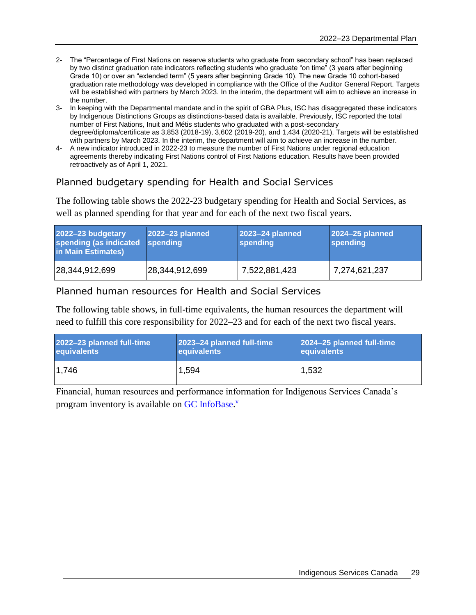- 2- The "Percentage of First Nations on reserve students who graduate from secondary school" has been replaced by two distinct graduation rate indicators reflecting students who graduate "on time" (3 years after beginning Grade 10) or over an "extended term" (5 years after beginning Grade 10). The new Grade 10 cohort-based graduation rate methodology was developed in compliance with the Office of the Auditor General Report. Targets will be established with partners by March 2023. In the interim, the department will aim to achieve an increase in the number.
- 3- In keeping with the Departmental mandate and in the spirit of GBA Plus, ISC has disaggregated these indicators by Indigenous Distinctions Groups as distinctions-based data is available. Previously, ISC reported the total number of First Nations, Inuit and Métis students who graduated with a post-secondary degree/diploma/certificate as 3,853 (2018-19), 3,602 (2019-20), and 1,434 (2020-21). Targets will be established with partners by March 2023. In the interim, the department will aim to achieve an increase in the number.
- 4- A new indicator introduced in 2022-23 to measure the number of First Nations under regional education agreements thereby indicating First Nations control of First Nations education. Results have been provided retroactively as of April 1, 2021.

# Planned budgetary spending for Health and Social Services

The following table shows the 2022-23 budgetary spending for Health and Social Services, as well as planned spending for that year and for each of the next two fiscal years.

| 2022-23 budgetary<br>spending (as indicated spending<br>in Main Estimates) | 2022-23 planned | 2023-24 planned<br>spending | 2024-25 planned<br>spending |
|----------------------------------------------------------------------------|-----------------|-----------------------------|-----------------------------|
| 28,344,912,699                                                             | 28,344,912,699  | 7,522,881,423               | 7,274,621,237               |

#### Planned human resources for Health and Social Services

The following table shows, in full-time equivalents, the human resources the department will need to fulfill this core responsibility for 2022–23 and for each of the next two fiscal years.

| 2022-23 planned full-time | 2023-24 planned full-time | 2024-25 planned full-time |
|---------------------------|---------------------------|---------------------------|
| equivalents               | equivalents               | equivalents               |
| 1.746                     | 1,594                     | 1,532                     |

<span id="page-32-0"></span>Financial, human resources and performance information for Indigenous Services Canada's program inventory is available on [GC InfoBase.](https://www.tbs-sct.gc.ca/ems-sgd/edb-bdd/index-eng.html#infographic/dept/348/intro)<sup>v</sup>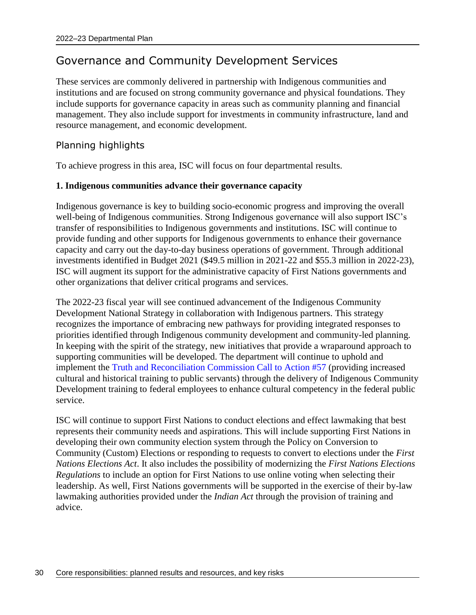# Governance and Community Development Services

These services are commonly delivered in partnership with Indigenous communities and institutions and are focused on strong community governance and physical foundations. They include supports for governance capacity in areas such as community planning and financial management. They also include support for investments in community infrastructure, land and resource management, and economic development.

# Planning highlights

To achieve progress in this area, ISC will focus on four departmental results.

#### **1. Indigenous communities advance their governance capacity**

Indigenous governance is key to building socio-economic progress and improving the overall well-being of Indigenous communities. Strong Indigenous governance will also support ISC's transfer of responsibilities to Indigenous governments and institutions. ISC will continue to provide funding and other supports for Indigenous governments to enhance their governance capacity and carry out the day-to-day business operations of government. Through additional investments identified in Budget 2021 (\$49.5 million in 2021-22 and \$55.3 million in 2022-23), ISC will augment its support for the administrative capacity of First Nations governments and other organizations that deliver critical programs and services.

The 2022-23 fiscal year will see continued advancement of the Indigenous Community Development National Strategy in collaboration with Indigenous partners. This strategy recognizes the importance of embracing new pathways for providing integrated responses to priorities identified through Indigenous community development and community-led planning. In keeping with the spirit of the strategy, new initiatives that provide a wraparound approach to supporting communities will be developed. The department will continue to uphold and implement the [Truth and Reconciliation Commission Call to Action #57](https://www.rcaanc-cirnac.gc.ca/eng/1524504124015/1557514077713) (providing increased cultural and historical training to public servants) through the delivery of Indigenous Community Development training to federal employees to enhance cultural competency in the federal public service.

ISC will continue to support First Nations to conduct elections and effect lawmaking that best represents their community needs and aspirations. This will include supporting First Nations in developing their own community election system through the Policy on Conversion to Community (Custom) Elections or responding to requests to convert to elections under the *First Nations Elections Act*. It also includes the possibility of modernizing the *First Nations Elections Regulations* to include an option for First Nations to use online voting when selecting their leadership. As well, First Nations governments will be supported in the exercise of their by-law lawmaking authorities provided under the *Indian Act* through the provision of training and advice.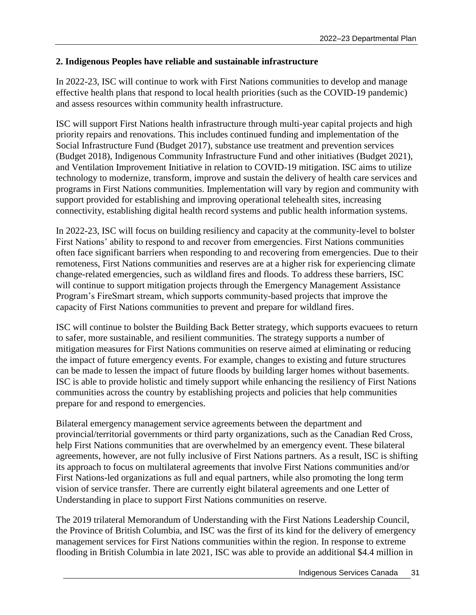#### **2. Indigenous Peoples have reliable and sustainable infrastructure**

In 2022-23, ISC will continue to work with First Nations communities to develop and manage effective health plans that respond to local health priorities (such as the COVID-19 pandemic) and assess resources within community health infrastructure.

ISC will support First Nations health infrastructure through multi-year capital projects and high priority repairs and renovations. This includes continued funding and implementation of the Social Infrastructure Fund (Budget 2017), substance use treatment and prevention services (Budget 2018), Indigenous Community Infrastructure Fund and other initiatives (Budget 2021), and Ventilation Improvement Initiative in relation to COVID-19 mitigation. ISC aims to utilize technology to modernize, transform, improve and sustain the delivery of health care services and programs in First Nations communities. Implementation will vary by region and community with support provided for establishing and improving operational telehealth sites, increasing connectivity, establishing digital health record systems and public health information systems.

In 2022-23, ISC will focus on building resiliency and capacity at the community-level to bolster First Nations' ability to respond to and recover from emergencies. First Nations communities often face significant barriers when responding to and recovering from emergencies. Due to their remoteness, First Nations communities and reserves are at a higher risk for experiencing climate change-related emergencies, such as wildland fires and floods. To address these barriers, ISC will continue to support mitigation projects through the Emergency Management Assistance Program's FireSmart stream, which supports community-based projects that improve the capacity of First Nations communities to prevent and prepare for wildland fires.

ISC will continue to bolster the Building Back Better strategy, which supports evacuees to return to safer, more sustainable, and resilient communities. The strategy supports a number of mitigation measures for First Nations communities on reserve aimed at eliminating or reducing the impact of future emergency events. For example, changes to existing and future structures can be made to lessen the impact of future floods by building larger homes without basements. ISC is able to provide holistic and timely support while enhancing the resiliency of First Nations communities across the country by establishing projects and policies that help communities prepare for and respond to emergencies.

Bilateral emergency management service agreements between the department and provincial/territorial governments or third party organizations, such as the Canadian Red Cross, help First Nations communities that are overwhelmed by an emergency event. These bilateral agreements, however, are not fully inclusive of First Nations partners. As a result, ISC is shifting its approach to focus on multilateral agreements that involve First Nations communities and/or First Nations-led organizations as full and equal partners, while also promoting the long term vision of service transfer. There are currently eight bilateral agreements and one Letter of Understanding in place to support First Nations communities on reserve.

The 2019 trilateral Memorandum of Understanding with the First Nations Leadership Council, the Province of British Columbia, and ISC was the first of its kind for the delivery of emergency management services for First Nations communities within the region. In response to extreme flooding in British Columbia in late 2021, ISC was able to provide an additional \$4.4 million in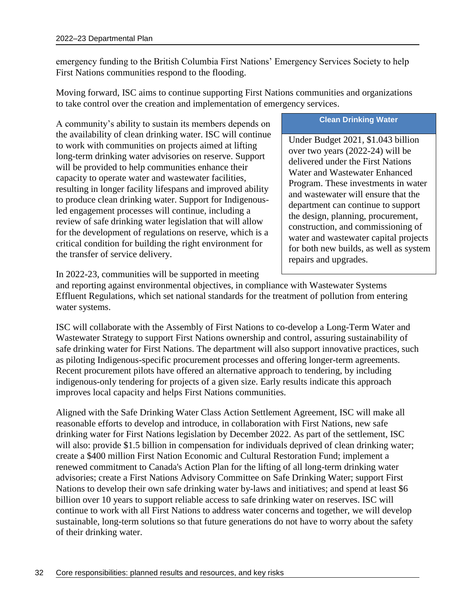emergency funding to the British Columbia First Nations' Emergency Services Society to help First Nations communities respond to the flooding.

Moving forward, ISC aims to continue supporting First Nations communities and organizations to take control over the creation and implementation of emergency services.

A community's ability to sustain its members depends on the availability of clean drinking water. ISC will continue to work with communities on projects aimed at lifting long-term drinking water advisories on reserve. Support will be provided to help communities enhance their capacity to operate water and wastewater facilities, resulting in longer facility lifespans and improved ability to produce clean drinking water. Support for Indigenousled engagement processes will continue, including a review of safe drinking water legislation that will allow for the development of regulations on reserve, which is a critical condition for building the right environment for the transfer of service delivery.

#### **Clean Drinking Water**

Under Budget 2021, \$1.043 billion over two years (2022-24) will be delivered under the First Nations Water and Wastewater Enhanced Program. These investments in water and wastewater will ensure that the department can continue to support the design, planning, procurement, construction, and commissioning of water and wastewater capital projects for both new builds, as well as system repairs and upgrades.

In 2022-23, communities will be supported in meeting

and reporting against environmental objectives, in compliance with Wastewater Systems Effluent Regulations, which set national standards for the treatment of pollution from entering water systems.

ISC will collaborate with the Assembly of First Nations to co-develop a Long-Term Water and Wastewater Strategy to support First Nations ownership and control, assuring sustainability of safe drinking water for First Nations. The department will also support innovative practices, such as piloting Indigenous-specific procurement processes and offering longer-term agreements. Recent procurement pilots have offered an alternative approach to tendering, by including indigenous-only tendering for projects of a given size. Early results indicate this approach improves local capacity and helps First Nations communities.

Aligned with the Safe Drinking Water Class Action Settlement Agreement, ISC will make all reasonable efforts to develop and introduce, in collaboration with First Nations, new safe drinking water for First Nations legislation by December 2022. As part of the settlement, ISC will also: provide \$1.5 billion in compensation for individuals deprived of clean drinking water; create a \$400 million First Nation Economic and Cultural Restoration Fund; implement a renewed commitment to Canada's Action Plan for the lifting of all long-term drinking water advisories; create a First Nations Advisory Committee on Safe Drinking Water; support First Nations to develop their own safe drinking water by-laws and initiatives; and spend at least \$6 billion over 10 years to support reliable access to safe drinking water on reserves. ISC will continue to work with all First Nations to address water concerns and together, we will develop sustainable, long-term solutions so that future generations do not have to worry about the safety of their drinking water.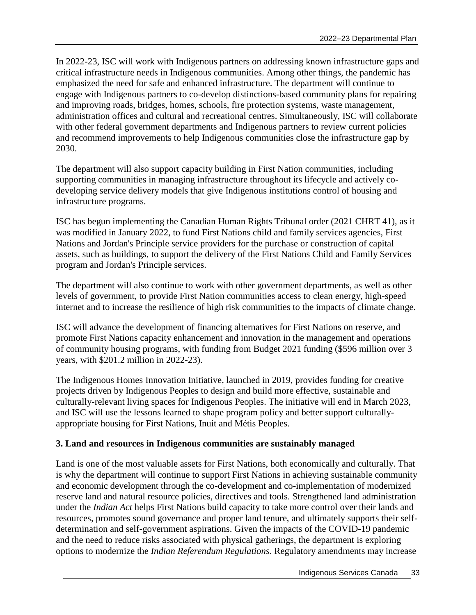In 2022-23, ISC will work with Indigenous partners on addressing known infrastructure gaps and critical infrastructure needs in Indigenous communities. Among other things, the pandemic has emphasized the need for safe and enhanced infrastructure. The department will continue to engage with Indigenous partners to co-develop distinctions-based community plans for repairing and improving roads, bridges, homes, schools, fire protection systems, waste management, administration offices and cultural and recreational centres. Simultaneously, ISC will collaborate with other federal government departments and Indigenous partners to review current policies and recommend improvements to help Indigenous communities close the infrastructure gap by 2030.

The department will also support capacity building in First Nation communities, including supporting communities in managing infrastructure throughout its lifecycle and actively codeveloping service delivery models that give Indigenous institutions control of housing and infrastructure programs.

ISC has begun implementing the Canadian Human Rights Tribunal order (2021 CHRT 41), as it was modified in January 2022, to fund First Nations child and family services agencies, First Nations and Jordan's Principle service providers for the purchase or construction of capital assets, such as buildings, to support the delivery of the First Nations Child and Family Services program and Jordan's Principle services.

The department will also continue to work with other government departments, as well as other levels of government, to provide First Nation communities access to clean energy, high-speed internet and to increase the resilience of high risk communities to the impacts of climate change.

ISC will advance the development of financing alternatives for First Nations on reserve, and promote First Nations capacity enhancement and innovation in the management and operations of community housing programs, with funding from Budget 2021 funding (\$596 million over 3 years, with \$201.2 million in 2022-23).

The Indigenous Homes Innovation Initiative, launched in 2019, provides funding for creative projects driven by Indigenous Peoples to design and build more effective, sustainable and culturally-relevant living spaces for Indigenous Peoples. The initiative will end in March 2023, and ISC will use the lessons learned to shape program policy and better support culturallyappropriate housing for First Nations, Inuit and Métis Peoples.

## **3. Land and resources in Indigenous communities are sustainably managed**

Land is one of the most valuable assets for First Nations, both economically and culturally. That is why the department will continue to support First Nations in achieving sustainable community and economic development through the co-development and co-implementation of modernized reserve land and natural resource policies, directives and tools. Strengthened land administration under the *Indian Act* helps First Nations build capacity to take more control over their lands and resources, promotes sound governance and proper land tenure, and ultimately supports their selfdetermination and self-government aspirations. Given the impacts of the COVID-19 pandemic and the need to reduce risks associated with physical gatherings, the department is exploring options to modernize the *Indian Referendum Regulations*. Regulatory amendments may increase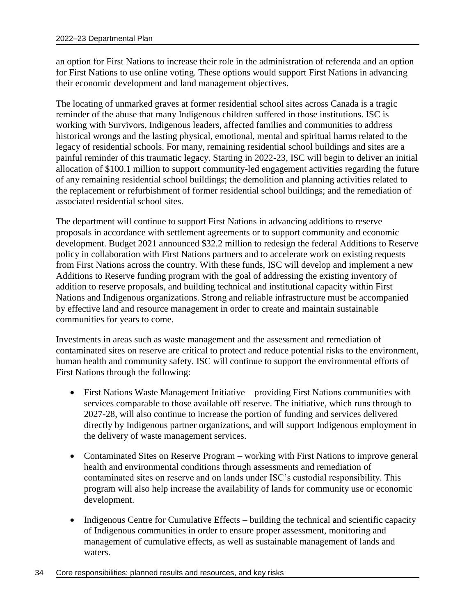an option for First Nations to increase their role in the administration of referenda and an option for First Nations to use online voting. These options would support First Nations in advancing their economic development and land management objectives.

The locating of unmarked graves at former residential school sites across Canada is a tragic reminder of the abuse that many Indigenous children suffered in those institutions. ISC is working with Survivors, Indigenous leaders, affected families and communities to address historical wrongs and the lasting physical, emotional, mental and spiritual harms related to the legacy of residential schools. For many, remaining residential school buildings and sites are a painful reminder of this traumatic legacy. Starting in 2022-23, ISC will begin to deliver an initial allocation of \$100.1 million to support community-led engagement activities regarding the future of any remaining residential school buildings; the demolition and planning activities related to the replacement or refurbishment of former residential school buildings; and the remediation of associated residential school sites.

The department will continue to support First Nations in advancing additions to reserve proposals in accordance with settlement agreements or to support community and economic development. Budget 2021 announced \$32.2 million to redesign the federal Additions to Reserve policy in collaboration with First Nations partners and to accelerate work on existing requests from First Nations across the country. With these funds, ISC will develop and implement a new Additions to Reserve funding program with the goal of addressing the existing inventory of addition to reserve proposals, and building technical and institutional capacity within First Nations and Indigenous organizations. Strong and reliable infrastructure must be accompanied by effective land and resource management in order to create and maintain sustainable communities for years to come.

Investments in areas such as waste management and the assessment and remediation of contaminated sites on reserve are critical to protect and reduce potential risks to the environment, human health and community safety. ISC will continue to support the environmental efforts of First Nations through the following:

- First Nations Waste Management Initiative providing First Nations communities with services comparable to those available off reserve. The initiative, which runs through to 2027-28, will also continue to increase the portion of funding and services delivered directly by Indigenous partner organizations, and will support Indigenous employment in the delivery of waste management services.
- Contaminated Sites on Reserve Program working with First Nations to improve general health and environmental conditions through assessments and remediation of contaminated sites on reserve and on lands under ISC's custodial responsibility. This program will also help increase the availability of lands for community use or economic development.
- Indigenous Centre for Cumulative Effects building the technical and scientific capacity of Indigenous communities in order to ensure proper assessment, monitoring and management of cumulative effects, as well as sustainable management of lands and waters.
- 34 Core responsibilities: planned results and resources, and key risks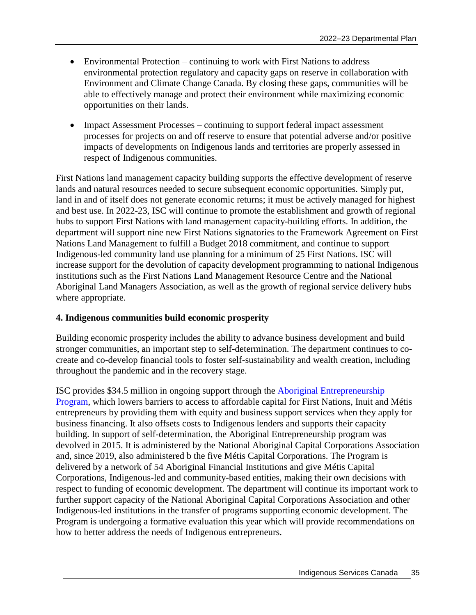- Environmental Protection continuing to work with First Nations to address environmental protection regulatory and capacity gaps on reserve in collaboration with Environment and Climate Change Canada. By closing these gaps, communities will be able to effectively manage and protect their environment while maximizing economic opportunities on their lands.
- Impact Assessment Processes continuing to support federal impact assessment processes for projects on and off reserve to ensure that potential adverse and/or positive impacts of developments on Indigenous lands and territories are properly assessed in respect of Indigenous communities.

First Nations land management capacity building supports the effective development of reserve lands and natural resources needed to secure subsequent economic opportunities. Simply put, land in and of itself does not generate economic returns; it must be actively managed for highest and best use. In 2022-23, ISC will continue to promote the establishment and growth of regional hubs to support First Nations with land management capacity-building efforts. In addition, the department will support nine new First Nations signatories to the Framework Agreement on First Nations Land Management to fulfill a Budget 2018 commitment, and continue to support Indigenous-led community land use planning for a minimum of 25 First Nations. ISC will increase support for the devolution of capacity development programming to national Indigenous institutions such as the First Nations Land Management Resource Centre and the National Aboriginal Land Managers Association, as well as the growth of regional service delivery hubs where appropriate.

## **4. Indigenous communities build economic prosperity**

Building economic prosperity includes the ability to advance business development and build stronger communities, an important step to self-determination. The department continues to cocreate and co-develop financial tools to foster self-sustainability and wealth creation, including throughout the pandemic and in the recovery stage.

ISC provides \$34.5 million in ongoing support through the [Aboriginal Entrepreneurship](https://www.isc-sac.gc.ca/eng/1582037564226/1610797399865)  [Program,](https://www.isc-sac.gc.ca/eng/1582037564226/1610797399865) which lowers barriers to access to affordable capital for First Nations, Inuit and Métis entrepreneurs by providing them with equity and business support services when they apply for business financing. It also offsets costs to Indigenous lenders and supports their capacity building. In support of self-determination, the Aboriginal Entrepreneurship program was devolved in 2015. It is administered by the National Aboriginal Capital Corporations Association and, since 2019, also administered b the five Métis Capital Corporations. The Program is delivered by a network of 54 Aboriginal Financial Institutions and give Métis Capital Corporations, Indigenous-led and community-based entities, making their own decisions with respect to funding of economic development. The department will continue its important work to further support capacity of the National Aboriginal Capital Corporations Association and other Indigenous-led institutions in the transfer of programs supporting economic development. The Program is undergoing a formative evaluation this year which will provide recommendations on how to better address the needs of Indigenous entrepreneurs.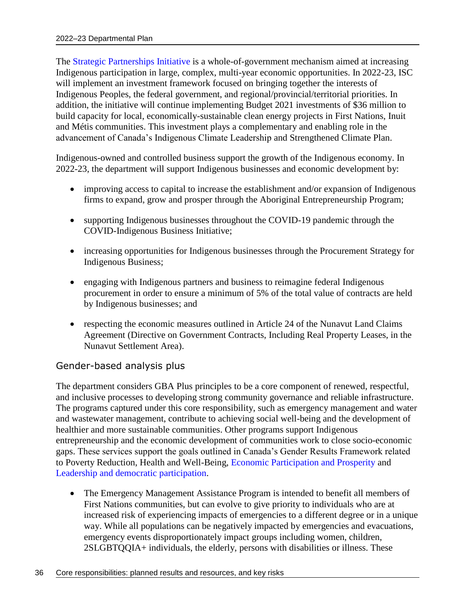The [Strategic Partnerships Initiative](https://www.sac-isc.gc.ca/eng/1330016561558/1594122175203) is a whole-of-government mechanism aimed at increasing Indigenous participation in large, complex, multi-year economic opportunities. In 2022-23, ISC will implement an investment framework focused on bringing together the interests of Indigenous Peoples, the federal government, and regional/provincial/territorial priorities. In addition, the initiative will continue implementing Budget 2021 investments of \$36 million to build capacity for local, economically-sustainable clean energy projects in First Nations, Inuit and Métis communities. This investment plays a complementary and enabling role in the advancement of Canada's Indigenous Climate Leadership and Strengthened Climate Plan.

Indigenous-owned and controlled business support the growth of the Indigenous economy. In 2022-23, the department will support Indigenous businesses and economic development by:

- improving access to capital to increase the establishment and/or expansion of Indigenous firms to expand, grow and prosper through the Aboriginal Entrepreneurship Program;
- supporting Indigenous businesses throughout the COVID-19 pandemic through the COVID-Indigenous Business Initiative;
- increasing opportunities for Indigenous businesses through the Procurement Strategy for Indigenous Business;
- engaging with Indigenous partners and business to reimagine federal Indigenous procurement in order to ensure a minimum of 5% of the total value of contracts are held by Indigenous businesses; and
- respecting the economic measures outlined in Article 24 of the Nunavut Land Claims Agreement (Directive on Government Contracts, Including Real Property Leases, in the Nunavut Settlement Area).

## Gender-based analysis plus

The department considers GBA Plus principles to be a core component of renewed, respectful, and inclusive processes to developing strong community governance and reliable infrastructure. The programs captured under this core responsibility, such as emergency management and water and wastewater management, contribute to achieving social well-being and the development of healthier and more sustainable communities. Other programs support Indigenous entrepreneurship and the economic development of communities work to close socio-economic gaps. These services support the goals outlined in Canada's Gender Results Framework related to Poverty Reduction, Health and Well-Being, [Economic Participation and Prosperity](https://women-gender-equality.canada.ca/en/gender-results-framework/economic-participation-prosperity.html) and [Leadership and democratic participation.](https://women-gender-equality.canada.ca/en/gender-results-framework/leadership-democratic-participation.html)

 The Emergency Management Assistance Program is intended to benefit all members of First Nations communities, but can evolve to give priority to individuals who are at increased risk of experiencing impacts of emergencies to a different degree or in a unique way. While all populations can be negatively impacted by emergencies and evacuations, emergency events disproportionately impact groups including women, children, 2SLGBTQQIA+ individuals, the elderly, persons with disabilities or illness. These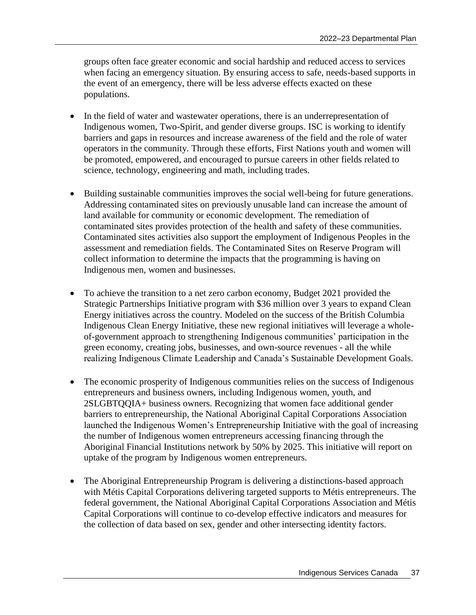groups often face greater economic and social hardship and reduced access to services when facing an emergency situation. By ensuring access to safe, needs-based supports in the event of an emergency, there will be less adverse effects exacted on these populations.

- In the field of water and wastewater operations, there is an underrepresentation of Indigenous women, Two-Spirit, and gender diverse groups. ISC is working to identify barriers and gaps in resources and increase awareness of the field and the role of water operators in the community. Through these efforts, First Nations youth and women will be promoted, empowered, and encouraged to pursue careers in other fields related to science, technology, engineering and math, including trades.
- Building sustainable communities improves the social well-being for future generations. Addressing contaminated sites on previously unusable land can increase the amount of land available for community or economic development. The remediation of contaminated sites provides protection of the health and safety of these communities. Contaminated sites activities also support the employment of Indigenous Peoples in the assessment and remediation fields. The Contaminated Sites on Reserve Program will collect information to determine the impacts that the programming is having on Indigenous men, women and businesses.
- To achieve the transition to a net zero carbon economy, Budget 2021 provided the Strategic Partnerships Initiative program with \$36 million over 3 years to expand Clean Energy initiatives across the country. Modeled on the success of the British Columbia Indigenous Clean Energy Initiative, these new regional initiatives will leverage a wholeof-government approach to strengthening Indigenous communities' participation in the green economy, creating jobs, businesses, and own-source revenues - all the while realizing Indigenous Climate Leadership and Canada's Sustainable Development Goals.
- The economic prosperity of Indigenous communities relies on the success of Indigenous entrepreneurs and business owners, including Indigenous women, youth, and 2SLGBTQQIA+ business owners. Recognizing that women face additional gender barriers to entrepreneurship, the National Aboriginal Capital Corporations Association launched the Indigenous Women's Entrepreneurship Initiative with the goal of increasing the number of Indigenous women entrepreneurs accessing financing through the Aboriginal Financial Institutions network by 50% by 2025. This initiative will report on uptake of the program by Indigenous women entrepreneurs.
- The Aboriginal Entrepreneurship Program is delivering a distinctions-based approach with Métis Capital Corporations delivering targeted supports to Métis entrepreneurs. The federal government, the National Aboriginal Capital Corporations Association and Métis Capital Corporations will continue to co-develop effective indicators and measures for the collection of data based on sex, gender and other intersecting identity factors.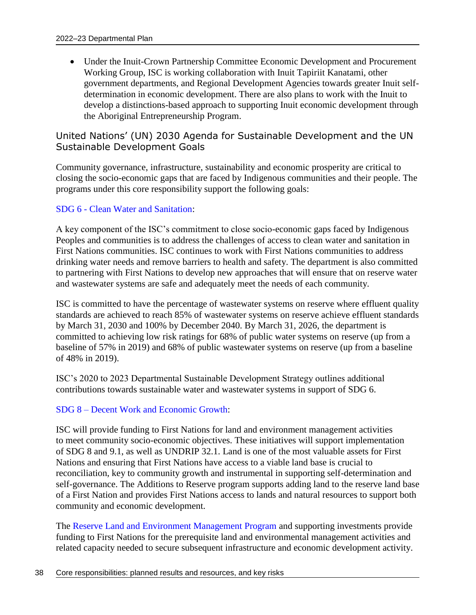Under the Inuit-Crown Partnership Committee Economic Development and Procurement Working Group, ISC is working collaboration with Inuit Tapiriit Kanatami, other government departments, and Regional Development Agencies towards greater Inuit selfdetermination in economic development. There are also plans to work with the Inuit to develop a distinctions-based approach to supporting Inuit economic development through the Aboriginal Entrepreneurship Program.

## United Nations' (UN) 2030 Agenda for Sustainable Development and the UN Sustainable Development Goals

Community governance, infrastructure, sustainability and economic prosperity are critical to closing the socio-economic gaps that are faced by Indigenous communities and their people. The programs under this core responsibility support the following goals:

## SDG 6 - [Clean Water and Sanitation:](https://sdgs.un.org/goals/goal6)

A key component of the ISC's commitment to close socio-economic gaps faced by Indigenous Peoples and communities is to address the challenges of access to clean water and sanitation in First Nations communities. ISC continues to work with First Nations communities to address drinking water needs and remove barriers to health and safety. The department is also committed to partnering with First Nations to develop new approaches that will ensure that on reserve water and wastewater systems are safe and adequately meet the needs of each community.

ISC is committed to have the percentage of wastewater systems on reserve where effluent quality standards are achieved to reach 85% of wastewater systems on reserve achieve effluent standards by March 31, 2030 and 100% by December 2040. By March 31, 2026, the department is committed to achieving low risk ratings for 68% of public water systems on reserve (up from a baseline of 57% in 2019) and 68% of public wastewater systems on reserve (up from a baseline of 48% in 2019).

ISC's 2020 to 2023 Departmental Sustainable Development Strategy outlines additional contributions towards sustainable water and wastewater systems in support of SDG 6.

## SDG 8 – [Decent Work and Economic Growth:](https://sdgs.un.org/goals/goal8)

ISC will provide funding to First Nations for land and environment management activities to meet community socio-economic objectives. These initiatives will support implementation of SDG 8 and 9.1, as well as UNDRIP 32.1. Land is one of the most valuable assets for First Nations and ensuring that First Nations have access to a viable land base is crucial to reconciliation, key to community growth and instrumental in supporting self-determination and self-governance. The Additions to Reserve program supports adding land to the reserve land base of a First Nation and provides First Nations access to lands and natural resources to support both community and economic development.

The [Reserve Land and Environment Management Program](https://www.sac-isc.gc.ca/eng/1394718212831/1611275324373) and supporting investments provide funding to First Nations for the prerequisite land and environmental management activities and related capacity needed to secure subsequent infrastructure and economic development activity.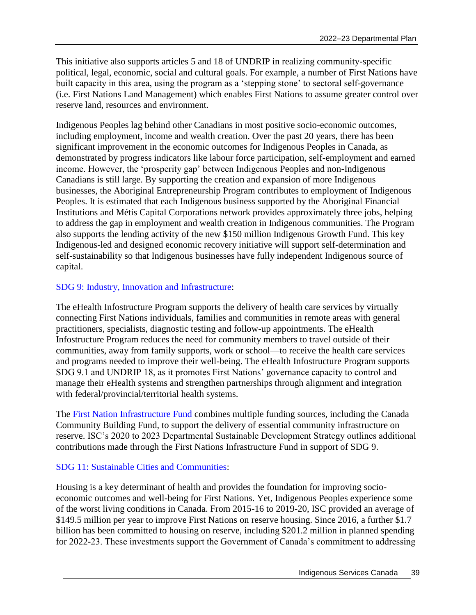This initiative also supports articles 5 and 18 of UNDRIP in realizing community-specific political, legal, economic, social and cultural goals. For example, a number of First Nations have built capacity in this area, using the program as a 'stepping stone' to sectoral self-governance (i.e. First Nations Land Management) which enables First Nations to assume greater control over reserve land, resources and environment.

Indigenous Peoples lag behind other Canadians in most positive socio-economic outcomes, including employment, income and wealth creation. Over the past 20 years, there has been significant improvement in the economic outcomes for Indigenous Peoples in Canada, as demonstrated by progress indicators like labour force participation, self-employment and earned income. However, the 'prosperity gap' between Indigenous Peoples and non-Indigenous Canadians is still large. By supporting the creation and expansion of more Indigenous businesses, the Aboriginal Entrepreneurship Program contributes to employment of Indigenous Peoples. It is estimated that each Indigenous business supported by the Aboriginal Financial Institutions and Métis Capital Corporations network provides approximately three jobs, helping to address the gap in employment and wealth creation in Indigenous communities. The Program also supports the lending activity of the new \$150 million Indigenous Growth Fund. This key Indigenous-led and designed economic recovery initiative will support self-determination and self-sustainability so that Indigenous businesses have fully independent Indigenous source of capital.

## [SDG 9: Industry, Innovation and Infrastructure:](https://sdgs.un.org/goals/goal9)

The eHealth Infostructure Program supports the delivery of health care services by virtually connecting First Nations individuals, families and communities in remote areas with general practitioners, specialists, diagnostic testing and follow-up appointments. The eHealth Infostructure Program reduces the need for community members to travel outside of their communities, away from family supports, work or school—to receive the health care services and programs needed to improve their well-being. The eHealth Infostructure Program supports SDG 9.1 and UNDRIP 18, as it promotes First Nations' governance capacity to control and manage their eHealth systems and strengthen partnerships through alignment and integration with federal/provincial/territorial health systems.

The [First Nation Infrastructure Fund](https://www.sac-isc.gc.ca/eng/1100100010656/1533645154710) combines multiple funding sources, including the Canada Community Building Fund, to support the delivery of [essential community infrastructure on](https://www.sac-isc.gc.ca/eng/1540478424983/1540478448099) [reserve.](https://www.sac-isc.gc.ca/eng/1540478424983/1540478448099) ISC's 2020 to 2023 Departmental Sustainable Development Strategy outlines additional contributions made through the First Nations Infrastructure Fund in support of SDG 9.

## [SDG 11: Sustainable Cities and Communities:](https://sdgs.un.org/goals/goal11)

Housing is a key determinant of health and provides the foundation for improving socioeconomic outcomes and well-being for First Nations. Yet, Indigenous Peoples experience some of the worst living conditions in Canada. From 2015-16 to 2019-20, ISC provided an average of \$149.5 million per year to improve First Nations on reserve housing. Since 2016, a further \$1.7 billion has been committed to housing on reserve, including \$201.2 million in planned spending for 2022-23. These investments support the Government of Canada's commitment to addressing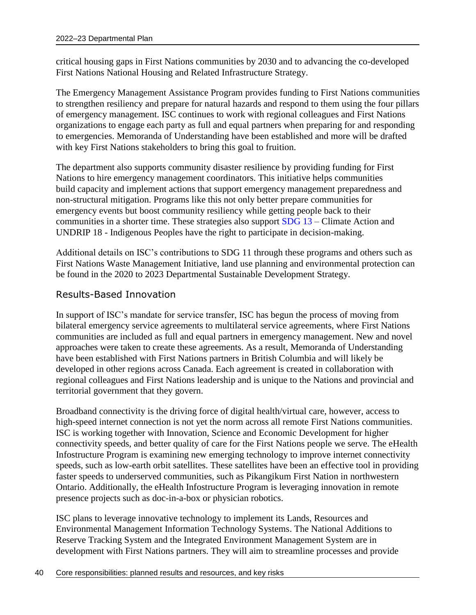critical housing gaps in First Nations communities by 2030 and to advancing the co-developed First Nations National Housing and Related Infrastructure Strategy.

The Emergency Management Assistance Program provides funding to First Nations communities to strengthen resiliency and prepare for natural hazards and respond to them using the four pillars of emergency management. ISC continues to work with regional colleagues and First Nations organizations to engage each party as full and equal partners when preparing for and responding to emergencies. Memoranda of Understanding have been established and more will be drafted with key First Nations stakeholders to bring this goal to fruition.

The department also supports community disaster resilience by providing funding for First Nations to hire emergency management coordinators. This initiative helps communities build capacity and implement actions that support emergency management preparedness and non-structural mitigation. Programs like this not only better prepare communities for emergency events but boost community resiliency while getting people back to their communities in a shorter time. These strategies also support [SDG 13](https://sdgs.un.org/goals/goal13) – Climate Action and UNDRIP 18 - Indigenous Peoples have the right to participate in decision-making.

Additional details on ISC's contributions to SDG 11 through these programs and others such as First Nations Waste Management Initiative, land use planning and environmental protection can be found in the 2020 to 2023 Departmental Sustainable Development Strategy.

## Results-Based Innovation

In support of ISC's mandate for service transfer, ISC has begun the process of moving from bilateral emergency service agreements to multilateral service agreements, where First Nations communities are included as full and equal partners in emergency management. New and novel approaches were taken to create these agreements. As a result, Memoranda of Understanding have been established with First Nations partners in British Columbia and will likely be developed in other regions across Canada. Each agreement is created in collaboration with regional colleagues and First Nations leadership and is unique to the Nations and provincial and territorial government that they govern.

Broadband connectivity is the driving force of digital health/virtual care, however, access to high-speed internet connection is not yet the norm across all remote First Nations communities. ISC is working together with Innovation, Science and Economic Development for higher connectivity speeds, and better quality of care for the First Nations people we serve. The eHealth Infostructure Program is examining new emerging technology to improve internet connectivity speeds, such as low-earth orbit satellites. These satellites have been an effective tool in providing faster speeds to underserved communities, such as Pikangikum First Nation in northwestern Ontario. Additionally, the eHealth Infostructure Program is leveraging innovation in remote presence projects such as doc-in-a-box or physician robotics.

ISC plans to leverage innovative technology to implement its Lands, Resources and Environmental Management Information Technology Systems. The National Additions to Reserve Tracking System and the Integrated Environment Management System are in development with First Nations partners. They will aim to streamline processes and provide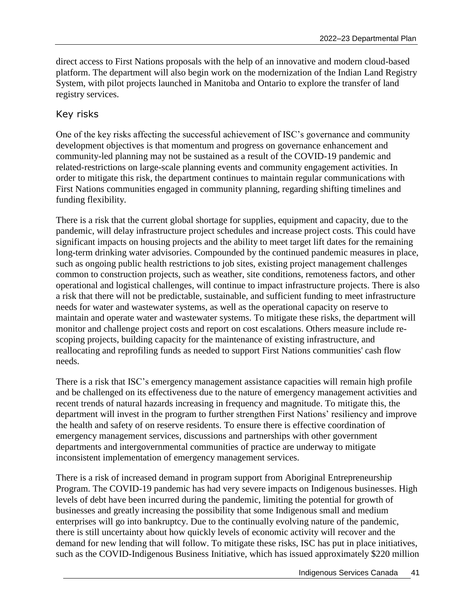direct access to First Nations proposals with the help of an innovative and modern cloud-based platform. The department will also begin work on the modernization of the Indian Land Registry System, with pilot projects launched in Manitoba and Ontario to explore the transfer of land registry services.

## Key risks

One of the key risks affecting the successful achievement of ISC's governance and community development objectives is that momentum and progress on governance enhancement and community-led planning may not be sustained as a result of the COVID-19 pandemic and related-restrictions on large-scale planning events and community engagement activities. In order to mitigate this risk, the department continues to maintain regular communications with First Nations communities engaged in community planning, regarding shifting timelines and funding flexibility.

There is a risk that the current global shortage for supplies, equipment and capacity, due to the pandemic, will delay infrastructure project schedules and increase project costs. This could have significant impacts on housing projects and the ability to meet target lift dates for the remaining long-term drinking water advisories. Compounded by the continued pandemic measures in place, such as ongoing public health restrictions to job sites, existing project management challenges common to construction projects, such as weather, site conditions, remoteness factors, and other operational and logistical challenges, will continue to impact infrastructure projects. There is also a risk that there will not be predictable, sustainable, and sufficient funding to meet infrastructure needs for water and wastewater systems, as well as the operational capacity on reserve to maintain and operate water and wastewater systems. To mitigate these risks, the department will monitor and challenge project costs and report on cost escalations. Others measure include rescoping projects, building capacity for the maintenance of existing infrastructure, and reallocating and reprofiling funds as needed to support First Nations communities' cash flow needs.

There is a risk that ISC's emergency management assistance capacities will remain high profile and be challenged on its effectiveness due to the nature of emergency management activities and recent trends of natural hazards increasing in frequency and magnitude. To mitigate this, the department will invest in the program to further strengthen First Nations' resiliency and improve the health and safety of on reserve residents. To ensure there is effective coordination of emergency management services, discussions and partnerships with other government departments and intergovernmental communities of practice are underway to mitigate inconsistent implementation of emergency management services.

There is a risk of increased demand in program support from Aboriginal Entrepreneurship Program. The COVID-19 pandemic has had very severe impacts on Indigenous businesses. High levels of debt have been incurred during the pandemic, limiting the potential for growth of businesses and greatly increasing the possibility that some Indigenous small and medium enterprises will go into bankruptcy. Due to the continually evolving nature of the pandemic, there is still uncertainty about how quickly levels of economic activity will recover and the demand for new lending that will follow. To mitigate these risks, ISC has put in place initiatives, such as the COVID-Indigenous Business Initiative, which has issued approximately \$220 million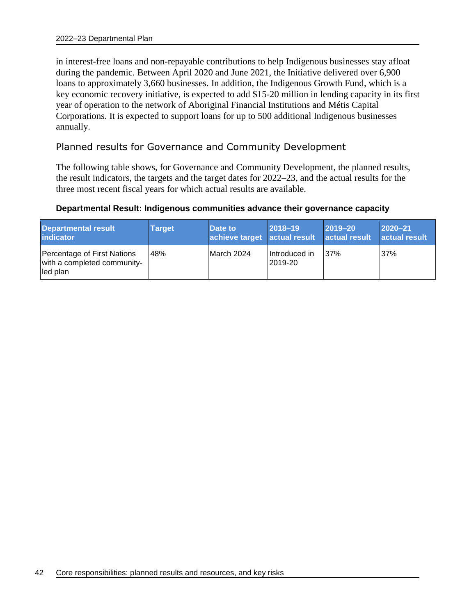in interest-free loans and non-repayable contributions to help Indigenous businesses stay afloat during the pandemic. Between April 2020 and June 2021, the Initiative delivered over 6,900 loans to approximately 3,660 businesses. In addition, the Indigenous Growth Fund, which is a key economic recovery initiative, is expected to add \$15-20 million in lending capacity in its first year of operation to the network of Aboriginal Financial Institutions and Métis Capital Corporations. It is expected to support loans for up to 500 additional Indigenous businesses annually.

## Planned results for Governance and Community Development

The following table shows, for Governance and Community Development, the planned results, the result indicators, the targets and the target dates for 2022–23, and the actual results for the three most recent fiscal years for which actual results are available.

## **Departmental Result: Indigenous communities advance their governance capacity**

| Departmental result<br>indicator                                       | <b>Target</b> | Date to<br>achieve target actual result | $2018 - 19$              | $ 2019 - 20 $<br>actual result | $2020 - 21$<br>actual result |
|------------------------------------------------------------------------|---------------|-----------------------------------------|--------------------------|--------------------------------|------------------------------|
| Percentage of First Nations<br>with a completed community-<br>led plan | 48%           | March 2024                              | Introduced in<br>2019-20 | 37%                            | 37%                          |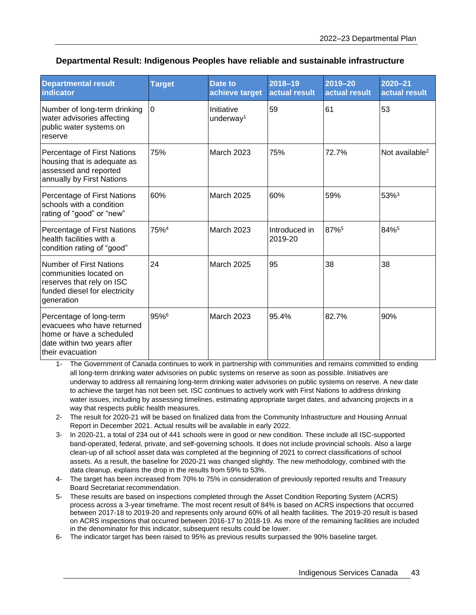| Departmental Result: Indigenous Peoples have reliable and sustainable infrastructure |  |  |  |
|--------------------------------------------------------------------------------------|--|--|--|
|--------------------------------------------------------------------------------------|--|--|--|

| <b>Departmental result</b><br>indicator                                                                                              | <b>Target</b>    | Date to<br>achieve target           | 2018-19<br>actual result | $2019 - 20$<br>actual result | $2020 - 21$<br>actual result |
|--------------------------------------------------------------------------------------------------------------------------------------|------------------|-------------------------------------|--------------------------|------------------------------|------------------------------|
| Number of long-term drinking<br>water advisories affecting<br>public water systems on<br>reserve                                     | $\Omega$         | Initiative<br>underway <sup>1</sup> | 59                       | 61                           | 53                           |
| Percentage of First Nations<br>housing that is adequate as<br>assessed and reported<br>annually by First Nations                     | 75%              | <b>March 2023</b>                   | 75%                      | 72.7%                        | Not available <sup>2</sup>   |
| Percentage of First Nations<br>schools with a condition<br>rating of "good" or "new"                                                 | 60%              | <b>March 2025</b>                   | 60%                      | 59%                          | 53% <sup>3</sup>             |
| Percentage of First Nations<br>health facilities with a<br>condition rating of "good"                                                | 75% <sup>4</sup> | <b>March 2023</b>                   | Introduced in<br>2019-20 | 87%5                         | 84%5                         |
| <b>Number of First Nations</b><br>communities located on<br>reserves that rely on ISC<br>funded diesel for electricity<br>generation | 24               | <b>March 2025</b>                   | 95                       | 38                           | 38                           |
| Percentage of long-term<br>evacuees who have returned<br>home or have a scheduled<br>date within two years after<br>their evacuation | 95%6             | <b>March 2023</b>                   | 95.4%                    | 82.7%                        | 90%                          |

1- The Government of Canada continues to work in partnership with communities and remains committed to ending all long-term drinking water advisories on public systems on reserve as soon as possible. Initiatives are underway to address all remaining long-term drinking water advisories on public systems on reserve. A new date to achieve the target has not been set. ISC continues to actively work with First Nations to address drinking water issues, including by assessing timelines, estimating appropriate target dates, and advancing projects in a way that respects public health measures.

- 2- The result for 2020-21 will be based on finalized data from the Community Infrastructure and Housing Annual Report in December 2021. Actual results will be available in early 2022.
- 3- In 2020-21, a total of 234 out of 441 schools were in good or new condition. These include all ISC-supported band-operated, federal, private, and self-governing schools. It does not include provincial schools. Also a large clean-up of all school asset data was completed at the beginning of 2021 to correct classifications of school assets. As a result, the baseline for 2020-21 was changed slightly. The new methodology, combined with the data cleanup, explains the drop in the results from 59% to 53%.
- 4- The target has been increased from 70% to 75% in consideration of previously reported results and Treasury Board Secretariat recommendation.
- 5- These results are based on inspections completed through the Asset Condition Reporting System (ACRS) process across a 3-year timeframe. The most recent result of 84% is based on ACRS inspections that occurred between 2017-18 to 2019-20 and represents only around 60% of all health facilities. The 2019-20 result is based on ACRS inspections that occurred between 2016-17 to 2018-19. As more of the remaining facilities are included in the denominator for this indicator, subsequent results could be lower.
- 6- The indicator target has been raised to 95% as previous results surpassed the 90% baseline target.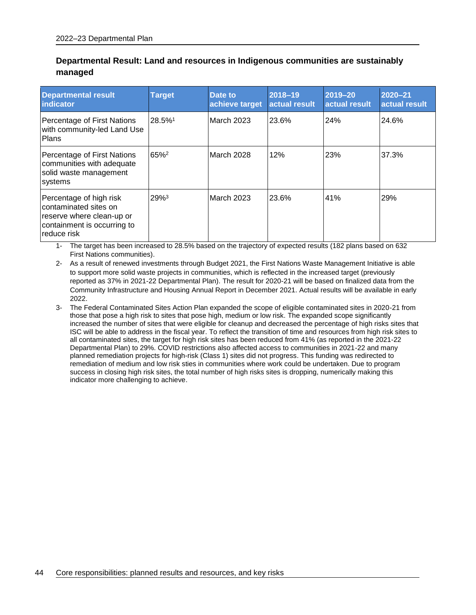### **Departmental Result: Land and resources in Indigenous communities are sustainably managed**

| <b>Departmental result</b><br><b>lindicator</b>                                                                             | <b>Target</b>    | Date to<br>achieve target | 2018-19<br>actual result | 2019-20<br>actual result | 2020-21<br>actual result |
|-----------------------------------------------------------------------------------------------------------------------------|------------------|---------------------------|--------------------------|--------------------------|--------------------------|
| Percentage of First Nations<br>with community-led Land Use<br>Plans                                                         | 28.5%1           | March 2023                | 23.6%                    | 24%                      | 24.6%                    |
| Percentage of First Nations<br>communities with adequate<br>solid waste management<br>systems                               | 65% <sup>2</sup> | March 2028                | 12%                      | 23%                      | 37.3%                    |
| Percentage of high risk<br>contaminated sites on<br>reserve where clean-up or<br>containment is occurring to<br>reduce risk | 29%3             | March 2023                | 23.6%                    | 41%                      | 29%                      |

1- The target has been increased to 28.5% based on the trajectory of expected results (182 plans based on 632 First Nations communities).

2- As a result of renewed investments through Budget 2021, the First Nations Waste Management Initiative is able to support more solid waste projects in communities, which is reflected in the increased target (previously reported as 37% in 2021-22 Departmental Plan). The result for 2020-21 will be based on finalized data from the Community Infrastructure and Housing Annual Report in December 2021. Actual results will be available in early 2022.

3- The Federal Contaminated Sites Action Plan expanded the scope of eligible contaminated sites in 2020-21 from those that pose a high risk to sites that pose high, medium or low risk. The expanded scope significantly increased the number of sites that were eligible for cleanup and decreased the percentage of high risks sites that ISC will be able to address in the fiscal year. To reflect the transition of time and resources from high risk sites to all contaminated sites, the target for high risk sites has been reduced from 41% (as reported in the 2021-22 Departmental Plan) to 29%. COVID restrictions also affected access to communities in 2021-22 and many planned remediation projects for high-risk (Class 1) sites did not progress. This funding was redirected to remediation of medium and low risk sties in communities where work could be undertaken. Due to program success in closing high risk sites, the total number of high risks sites is dropping, numerically making this indicator more challenging to achieve.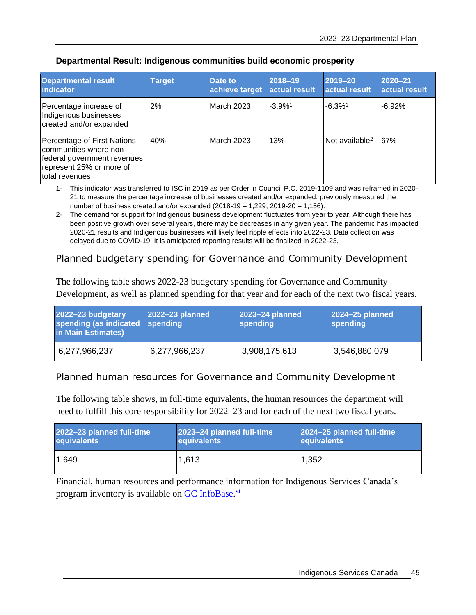| <b>Departmental result</b><br>indicator                                                                                            | <b>Target</b> | Date to<br>achieve target | $2018 - 19$<br>actual result | 2019-20<br>actual result   | $2020 - 21$<br>actual result |
|------------------------------------------------------------------------------------------------------------------------------------|---------------|---------------------------|------------------------------|----------------------------|------------------------------|
| Percentage increase of<br>Indigenous businesses<br>created and/or expanded                                                         | 2%            | March 2023                | $-3.9%$ <sup>1</sup>         | $-6.3%$ <sup>1</sup>       | $-6.92%$                     |
| Percentage of First Nations<br>communities where non-<br>federal government revenues<br>represent 25% or more of<br>total revenues | 40%           | <b>March 2023</b>         | 13%                          | Not available <sup>2</sup> | 67%                          |

#### **Departmental Result: Indigenous communities build economic prosperity**

1- This indicator was transferred to ISC in 2019 as per Order in Council P.C. 2019-1109 and was reframed in 2020- 21 to measure the percentage increase of businesses created and/or expanded; previously measured the number of business created and/or expanded (2018-19 – 1,229; 2019-20 – 1,156).

2- The demand for support for Indigenous business development fluctuates from year to year. Although there has been positive growth over several years, there may be decreases in any given year. The pandemic has impacted 2020-21 results and Indigenous businesses will likely feel ripple effects into 2022-23. Data collection was delayed due to COVID-19. It is anticipated reporting results will be finalized in 2022-23.

## Planned budgetary spending for Governance and Community Development

The following table shows 2022-23 budgetary spending for Governance and Community Development, as well as planned spending for that year and for each of the next two fiscal years.

| 2022-23 budgetary<br>spending (as indicated spending<br>in Main Estimates) | 2022-23 planned | 2023-24 planned<br>spending | 2024-25 planned<br><b>spending</b> |
|----------------------------------------------------------------------------|-----------------|-----------------------------|------------------------------------|
| 6,277,966,237                                                              | 6,277,966,237   | 3,908,175,613               | 3,546,880,079                      |

## Planned human resources for Governance and Community Development

The following table shows, in full-time equivalents, the human resources the department will need to fulfill this core responsibility for 2022–23 and for each of the next two fiscal years.

| 2022-23 planned full-time | 2023-24 planned full-time | 2024-25 planned full-time |
|---------------------------|---------------------------|---------------------------|
| equivalents               | equivalents               | equivalents               |
| 1.649                     | 1,613                     | 1,352                     |

Financial, human resources and performance information for Indigenous Services Canada's program inventory is available on [GC InfoBase.](https://www.tbs-sct.gc.ca/ems-sgd/edb-bdd/index-eng.html#infographic/dept/348/intro)<sup>vi</sup>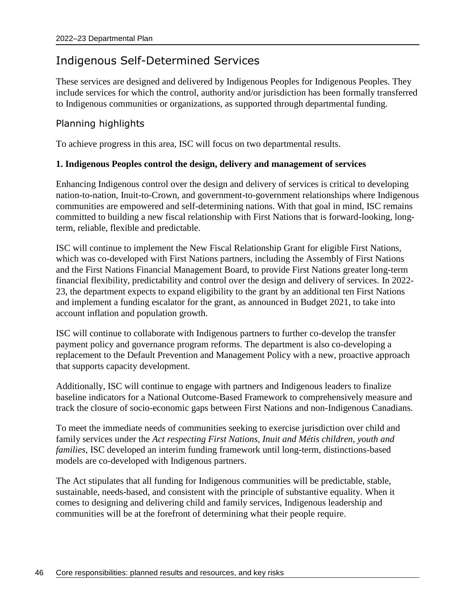# Indigenous Self-Determined Services

These services are designed and delivered by Indigenous Peoples for Indigenous Peoples. They include services for which the control, authority and/or jurisdiction has been formally transferred to Indigenous communities or organizations, as supported through departmental funding.

## Planning highlights

To achieve progress in this area, ISC will focus on two departmental results.

## **1. Indigenous Peoples control the design, delivery and management of services**

Enhancing Indigenous control over the design and delivery of services is critical to developing nation-to-nation, Inuit-to-Crown, and government-to-government relationships where Indigenous communities are empowered and self-determining nations. With that goal in mind, ISC remains committed to building a new fiscal relationship with First Nations that is forward-looking, longterm, reliable, flexible and predictable.

ISC will continue to implement the New Fiscal Relationship Grant for eligible First Nations, which was co-developed with First Nations partners, including the Assembly of First Nations and the First Nations Financial Management Board, to provide First Nations greater long-term financial flexibility, predictability and control over the design and delivery of services. In 2022- 23, the department expects to expand eligibility to the grant by an additional ten First Nations and implement a funding escalator for the grant, as announced in Budget 2021, to take into account inflation and population growth.

ISC will continue to collaborate with Indigenous partners to further co-develop the transfer payment policy and governance program reforms. The department is also co-developing a replacement to the Default Prevention and Management Policy with a new, proactive approach that supports capacity development.

Additionally, ISC will continue to engage with partners and Indigenous leaders to finalize baseline indicators for a National Outcome-Based Framework to comprehensively measure and track the closure of socio-economic gaps between First Nations and non-Indigenous Canadians.

To meet the immediate needs of communities seeking to exercise jurisdiction over child and family services under the *Act respecting First Nations, Inuit and Métis children, youth and families,* ISC developed an interim funding framework until long-term, distinctions-based models are co-developed with Indigenous partners.

The Act stipulates that all funding for Indigenous communities will be predictable, stable, sustainable, needs-based, and consistent with the principle of substantive equality. When it comes to designing and delivering child and family services, Indigenous leadership and communities will be at the forefront of determining what their people require.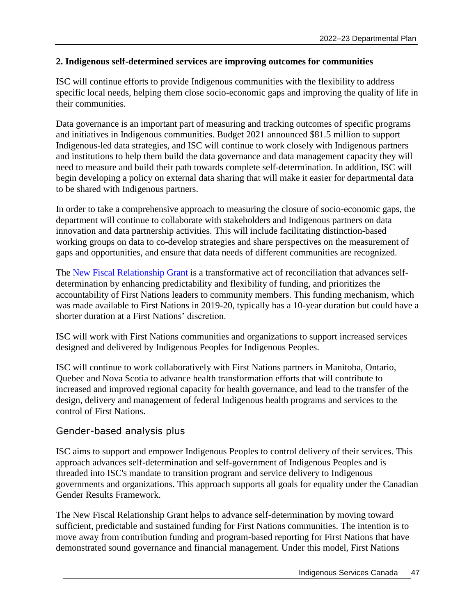### **2. Indigenous self-determined services are improving outcomes for communities**

ISC will continue efforts to provide Indigenous communities with the flexibility to address specific local needs, helping them close socio-economic gaps and improving the quality of life in their communities.

Data governance is an important part of measuring and tracking outcomes of specific programs and initiatives in Indigenous communities. Budget 2021 announced \$81.5 million to support Indigenous-led data strategies, and ISC will continue to work closely with Indigenous partners and institutions to help them build the data governance and data management capacity they will need to measure and build their path towards complete self-determination. In addition, ISC will begin developing a policy on external data sharing that will make it easier for departmental data to be shared with Indigenous partners.

In order to take a comprehensive approach to measuring the closure of socio-economic gaps, the department will continue to collaborate with stakeholders and Indigenous partners on data innovation and data partnership activities. This will include facilitating distinction-based working groups on data to co-develop strategies and share perspectives on the measurement of gaps and opportunities, and ensure that data needs of different communities are recognized.

The [New Fiscal Relationship Grant](https://www.sac-isc.gc.ca/eng/1499805218096/1521125536314) is a transformative act of reconciliation that advances selfdetermination by enhancing predictability and flexibility of funding, and prioritizes the accountability of First Nations leaders to community members. This funding mechanism, which was made available to First Nations in 2019-20, typically has a 10-year duration but could have a shorter duration at a First Nations' discretion.

ISC will work with First Nations communities and organizations to support increased services designed and delivered by Indigenous Peoples for Indigenous Peoples.

ISC will continue to work collaboratively with First Nations partners in Manitoba, Ontario, Quebec and Nova Scotia to advance health transformation efforts that will contribute to increased and improved regional capacity for health governance, and lead to the transfer of the design, delivery and management of federal Indigenous health programs and services to the control of First Nations.

## Gender-based analysis plus

ISC aims to support and empower Indigenous Peoples to control delivery of their services. This approach advances self-determination and self-government of Indigenous Peoples and is threaded into ISC's mandate to transition program and service delivery to Indigenous governments and organizations. This approach supports all goals for equality under the Canadian Gender Results Framework.

The New Fiscal Relationship Grant helps to advance self-determination by moving toward sufficient, predictable and sustained funding for First Nations communities. The intention is to move away from contribution funding and program-based reporting for First Nations that have demonstrated sound governance and financial management. Under this model, First Nations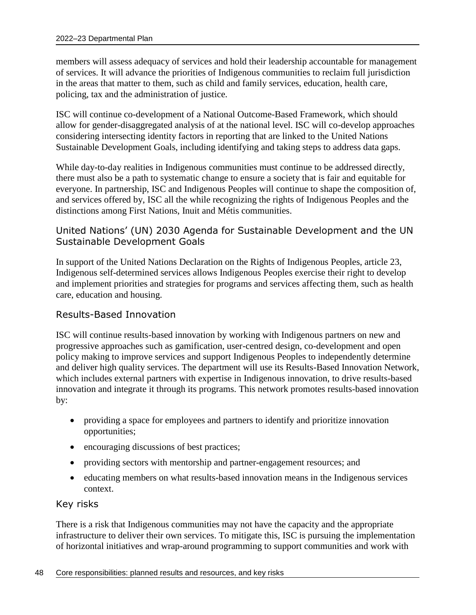members will assess adequacy of services and hold their leadership accountable for management of services. It will advance the priorities of Indigenous communities to reclaim full jurisdiction in the areas that matter to them, such as child and family services, education, health care, policing, tax and the administration of justice.

ISC will continue co-development of a National Outcome-Based Framework, which should allow for gender-disaggregated analysis of at the national level. ISC will co-develop approaches considering intersecting identity factors in reporting that are linked to the United Nations Sustainable Development Goals, including identifying and taking steps to address data gaps.

While day-to-day realities in Indigenous communities must continue to be addressed directly, there must also be a path to systematic change to ensure a society that is fair and equitable for everyone. In partnership, ISC and Indigenous Peoples will continue to shape the composition of, and services offered by, ISC all the while recognizing the rights of Indigenous Peoples and the distinctions among First Nations, Inuit and Métis communities.

## United Nations' (UN) 2030 Agenda for Sustainable Development and the UN Sustainable Development Goals

In support of the United Nations Declaration on the Rights of Indigenous Peoples, article 23, Indigenous self-determined services allows Indigenous Peoples exercise their right to develop and implement priorities and strategies for programs and services affecting them, such as health care, education and housing.

## Results-Based Innovation

ISC will continue results-based innovation by working with Indigenous partners on new and progressive approaches such as gamification, user-centred design, co-development and open policy making to improve services and support Indigenous Peoples to independently determine and deliver high quality services. The department will use its Results-Based Innovation Network, which includes external partners with expertise in Indigenous innovation, to drive results-based innovation and integrate it through its programs. This network promotes results-based innovation by:

- providing a space for employees and partners to identify and prioritize innovation opportunities;
- encouraging discussions of best practices;
- providing sectors with mentorship and partner-engagement resources; and
- educating members on what results-based innovation means in the Indigenous services context.

## Key risks

There is a risk that Indigenous communities may not have the capacity and the appropriate infrastructure to deliver their own services. To mitigate this, ISC is pursuing the implementation of horizontal initiatives and wrap-around programming to support communities and work with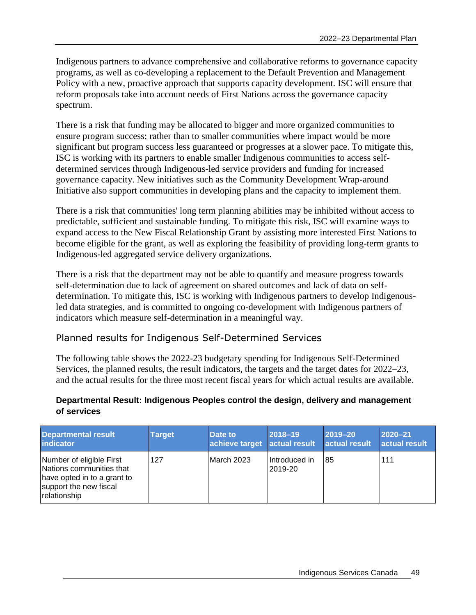Indigenous partners to advance comprehensive and collaborative reforms to governance capacity programs, as well as co-developing a replacement to the Default Prevention and Management Policy with a new, proactive approach that supports capacity development. ISC will ensure that reform proposals take into account needs of First Nations across the governance capacity spectrum.

There is a risk that funding may be allocated to bigger and more organized communities to ensure program success; rather than to smaller communities where impact would be more significant but program success less guaranteed or progresses at a slower pace. To mitigate this, ISC is working with its partners to enable smaller Indigenous communities to access selfdetermined services through Indigenous-led service providers and funding for increased governance capacity. New initiatives such as the Community Development Wrap-around Initiative also support communities in developing plans and the capacity to implement them.

There is a risk that communities' long term planning abilities may be inhibited without access to predictable, sufficient and sustainable funding. To mitigate this risk, ISC will examine ways to expand access to the New Fiscal Relationship Grant by assisting more interested First Nations to become eligible for the grant, as well as exploring the feasibility of providing long-term grants to Indigenous-led aggregated service delivery organizations.

There is a risk that the department may not be able to quantify and measure progress towards self-determination due to lack of agreement on shared outcomes and lack of data on selfdetermination. To mitigate this, ISC is working with Indigenous partners to develop Indigenousled data strategies, and is committed to ongoing co-development with Indigenous partners of indicators which measure self-determination in a meaningful way.

## Planned results for Indigenous Self-Determined Services

The following table shows the 2022-23 budgetary spending for Indigenous Self-Determined Services, the planned results, the result indicators, the targets and the target dates for 2022–23, and the actual results for the three most recent fiscal years for which actual results are available.

## **Departmental Result: Indigenous Peoples control the design, delivery and management of services**

| <b>Departmental result</b><br><b>indicator</b>                                                                                | <b>Target</b> | Date to<br>achieve target actual result | $2018 - 19$                | 2019-20<br>actual result | 2020-21<br>actual result |
|-------------------------------------------------------------------------------------------------------------------------------|---------------|-----------------------------------------|----------------------------|--------------------------|--------------------------|
| Number of eligible First<br>Nations communities that<br>have opted in to a grant to<br>support the new fiscal<br>relationship | 127           | March 2023                              | I Introduced in<br>2019-20 | -85                      | 111                      |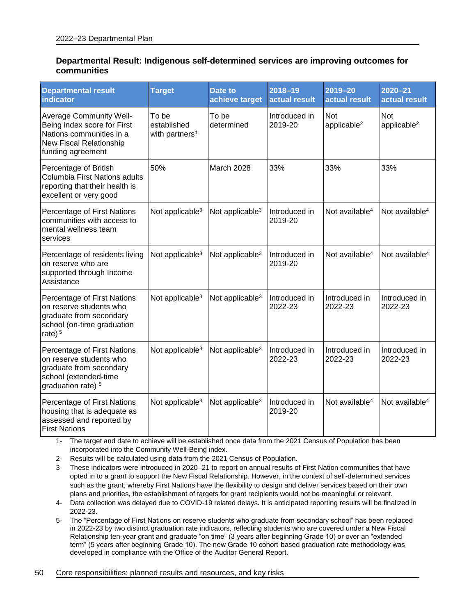#### **Departmental Result: Indigenous self-determined services are improving outcomes for communities**

| <b>Departmental result</b><br><b>indicator</b>                                                                                            | <b>Target</b>                                      | Date to<br>achieve target   | $2018 - 19$<br>actual result | $2019 - 20$<br>actual result          | 2020-21<br>actual result              |
|-------------------------------------------------------------------------------------------------------------------------------------------|----------------------------------------------------|-----------------------------|------------------------------|---------------------------------------|---------------------------------------|
| <b>Average Community Well-</b><br>Being index score for First<br>Nations communities in a<br>New Fiscal Relationship<br>funding agreement | To be<br>established<br>with partners <sup>1</sup> | To be<br>determined         | Introduced in<br>2019-20     | <b>Not</b><br>applicable <sup>2</sup> | <b>Not</b><br>applicable <sup>2</sup> |
| Percentage of British<br>Columbia First Nations adults<br>reporting that their health is<br>excellent or very good                        | 50%                                                | March 2028                  | 33%                          | 33%                                   | 33%                                   |
| Percentage of First Nations<br>communities with access to<br>mental wellness team<br>services                                             | Not applicable <sup>3</sup>                        | Not applicable <sup>3</sup> | Introduced in<br>2019-20     | Not available <sup>4</sup>            | Not available <sup>4</sup>            |
| Percentage of residents living<br>on reserve who are<br>supported through Income<br>Assistance                                            | Not applicable <sup>3</sup>                        | Not applicable <sup>3</sup> | Introduced in<br>2019-20     | Not available <sup>4</sup>            | Not available <sup>4</sup>            |
| Percentage of First Nations<br>on reserve students who<br>graduate from secondary<br>school (on-time graduation<br>rate) $5$              | Not applicable <sup>3</sup>                        | Not applicable <sup>3</sup> | Introduced in<br>2022-23     | Introduced in<br>2022-23              | Introduced in<br>2022-23              |
| Percentage of First Nations<br>on reserve students who<br>graduate from secondary<br>school (extended-time<br>graduation rate) 5          | Not applicable <sup>3</sup>                        | Not applicable <sup>3</sup> | Introduced in<br>2022-23     | Introduced in<br>2022-23              | Introduced in<br>2022-23              |
| Percentage of First Nations<br>housing that is adequate as<br>assessed and reported by<br><b>First Nations</b>                            | Not applicable <sup>3</sup>                        | Not applicable <sup>3</sup> | Introduced in<br>2019-20     | Not available <sup>4</sup>            | Not available <sup>4</sup>            |

1- The target and date to achieve will be established once data from the 2021 Census of Population has been incorporated into the Community Well-Being index.

2- Results will be calculated using data from the 2021 Census of Population.

3- These indicators were introduced in 2020–21 to report on annual results of First Nation communities that have opted in to a grant to support the New Fiscal Relationship. However, in the context of self-determined services such as the grant, whereby First Nations have the flexibility to design and deliver services based on their own plans and priorities, the establishment of targets for grant recipients would not be meaningful or relevant.

- 4- Data collection was delayed due to COVID-19 related delays. It is anticipated reporting results will be finalized in 2022-23.
- 5- The "Percentage of First Nations on reserve students who graduate from secondary school" has been replaced in 2022-23 by two distinct graduation rate indicators, reflecting students who are covered under a New Fiscal Relationship ten-year grant and graduate "on time" (3 years after beginning Grade 10) or over an "extended term" (5 years after beginning Grade 10). The new Grade 10 cohort-based graduation rate methodology was developed in compliance with the Office of the Auditor General Report.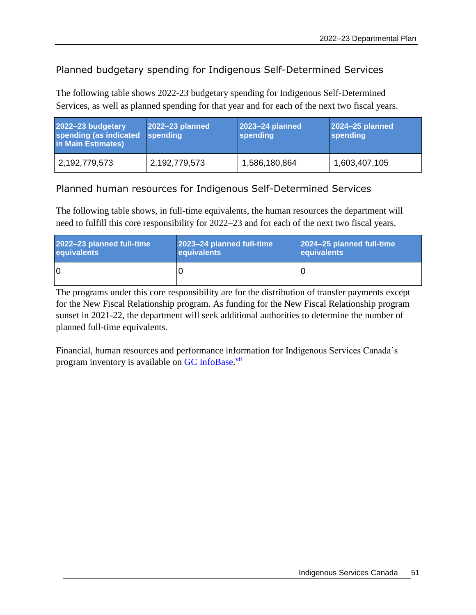## Planned budgetary spending for Indigenous Self-Determined Services

The following table shows 2022-23 budgetary spending for Indigenous Self-Determined Services, as well as planned spending for that year and for each of the next two fiscal years.

| 2022-23 budgetary<br>spending (as indicated spending<br>in Main Estimates) | 2022-23 planned | 2023-24 planned<br>spending | 2024-25 planned<br>spending |
|----------------------------------------------------------------------------|-----------------|-----------------------------|-----------------------------|
| 2,192,779,573                                                              | 2,192,779,573   | 1,586,180,864               | 1,603,407,105               |

## Planned human resources for Indigenous Self-Determined Services

The following table shows, in full-time equivalents, the human resources the department will need to fulfill this core responsibility for 2022–23 and for each of the next two fiscal years.

| 2022-23 planned full-time | 2023–24 planned full-time | 2024-25 planned full-time |
|---------------------------|---------------------------|---------------------------|
| equivalents               | <b>equivalents</b>        | <b>equivalents</b>        |
| ١O                        |                           |                           |

The programs under this core responsibility are for the distribution of transfer payments except for the New Fiscal Relationship program. As funding for the New Fiscal Relationship program sunset in 2021-22, the department will seek additional authorities to determine the number of planned full-time equivalents.

Financial, human resources and performance information for Indigenous Services Canada's program inventory is available on [GC InfoBase.](https://www.tbs-sct.gc.ca/ems-sgd/edb-bdd/index-eng.html#infographic/dept/348/intro)<sup>vii</sup>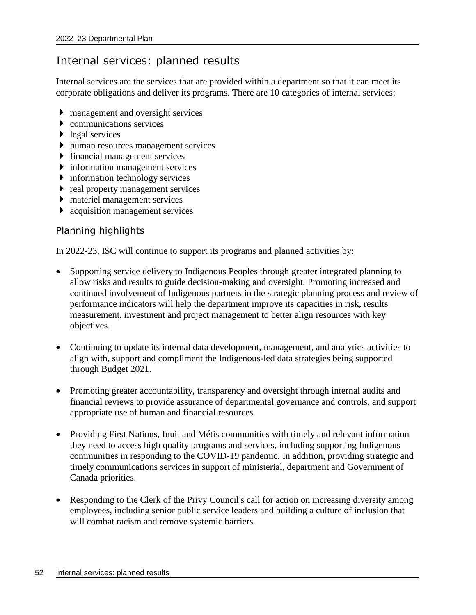# Internal services: planned results

Internal services are the services that are provided within a department so that it can meet its corporate obligations and deliver its programs. There are 10 categories of internal services:

- management and oversight services
- communications services
- $\blacktriangleright$  legal services
- human resources management services
- financial management services
- **information management services**
- **information technology services**
- $\triangleright$  real property management services
- materiel management services
- acquisition management services

## Planning highlights

In 2022-23, ISC will continue to support its programs and planned activities by:

- Supporting service delivery to Indigenous Peoples through greater integrated planning to allow risks and results to guide decision-making and oversight. Promoting increased and continued involvement of Indigenous partners in the strategic planning process and review of performance indicators will help the department improve its capacities in risk, results measurement, investment and project management to better align resources with key objectives.
- Continuing to update its internal data development, management, and analytics activities to align with, support and compliment the Indigenous-led data strategies being supported through Budget 2021.
- Promoting greater accountability, transparency and oversight through internal audits and financial reviews to provide assurance of departmental governance and controls, and support appropriate use of human and financial resources.
- Providing First Nations, Inuit and Métis communities with timely and relevant information they need to access high quality programs and services, including supporting Indigenous communities in responding to the COVID-19 pandemic. In addition, providing strategic and timely communications services in support of ministerial, department and Government of Canada priorities.
- Responding to the Clerk of the Privy Council's call for action on increasing diversity among employees, including senior public service leaders and building a culture of inclusion that will combat racism and remove systemic barriers.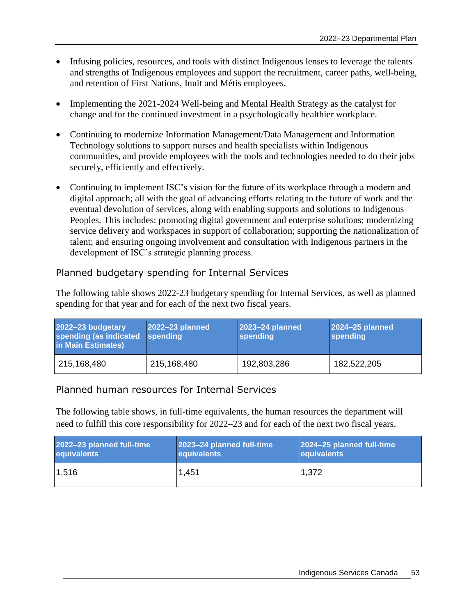- Infusing policies, resources, and tools with distinct Indigenous lenses to leverage the talents and strengths of Indigenous employees and support the recruitment, career paths, well-being, and retention of First Nations, Inuit and Métis employees.
- Implementing the 2021-2024 Well-being and Mental Health Strategy as the catalyst for change and for the continued investment in a psychologically healthier workplace.
- Continuing to modernize Information Management/Data Management and Information Technology solutions to support nurses and health specialists within Indigenous communities, and provide employees with the tools and technologies needed to do their jobs securely, efficiently and effectively.
- Continuing to implement ISC's vision for the future of its workplace through a modern and digital approach; all with the goal of advancing efforts relating to the future of work and the eventual devolution of services, along with enabling supports and solutions to Indigenous Peoples. This includes: promoting digital government and enterprise solutions; modernizing service delivery and workspaces in support of collaboration; supporting the nationalization of talent; and ensuring ongoing involvement and consultation with Indigenous partners in the development of ISC's strategic planning process.

## Planned budgetary spending for Internal Services

The following table shows 2022-23 budgetary spending for Internal Services, as well as planned spending for that year and for each of the next two fiscal years.

| 2022-23 budgetary<br>spending (as indicated spending<br>in Main Estimates) | 2022-23 planned | 2023-24 planned<br>spending | 2024-25 planned<br>spending |
|----------------------------------------------------------------------------|-----------------|-----------------------------|-----------------------------|
| 215,168,480                                                                | 215,168,480     | 192,803,286                 | 182,522,205                 |

## Planned human resources for Internal Services

The following table shows, in full-time equivalents, the human resources the department will need to fulfill this core responsibility for 2022–23 and for each of the next two fiscal years.

| 2022-23 planned full-time | 2023-24 planned full-time | 2024-25 planned full-time |
|---------------------------|---------------------------|---------------------------|
| equivalents               | equivalents               | equivalents               |
| 1,516                     | 1,451                     | 1,372                     |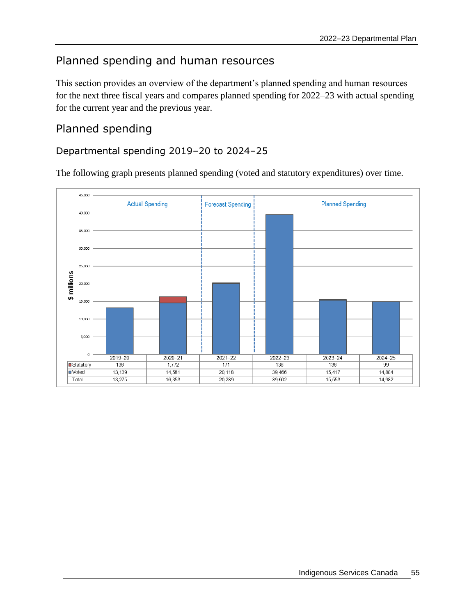# Planned spending and human resources

This section provides an overview of the department's planned spending and human resources for the next three fiscal years and compares planned spending for 2022–23 with actual spending for the current year and the previous year.

# Planned spending

## Departmental spending 2019–20 to 2024–25

The following graph presents planned spending (voted and statutory expenditures) over time.

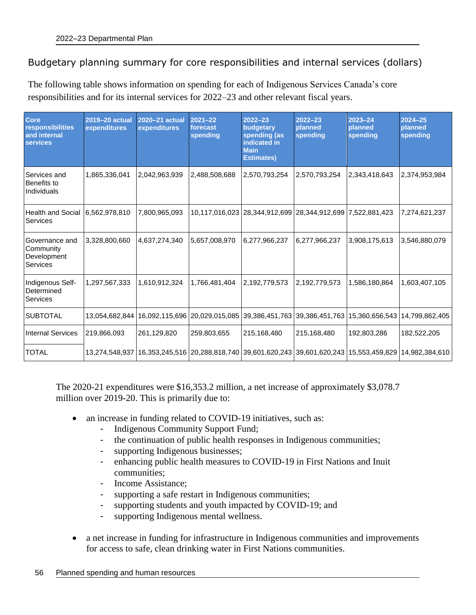## Budgetary planning summary for core responsibilities and internal services (dollars)

The following table shows information on spending for each of Indigenous Services Canada's core responsibilities and for its internal services for 2022–23 and other relevant fiscal years.

| <b>Core</b><br>responsibilities<br>and internal<br><b>services</b> | 2019-20 actual<br>expenditures | 2020-21 actual<br>expenditures | $2021 - 22$<br>forecast<br>spending | $2022 - 23$<br>budgetary<br>spending (as<br>indicated in<br><b>Main</b><br><b>Estimates)</b> | $2022 - 23$<br>planned<br>spending                         | $2023 - 24$<br>planned<br>spending | $2024 - 25$<br>planned<br>spending                                                                                   |
|--------------------------------------------------------------------|--------------------------------|--------------------------------|-------------------------------------|----------------------------------------------------------------------------------------------|------------------------------------------------------------|------------------------------------|----------------------------------------------------------------------------------------------------------------------|
| Services and<br>Benefits to<br>Individuals                         | 1,865,336,041                  | 2,042,963,939                  | 2,488,508,688                       | 2,570,793,254                                                                                | 2,570,793,254                                              | 2,343,418,643                      | 2,374,953,984                                                                                                        |
| Health and Social<br>Services                                      | 6,562,978,810                  | 7,800,965,093                  |                                     |                                                                                              | 10,117,016,023 28,344,912,699 28,344,912,699 7,522,881,423 |                                    | 7,274,621,237                                                                                                        |
| Governance and<br>Community<br>Development<br>Services             | 3,328,800,660                  | 4,637,274,340                  | 5,657,008,970                       | 6,277,966,237                                                                                | 6,277,966,237                                              | 3,908,175,613                      | 3,546,880,079                                                                                                        |
| Indigenous Self-<br>Determined<br>Services                         | 1,297,567,333                  | 1,610,912,324                  | 1,766,481,404                       | 2,192,779,573                                                                                | 2,192,779,573                                              | 1,586,180,864                      | 1,603,407,105                                                                                                        |
| <b>SUBTOTAL</b>                                                    | 13,054,682,844                 |                                | 16,092,115,696 20,029,015,085       |                                                                                              | 39,386,451,763 39,386,451,763 15,360,656,543               |                                    | 14,799,862,405                                                                                                       |
| <b>Internal Services</b>                                           | 219,866,093                    | 261,129,820                    | 259,803,655                         | 215,168,480                                                                                  | 215,168,480                                                | 192,803,286                        | 182,522,205                                                                                                          |
| <b>TOTAL</b>                                                       |                                |                                |                                     |                                                                                              |                                                            |                                    | 13,274,548,937   16,353,245,516   20,288,818,740   39,601,620,243   39,601,620,243   15,553,459,829   14,982,384,610 |

The 2020-21 expenditures were \$16,353.2 million, a net increase of approximately \$3,078.7 million over 2019-20. This is primarily due to:

- an increase in funding related to COVID-19 initiatives, such as:
	- Indigenous Community Support Fund;
	- the continuation of public health responses in Indigenous communities;
	- supporting Indigenous businesses;
	- enhancing public health measures to COVID-19 in First Nations and Inuit communities;
	- Income Assistance;
	- supporting a safe restart in Indigenous communities;
	- supporting students and youth impacted by COVID-19; and
	- supporting Indigenous mental wellness.
- a net increase in funding for infrastructure in Indigenous communities and improvements for access to safe, clean drinking water in First Nations communities.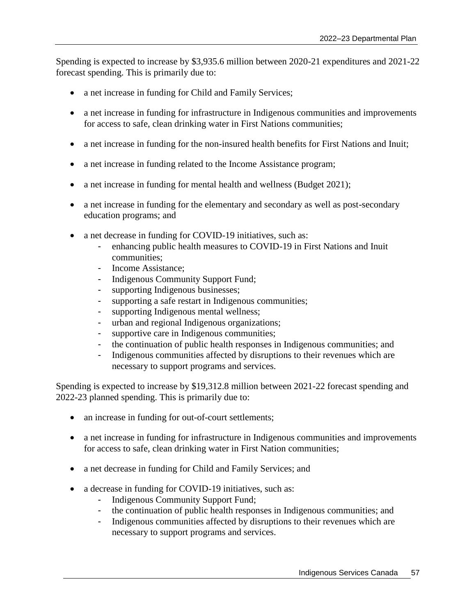Spending is expected to increase by \$3,935.6 million between 2020-21 expenditures and 2021-22 forecast spending. This is primarily due to:

- a net increase in funding for Child and Family Services;
- a net increase in funding for infrastructure in Indigenous communities and improvements for access to safe, clean drinking water in First Nations communities;
- a net increase in funding for the non-insured health benefits for First Nations and Inuit;
- a net increase in funding related to the Income Assistance program;
- a net increase in funding for mental health and wellness (Budget 2021);
- a net increase in funding for the elementary and secondary as well as post-secondary education programs; and
- a net decrease in funding for COVID-19 initiatives, such as:
	- enhancing public health measures to COVID-19 in First Nations and Inuit communities;
	- Income Assistance;
	- Indigenous Community Support Fund;
	- supporting Indigenous businesses;
	- supporting a safe restart in Indigenous communities;
	- supporting Indigenous mental wellness;
	- urban and regional Indigenous organizations;
	- supportive care in Indigenous communities;
	- the continuation of public health responses in Indigenous communities; and
	- Indigenous communities affected by disruptions to their revenues which are necessary to support programs and services.

Spending is expected to increase by \$19,312.8 million between 2021-22 forecast spending and 2022-23 planned spending. This is primarily due to:

- an increase in funding for out-of-court settlements;
- a net increase in funding for infrastructure in Indigenous communities and improvements for access to safe, clean drinking water in First Nation communities;
- a net decrease in funding for Child and Family Services; and
- a decrease in funding for COVID-19 initiatives, such as:
	- Indigenous Community Support Fund;
	- the continuation of public health responses in Indigenous communities; and
	- Indigenous communities affected by disruptions to their revenues which are necessary to support programs and services.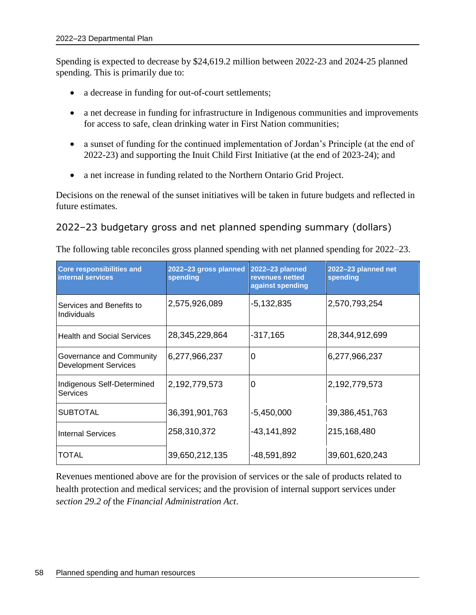Spending is expected to decrease by \$24,619.2 million between 2022-23 and 2024-25 planned spending. This is primarily due to:

- a decrease in funding for out-of-court settlements;
- a net decrease in funding for infrastructure in Indigenous communities and improvements for access to safe, clean drinking water in First Nation communities;
- a sunset of funding for the continued implementation of Jordan's Principle (at the end of 2022-23) and supporting the Inuit Child First Initiative (at the end of 2023-24); and
- a net increase in funding related to the Northern Ontario Grid Project.

Decisions on the renewal of the sunset initiatives will be taken in future budgets and reflected in future estimates.

## 2022–23 budgetary gross and net planned spending summary (dollars)

| <b>Core responsibilities and</b><br>internal services   | 2022-23 gross planned<br>spending | 2022-23 planned<br>revenues netted<br>against spending | 2022-23 planned net<br>spending |
|---------------------------------------------------------|-----------------------------------|--------------------------------------------------------|---------------------------------|
| Services and Benefits to<br>Individuals                 | 2,575,926,089                     | $-5,132,835$                                           | 2,570,793,254                   |
| <b>Health and Social Services</b>                       | 28,345,229,864                    | $-317,165$                                             | 28,344,912,699                  |
| Governance and Community<br><b>Development Services</b> | 6,277,966,237                     | 0                                                      | 6,277,966,237                   |
| Indigenous Self-Determined<br>Services                  | 2,192,779,573                     | 0                                                      | 2,192,779,573                   |
| <b>SUBTOTAL</b>                                         | 36,391,901,763                    | $-5,450,000$                                           | 39,386,451,763                  |
| <b>Internal Services</b>                                | 258,310,372                       | -43,141,892                                            | 215,168,480                     |
| TOTAL                                                   | 39,650,212,135                    | -48,591,892                                            | 39,601,620,243                  |

The following table reconciles gross planned spending with net planned spending for 2022–23.

Revenues mentioned above are for the provision of services or the sale of products related to health protection and medical services; and the provision of internal support services under *section 29.2 of* the *Financial Administration Act*.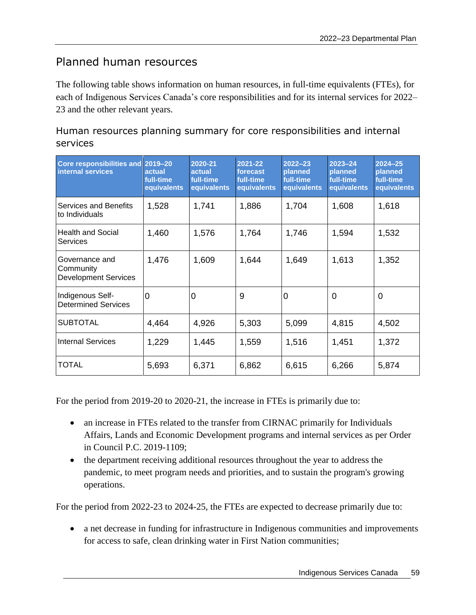# Planned human resources

The following table shows information on human resources, in full-time equivalents (FTEs), for each of Indigenous Services Canada's core responsibilities and for its internal services for 2022– 23 and the other relevant years.

## Human resources planning summary for core responsibilities and internal services

| Core responsibilities and 2019-20<br>internal services     | actual<br>full-time<br>equivalents | 2020-21<br>actual<br>full-time<br>equivalents | 2021-22<br>forecast<br>full-time<br>equivalents | $2022 - 23$<br>planned<br>full-time<br>equivalents | $2023 - 24$<br>planned<br>full-time<br>equivalents | $2024 - 25$<br>planned<br>full-time<br>equivalents |
|------------------------------------------------------------|------------------------------------|-----------------------------------------------|-------------------------------------------------|----------------------------------------------------|----------------------------------------------------|----------------------------------------------------|
| Services and Benefits<br>to Individuals                    | 1,528                              | 1,741                                         | 1,886                                           | 1,704                                              | 1,608                                              | 1,618                                              |
| <b>Health and Social</b><br><b>Services</b>                | 1,460                              | 1,576                                         | 1,764                                           | 1,746                                              | 1,594                                              | 1,532                                              |
| Governance and<br>Community<br><b>Development Services</b> | 1,476                              | 1,609                                         | 1,644                                           | 1,649                                              | 1,613                                              | 1,352                                              |
| Indigenous Self-<br><b>Determined Services</b>             | $\Omega$                           | 0                                             | 9                                               | 0                                                  | 0                                                  | 0                                                  |
| <b>SUBTOTAL</b>                                            | 4,464                              | 4,926                                         | 5,303                                           | 5,099                                              | 4,815                                              | 4,502                                              |
| <b>Internal Services</b>                                   | 1,229                              | 1,445                                         | 1,559                                           | 1,516                                              | 1,451                                              | 1,372                                              |
| TOTAL                                                      | 5,693                              | 6,371                                         | 6,862                                           | 6,615                                              | 6,266                                              | 5,874                                              |

For the period from 2019-20 to 2020-21, the increase in FTEs is primarily due to:

- an increase in FTEs related to the transfer from CIRNAC primarily for Individuals Affairs, Lands and Economic Development programs and internal services as per Order in Council P.C. 2019-1109;
- the department receiving additional resources throughout the year to address the pandemic, to meet program needs and priorities, and to sustain the program's growing operations.

For the period from 2022-23 to 2024-25, the FTEs are expected to decrease primarily due to:

 a net decrease in funding for infrastructure in Indigenous communities and improvements for access to safe, clean drinking water in First Nation communities;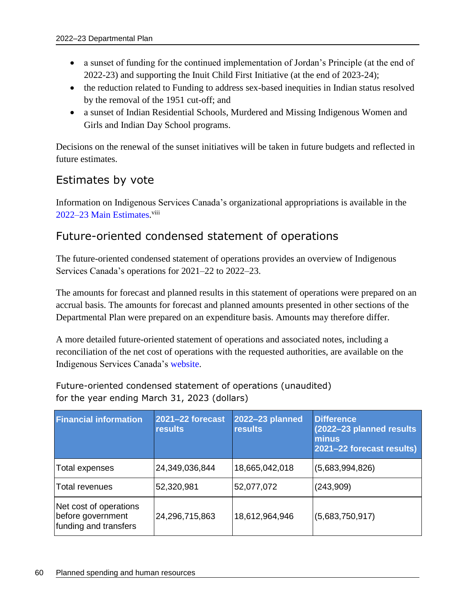- a sunset of funding for the continued implementation of Jordan's Principle (at the end of 2022-23) and supporting the Inuit Child First Initiative (at the end of 2023-24);
- the reduction related to Funding to address sex-based inequities in Indian status resolved by the removal of the 1951 cut-off; and
- a sunset of Indian Residential Schools, Murdered and Missing Indigenous Women and Girls and Indian Day School programs.

Decisions on the renewal of the sunset initiatives will be taken in future budgets and reflected in future estimates.

# Estimates by vote

Information on Indigenous Services Canada's organizational appropriations is available in the [2022–23 Main Estimates.](http://www.tbs-sct.gc.ca/hgw-cgf/finances/pgs-pdg/gepme-pdgbpd/index-eng.asp)<sup>viii</sup>

## Future-oriented condensed statement of operations

The future-oriented condensed statement of operations provides an overview of Indigenous Services Canada's operations for 2021–22 to 2022–23.

The amounts for forecast and planned results in this statement of operations were prepared on an accrual basis. The amounts for forecast and planned amounts presented in other sections of the Departmental Plan were prepared on an expenditure basis. Amounts may therefore differ.

A more detailed future-oriented statement of operations and associated notes, including a reconciliation of the net cost of operations with the requested authorities, are available on the Indigenous Services Canada's [website.](https://www.sac-isc.gc.ca/eng/1536161023712/1536161049938)

Future-oriented condensed statement of operations (unaudited) for the year ending March 31, 2023 (dollars)

| <b>Financial information</b>                                         | 2021-22 forecast<br><b>results</b> | 2022-23 planned<br><b>results</b> | <b>Difference</b><br>(2022-23 planned results)<br>minus<br>2021-22 forecast results) |
|----------------------------------------------------------------------|------------------------------------|-----------------------------------|--------------------------------------------------------------------------------------|
| <b>Total expenses</b>                                                | 24,349,036,844                     | 18,665,042,018                    | (5,683,994,826)                                                                      |
| Total revenues                                                       | 52,320,981                         | 52,077,072                        | (243,909)                                                                            |
| Net cost of operations<br>before government<br>funding and transfers | 24,296,715,863                     | 18,612,964,946                    | (5,683,750,917)                                                                      |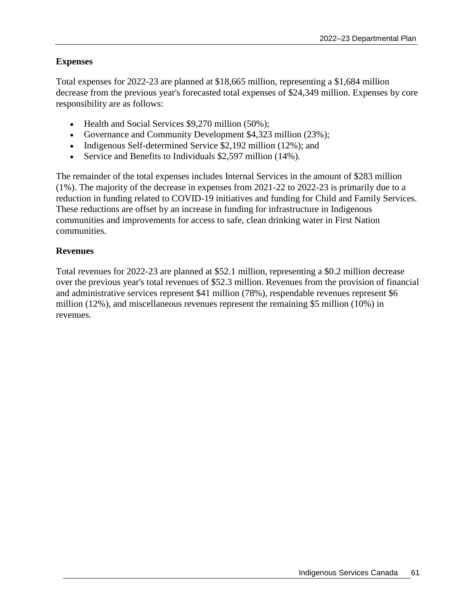## **Expenses**

Total expenses for 2022-23 are planned at \$18,665 million, representing a \$1,684 million decrease from the previous year's forecasted total expenses of \$24,349 million. Expenses by core responsibility are as follows:

- Health and Social Services \$9,270 million (50%);
- Governance and Community Development \$4,323 million (23%);
- Indigenous Self-determined Service  $$2,192$  million (12%); and
- Service and Benefits to Individuals \$2,597 million (14%).

The remainder of the total expenses includes Internal Services in the amount of \$283 million (1%). The majority of the decrease in expenses from 2021-22 to 2022-23 is primarily due to a reduction in funding related to COVID-19 initiatives and funding for Child and Family Services. These reductions are offset by an increase in funding for infrastructure in Indigenous communities and improvements for access to safe, clean drinking water in First Nation communities.

### **Revenues**

Total revenues for 2022-23 are planned at \$52.1 million, representing a \$0.2 million decrease over the previous year's total revenues of \$52.3 million. Revenues from the provision of financial and administrative services represent \$41 million (78%), respendable revenues represent \$6 million (12%), and miscellaneous revenues represent the remaining \$5 million (10%) in revenues.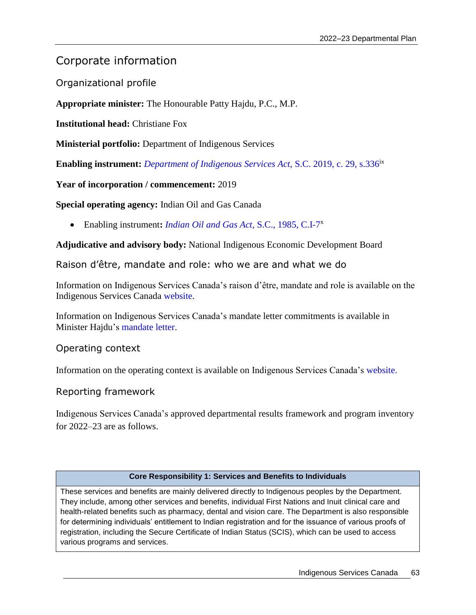## Corporate information

Organizational profile

**Appropriate minister:** The Honourable Patty Hajdu, P.C., M.P.

**Institutional head: Christiane Fox** 

**Ministerial portfolio:** Department of Indigenous Services

**Enabling instrument:** *[Department of Indigenous Services Act,](https://laws-lois.justice.gc.ca/eng/acts/I-7.88/index.html)* S.C. 2019, c. 29, s.336ix

**Year of incorporation / commencement:** 2019

**Special operating agency:** Indian Oil and Gas Canada

Enabling instrument**:** *[Indian Oil and Gas Act,](https://laws-lois.justice.gc.ca/eng/acts/i-7/)* S.C., 1985, C.I-7 x

**Adjudicative and advisory body:** National Indigenous Economic Development Board

Raison d'être, mandate and role: who we are and what we do

Information on Indigenous Services Canada's raison d'être, mandate and role is available on the Indigenous Services Canada [website.](https://www.sac-isc.gc.ca/eng/1539284416739/1539284508506)

Information on Indigenous Services Canada's mandate letter commitments is available in Minister Hajdu's [mandate letter.](https://pm.gc.ca/en/mandate-letters/2021/12/16/minister-indigenous-services-and-minister-responsible-federal-economic)

Operating context

Information on the operating context is available on Indigenous Services Canada's [website.](https://www.sac-isc.gc.ca/eng/1642090228525)

#### Reporting framework

Indigenous Services Canada's approved departmental results framework and program inventory for 2022–23 are as follows.

#### **Core Responsibility 1: Services and Benefits to Individuals**

These services and benefits are mainly delivered directly to Indigenous peoples by the Department. They include, among other services and benefits, individual First Nations and Inuit clinical care and health-related benefits such as pharmacy, dental and vision care. The Department is also responsible for determining individuals' entitlement to Indian registration and for the issuance of various proofs of registration, including the Secure Certificate of Indian Status (SCIS), which can be used to access various programs and services.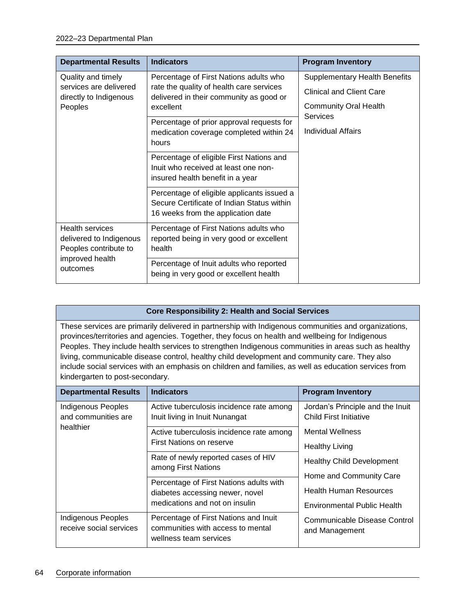| <b>Departmental Results</b>                                                     | <b>Indicators</b>                                                                   | <b>Program Inventory</b>             |
|---------------------------------------------------------------------------------|-------------------------------------------------------------------------------------|--------------------------------------|
| Quality and timely                                                              | Percentage of First Nations adults who                                              | <b>Supplementary Health Benefits</b> |
| services are delivered<br>directly to Indigenous                                | rate the quality of health care services<br>delivered in their community as good or | <b>Clinical and Client Care</b>      |
| Peoples                                                                         | excellent                                                                           | <b>Community Oral Health</b>         |
|                                                                                 | Percentage of prior approval requests for                                           | <b>Services</b>                      |
|                                                                                 | medication coverage completed within 24<br>hours                                    | <b>Individual Affairs</b>            |
|                                                                                 | Percentage of eligible First Nations and                                            |                                      |
|                                                                                 | Inuit who received at least one non-                                                |                                      |
|                                                                                 | insured health benefit in a year                                                    |                                      |
|                                                                                 | Percentage of eligible applicants issued a                                          |                                      |
|                                                                                 | Secure Certificate of Indian Status within<br>16 weeks from the application date    |                                      |
| <b>Health services</b>                                                          | Percentage of First Nations adults who                                              |                                      |
| delivered to Indigenous<br>Peoples contribute to<br>improved health<br>outcomes | reported being in very good or excellent                                            |                                      |
|                                                                                 | health                                                                              |                                      |
|                                                                                 | Percentage of Inuit adults who reported                                             |                                      |
|                                                                                 | being in very good or excellent health                                              |                                      |

#### **Core Responsibility 2: Health and Social Services**

These services are primarily delivered in partnership with Indigenous communities and organizations, provinces/territories and agencies. Together, they focus on health and wellbeing for Indigenous Peoples. They include health services to strengthen Indigenous communities in areas such as healthy living, communicable disease control, healthy child development and community care. They also include social services with an emphasis on children and families, as well as education services from kindergarten to post-secondary.

| <b>Departmental Results</b>                   | <b>Indicators</b>                                                                                    | <b>Program Inventory</b>                                   |
|-----------------------------------------------|------------------------------------------------------------------------------------------------------|------------------------------------------------------------|
| Indigenous Peoples<br>and communities are     | Active tuberculosis incidence rate among<br>Inuit living in Inuit Nunangat                           | Jordan's Principle and the Inuit<br>Child First Initiative |
| healthier                                     | Active tuberculosis incidence rate among                                                             | <b>Mental Wellness</b>                                     |
|                                               | First Nations on reserve                                                                             | <b>Healthy Living</b>                                      |
|                                               | Rate of newly reported cases of HIV<br>among First Nations                                           | <b>Healthy Child Development</b>                           |
|                                               |                                                                                                      | Home and Community Care                                    |
|                                               | Percentage of First Nations adults with<br>diabetes accessing newer, novel                           | <b>Health Human Resources</b>                              |
|                                               | medications and not on insulin                                                                       | <b>Environmental Public Health</b>                         |
| Indigenous Peoples<br>receive social services | Percentage of First Nations and Inuit<br>communities with access to mental<br>wellness team services | Communicable Disease Control<br>and Management             |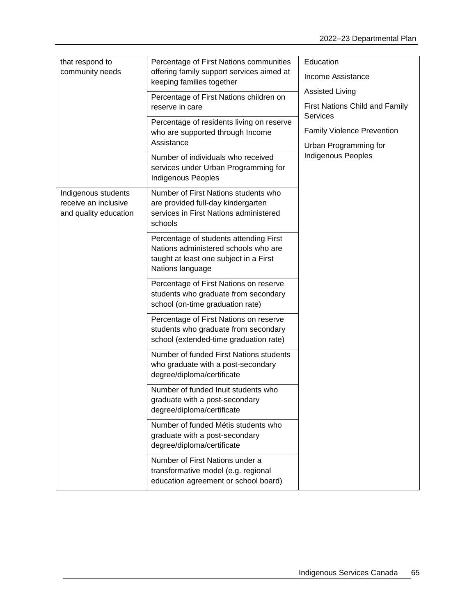| that respond to                                                      | Percentage of First Nations communities                                                                                                      | Education                                         |
|----------------------------------------------------------------------|----------------------------------------------------------------------------------------------------------------------------------------------|---------------------------------------------------|
| community needs                                                      | offering family support services aimed at<br>keeping families together                                                                       | Income Assistance                                 |
|                                                                      | Percentage of First Nations children on                                                                                                      | <b>Assisted Living</b>                            |
|                                                                      | reserve in care                                                                                                                              | First Nations Child and Family<br><b>Services</b> |
|                                                                      | Percentage of residents living on reserve                                                                                                    | <b>Family Violence Prevention</b>                 |
|                                                                      | who are supported through Income<br>Assistance                                                                                               | Urban Programming for                             |
|                                                                      | Number of individuals who received<br>services under Urban Programming for<br><b>Indigenous Peoples</b>                                      | <b>Indigenous Peoples</b>                         |
| Indigenous students<br>receive an inclusive<br>and quality education | Number of First Nations students who<br>are provided full-day kindergarten<br>services in First Nations administered<br>schools              |                                                   |
|                                                                      | Percentage of students attending First<br>Nations administered schools who are<br>taught at least one subject in a First<br>Nations language |                                                   |
|                                                                      | Percentage of First Nations on reserve<br>students who graduate from secondary<br>school (on-time graduation rate)                           |                                                   |
|                                                                      | Percentage of First Nations on reserve<br>students who graduate from secondary<br>school (extended-time graduation rate)                     |                                                   |
|                                                                      | Number of funded First Nations students<br>who graduate with a post-secondary<br>degree/diploma/certificate                                  |                                                   |
|                                                                      | Number of funded Inuit students who<br>graduate with a post-secondary<br>degree/diploma/certificate                                          |                                                   |
|                                                                      | Number of funded Métis students who<br>graduate with a post-secondary<br>degree/diploma/certificate                                          |                                                   |
|                                                                      | Number of First Nations under a<br>transformative model (e.g. regional<br>education agreement or school board)                               |                                                   |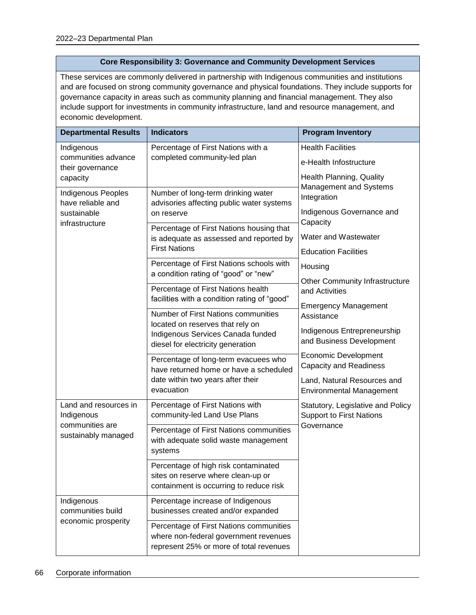#### **Core Responsibility 3: Governance and Community Development Services**

These services are commonly delivered in partnership with Indigenous communities and institutions and are focused on strong community governance and physical foundations. They include supports for governance capacity in areas such as community planning and financial management. They also include support for investments in community infrastructure, land and resource management, and economic development.

| <b>Departmental Results</b>                                              | <b>Indicators</b>                                                                                                                                                                    | <b>Program Inventory</b>                                                                               |
|--------------------------------------------------------------------------|--------------------------------------------------------------------------------------------------------------------------------------------------------------------------------------|--------------------------------------------------------------------------------------------------------|
| Indigenous<br>communities advance<br>their governance<br>capacity        | Percentage of First Nations with a<br>completed community-led plan                                                                                                                   | <b>Health Facilities</b><br>e-Health Infostructure<br>Health Planning, Quality                         |
| Indigenous Peoples<br>have reliable and<br>sustainable<br>infrastructure | Number of long-term drinking water<br>advisories affecting public water systems<br>on reserve<br>Percentage of First Nations housing that<br>is adequate as assessed and reported by | Management and Systems<br>Integration<br>Indigenous Governance and<br>Capacity<br>Water and Wastewater |
|                                                                          | <b>First Nations</b>                                                                                                                                                                 | <b>Education Facilities</b>                                                                            |
|                                                                          | Percentage of First Nations schools with<br>a condition rating of "good" or "new"                                                                                                    | Housing<br><b>Other Community Infrastructure</b>                                                       |
|                                                                          | Percentage of First Nations health<br>facilities with a condition rating of "good"                                                                                                   | and Activities                                                                                         |
|                                                                          | Number of First Nations communities                                                                                                                                                  | <b>Emergency Management</b><br>Assistance                                                              |
|                                                                          | located on reserves that rely on<br>Indigenous Services Canada funded<br>diesel for electricity generation                                                                           | Indigenous Entrepreneurship<br>and Business Development                                                |
|                                                                          | Percentage of long-term evacuees who<br>have returned home or have a scheduled                                                                                                       | <b>Economic Development</b><br><b>Capacity and Readiness</b>                                           |
|                                                                          | date within two years after their<br>evacuation                                                                                                                                      | Land, Natural Resources and<br><b>Environmental Management</b>                                         |
| Land and resources in<br>Indigenous                                      | Percentage of First Nations with<br>community-led Land Use Plans                                                                                                                     | Statutory, Legislative and Policy<br><b>Support to First Nations</b>                                   |
| communities are<br>sustainably managed                                   | Percentage of First Nations communities<br>with adequate solid waste management<br>systems                                                                                           | Governance                                                                                             |
|                                                                          | Percentage of high risk contaminated<br>sites on reserve where clean-up or<br>containment is occurring to reduce risk                                                                |                                                                                                        |
| Indigenous<br>communities build                                          | Percentage increase of Indigenous<br>businesses created and/or expanded                                                                                                              |                                                                                                        |
| economic prosperity                                                      | Percentage of First Nations communities<br>where non-federal government revenues<br>represent 25% or more of total revenues                                                          |                                                                                                        |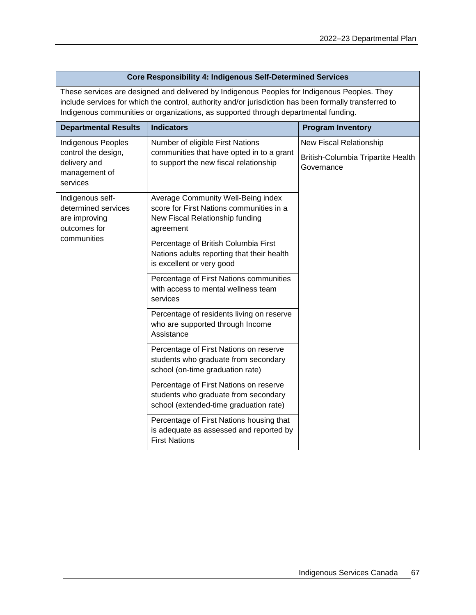| <b>Core Responsibility 4: Indigenous Self-Determined Services</b>                                                                                                                                                                                                                             |                                                                                                                                |                                                                             |  |
|-----------------------------------------------------------------------------------------------------------------------------------------------------------------------------------------------------------------------------------------------------------------------------------------------|--------------------------------------------------------------------------------------------------------------------------------|-----------------------------------------------------------------------------|--|
| These services are designed and delivered by Indigenous Peoples for Indigenous Peoples. They<br>include services for which the control, authority and/or jurisdiction has been formally transferred to<br>Indigenous communities or organizations, as supported through departmental funding. |                                                                                                                                |                                                                             |  |
| <b>Departmental Results</b>                                                                                                                                                                                                                                                                   | <b>Indicators</b>                                                                                                              | <b>Program Inventory</b>                                                    |  |
| Indigenous Peoples<br>control the design,<br>delivery and<br>management of<br>services                                                                                                                                                                                                        | Number of eligible First Nations<br>communities that have opted in to a grant<br>to support the new fiscal relationship        | New Fiscal Relationship<br>British-Columbia Tripartite Health<br>Governance |  |
| Indigenous self-<br>determined services<br>are improving<br>outcomes for                                                                                                                                                                                                                      | Average Community Well-Being index<br>score for First Nations communities in a<br>New Fiscal Relationship funding<br>agreement |                                                                             |  |
| communities                                                                                                                                                                                                                                                                                   | Percentage of British Columbia First<br>Nations adults reporting that their health<br>is excellent or very good                |                                                                             |  |
|                                                                                                                                                                                                                                                                                               | Percentage of First Nations communities<br>with access to mental wellness team<br>services                                     |                                                                             |  |
|                                                                                                                                                                                                                                                                                               | Percentage of residents living on reserve<br>who are supported through Income<br>Assistance                                    |                                                                             |  |
|                                                                                                                                                                                                                                                                                               | Percentage of First Nations on reserve<br>students who graduate from secondary<br>school (on-time graduation rate)             |                                                                             |  |
|                                                                                                                                                                                                                                                                                               | Percentage of First Nations on reserve<br>students who graduate from secondary<br>school (extended-time graduation rate)       |                                                                             |  |
|                                                                                                                                                                                                                                                                                               | Percentage of First Nations housing that<br>is adequate as assessed and reported by<br><b>First Nations</b>                    |                                                                             |  |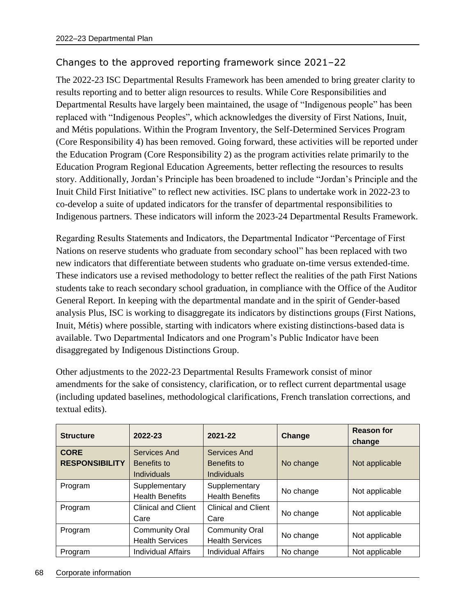## Changes to the approved reporting framework since 2021–22

The 2022-23 ISC Departmental Results Framework has been amended to bring greater clarity to results reporting and to better align resources to results. While Core Responsibilities and Departmental Results have largely been maintained, the usage of "Indigenous people" has been replaced with "Indigenous Peoples", which acknowledges the diversity of First Nations, Inuit, and Métis populations. Within the Program Inventory, the Self-Determined Services Program (Core Responsibility 4) has been removed. Going forward, these activities will be reported under the Education Program (Core Responsibility 2) as the program activities relate primarily to the Education Program Regional Education Agreements, better reflecting the resources to results story. Additionally, Jordan's Principle has been broadened to include "Jordan's Principle and the Inuit Child First Initiative" to reflect new activities. ISC plans to undertake work in 2022-23 to co-develop a suite of updated indicators for the transfer of departmental responsibilities to Indigenous partners. These indicators will inform the 2023-24 Departmental Results Framework.

Regarding Results Statements and Indicators, the Departmental Indicator "Percentage of First Nations on reserve students who graduate from secondary school" has been replaced with two new indicators that differentiate between students who graduate on-time versus extended-time. These indicators use a revised methodology to better reflect the realities of the path First Nations students take to reach secondary school graduation, in compliance with the Office of the Auditor General Report. In keeping with the departmental mandate and in the spirit of Gender-based analysis Plus, ISC is working to disaggregate its indicators by distinctions groups (First Nations, Inuit, Métis) where possible, starting with indicators where existing distinctions-based data is available. Two Departmental Indicators and one Program's Public Indicator have been disaggregated by Indigenous Distinctions Group.

Other adjustments to the 2022-23 Departmental Results Framework consist of minor amendments for the sake of consistency, clarification, or to reflect current departmental usage (including updated baselines, methodological clarifications, French translation corrections, and textual edits).

| <b>Structure</b>      | 2022-23                    | 2021-22                    | Change    | <b>Reason for</b><br>change |
|-----------------------|----------------------------|----------------------------|-----------|-----------------------------|
| <b>CORE</b>           | Services And               | Services And               |           |                             |
| <b>RESPONSIBILITY</b> | Benefits to                | Benefits to                | No change | Not applicable              |
|                       | <b>Individuals</b>         | Individuals                |           |                             |
| Program               | Supplementary              | Supplementary              |           |                             |
|                       | <b>Health Benefits</b>     | <b>Health Benefits</b>     | No change | Not applicable              |
| Program               | <b>Clinical and Client</b> | <b>Clinical and Client</b> |           |                             |
|                       | Care                       | Care                       | No change | Not applicable              |
| Program               | <b>Community Oral</b>      | <b>Community Oral</b>      |           |                             |
|                       | <b>Health Services</b>     | <b>Health Services</b>     | No change | Not applicable              |
| Program               | <b>Individual Affairs</b>  | Individual Affairs         | No change | Not applicable              |

#### 68 Corporate information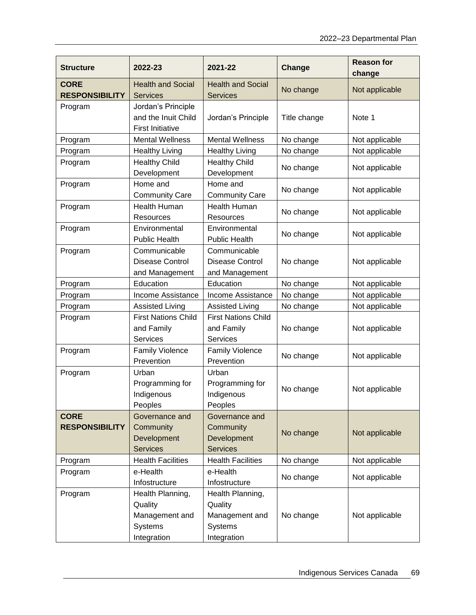| <b>Structure</b>                     | 2022-23                                                                 | 2021-22                                                                 | Change       | <b>Reason for</b><br>change |
|--------------------------------------|-------------------------------------------------------------------------|-------------------------------------------------------------------------|--------------|-----------------------------|
| <b>CORE</b><br><b>RESPONSIBILITY</b> | <b>Health and Social</b><br><b>Services</b>                             | <b>Health and Social</b><br><b>Services</b>                             | No change    | Not applicable              |
| Program                              | Jordan's Principle<br>and the Inuit Child<br><b>First Initiative</b>    | Jordan's Principle                                                      | Title change | Note 1                      |
| Program                              | <b>Mental Wellness</b>                                                  | <b>Mental Wellness</b>                                                  | No change    | Not applicable              |
| Program                              | <b>Healthy Living</b>                                                   | <b>Healthy Living</b>                                                   | No change    | Not applicable              |
| Program                              | <b>Healthy Child</b><br>Development                                     | <b>Healthy Child</b><br>Development                                     | No change    | Not applicable              |
| Program                              | Home and<br><b>Community Care</b>                                       | Home and<br><b>Community Care</b>                                       | No change    | Not applicable              |
| Program                              | <b>Health Human</b><br>Resources                                        | Health Human<br>Resources                                               | No change    | Not applicable              |
| Program                              | Environmental<br><b>Public Health</b>                                   | Environmental<br><b>Public Health</b>                                   | No change    | Not applicable              |
| Program                              | Communicable<br><b>Disease Control</b><br>and Management                | Communicable<br><b>Disease Control</b><br>and Management                | No change    | Not applicable              |
| Program                              | Education                                                               | Education                                                               | No change    | Not applicable              |
| Program                              | Income Assistance                                                       | Income Assistance                                                       | No change    | Not applicable              |
| Program                              | <b>Assisted Living</b>                                                  | <b>Assisted Living</b>                                                  | No change    | Not applicable              |
| Program                              | <b>First Nations Child</b><br>and Family<br>Services                    | <b>First Nations Child</b><br>and Family<br><b>Services</b>             | No change    | Not applicable              |
| Program                              | <b>Family Violence</b><br>Prevention                                    | <b>Family Violence</b><br>Prevention                                    | No change    | Not applicable              |
| Program                              | Urban<br>Programming for<br>Indigenous<br>Peoples                       | Urban<br>Programming for<br>Indigenous<br>Peoples                       | No change    | Not applicable              |
| <b>CORE</b><br><b>RESPONSIBILITY</b> | Governance and<br>Community<br>Development<br><b>Services</b>           | Governance and<br>Community<br>Development<br><b>Services</b>           | No change    | Not applicable              |
| Program                              | <b>Health Facilities</b>                                                | <b>Health Facilities</b>                                                | No change    | Not applicable              |
| Program                              | e-Health<br>Infostructure                                               | e-Health<br>Infostructure                                               | No change    | Not applicable              |
| Program                              | Health Planning,<br>Quality<br>Management and<br>Systems<br>Integration | Health Planning,<br>Quality<br>Management and<br>Systems<br>Integration | No change    | Not applicable              |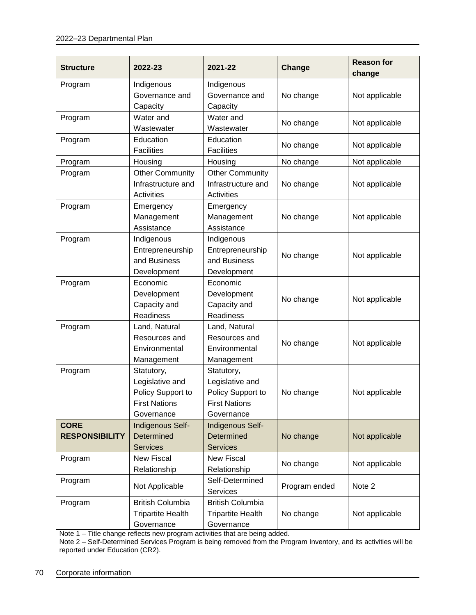| <b>Structure</b>                     | 2022-23                                                                                  | 2021-22                                                                                  | <b>Change</b> | <b>Reason for</b><br>change |
|--------------------------------------|------------------------------------------------------------------------------------------|------------------------------------------------------------------------------------------|---------------|-----------------------------|
| Program                              | Indigenous<br>Governance and<br>Capacity                                                 | Indigenous<br>Governance and<br>Capacity                                                 | No change     | Not applicable              |
| Program                              | Water and<br>Wastewater                                                                  | Water and<br>Wastewater                                                                  | No change     | Not applicable              |
| Program                              | Education<br><b>Facilities</b>                                                           | Education<br><b>Facilities</b>                                                           | No change     | Not applicable              |
| Program                              | Housing                                                                                  | Housing                                                                                  | No change     | Not applicable              |
| Program                              | <b>Other Community</b><br>Infrastructure and<br><b>Activities</b>                        | <b>Other Community</b><br>Infrastructure and<br>Activities                               | No change     | Not applicable              |
| Program                              | Emergency<br>Management<br>Assistance                                                    | Emergency<br>Management<br>Assistance                                                    | No change     | Not applicable              |
| Program                              | Indigenous<br>Entrepreneurship<br>and Business<br>Development                            | Indigenous<br>Entrepreneurship<br>and Business<br>Development                            | No change     | Not applicable              |
| Program                              | Economic<br>Development<br>Capacity and<br>Readiness                                     | Economic<br>Development<br>Capacity and<br>Readiness                                     | No change     | Not applicable              |
| Program                              | Land, Natural<br>Resources and<br>Environmental<br>Management                            | Land, Natural<br>Resources and<br>Environmental<br>Management                            | No change     | Not applicable              |
| Program                              | Statutory,<br>Legislative and<br>Policy Support to<br><b>First Nations</b><br>Governance | Statutory,<br>Legislative and<br>Policy Support to<br><b>First Nations</b><br>Governance | No change     | Not applicable              |
| <b>CORE</b><br><b>RESPONSIBILITY</b> | Indigenous Self-<br>Determined<br><b>Services</b>                                        | Indigenous Self-<br>Determined<br><b>Services</b>                                        | No change     | Not applicable              |
| Program                              | <b>New Fiscal</b><br>Relationship                                                        | <b>New Fiscal</b><br>Relationship                                                        | No change     | Not applicable              |
| Program                              | Not Applicable                                                                           | Self-Determined<br><b>Services</b>                                                       | Program ended | Note 2                      |
| Program                              | <b>British Columbia</b><br><b>Tripartite Health</b><br>Governance                        | <b>British Columbia</b><br><b>Tripartite Health</b><br>Governance                        | No change     | Not applicable              |

Note 1 – Title change reflects new program activities that are being added.

Note 2 – Self-Determined Services Program is being removed from the Program Inventory, and its activities will be reported under Education (CR2).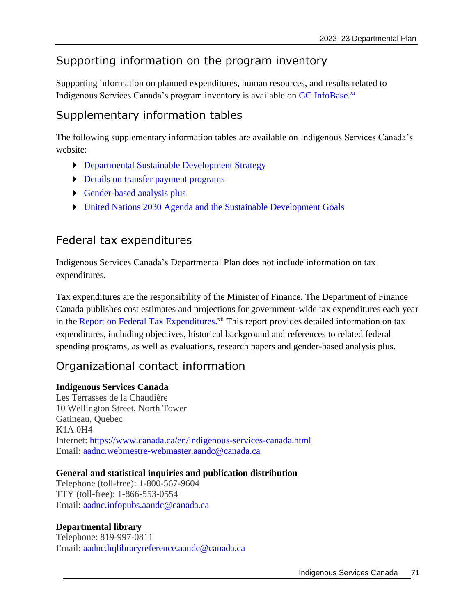# Supporting information on the program inventory

Supporting information on planned expenditures, human resources, and results related to Indigenous Services Canada's program inventory is available on [GC InfoBase.](https://www.tbs-sct.gc.ca/ems-sgd/edb-bdd/index-eng.html#infographic/dept/348/intro)<sup>xi</sup>

# Supplementary information tables

The following supplementary information tables are available on Indigenous Services Canada's website:

- [Departmental Sustainable Development Strategy](https://www.sac-isc.gc.ca/eng/1599595545458/1599595573698)
- **[Details on transfer payment programs](https://www.sac-isc.gc.ca/eng/1642089540833)**
- [Gender-based analysis plus](https://www.sac-isc.gc.ca/eng/1642088993003)
- [United Nations 2030 Agenda and the Sustainable Development Goals](https://www.sac-isc.gc.ca/eng/1642088506205)

## Federal tax expenditures

Indigenous Services Canada's Departmental Plan does not include information on tax expenditures.

Tax expenditures are the responsibility of the Minister of Finance. The Department of Finance Canada publishes cost estimates and projections for government-wide tax expenditures each year in the [Report on Federal Tax Expenditures.](https://www.canada.ca/en/department-finance/services/publications/federal-tax-expenditures.html)<sup>xii</sup> This report provides detailed information on tax expenditures, including objectives, historical background and references to related federal spending programs, as well as evaluations, research papers and gender-based analysis plus.

# Organizational contact information

## **Indigenous Services Canada**

Les Terrasses de la Chaudière 10 Wellington Street, North Tower Gatineau, Quebec K1A 0H4 Internet: <https://www.canada.ca/en/indigenous-services-canada.html> Email: [aadnc.webmestre-webmaster.aandc@canada.ca](mailto:aadnc.webmestre-webmaster.aandc@canada.ca)

#### **General and statistical inquiries and publication distribution**

Telephone (toll-free): 1-800-567-9604 TTY (toll-free): 1-866-553-0554 Email: [aadnc.infopubs.aandc@canada.ca](mailto:aadnc.infopubs.aandc@canada.ca)

#### **Departmental library**

Telephone: 819-997-0811 Email: [aadnc.hqlibraryreference.aandc@canada.ca](mailto:aadnc.hqlibraryreference.aandc@canada.ca)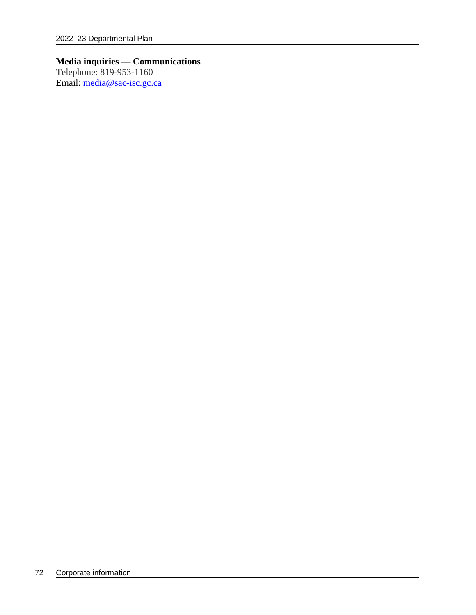## **Media inquiries — Communications**

Telephone: 819-953-1160 Email: [media@sac-isc.gc.ca](mailto:media@sac-isc.gc.ca)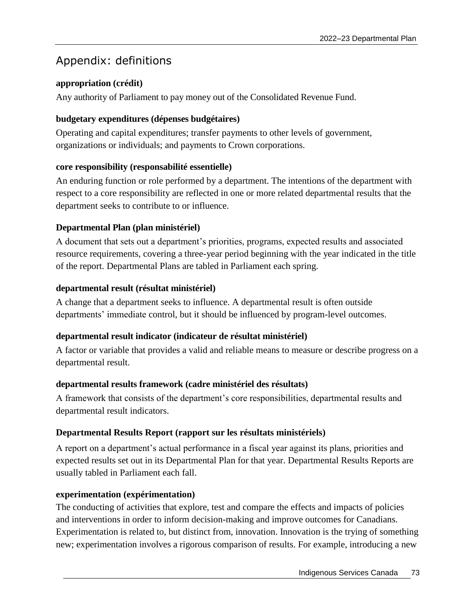# Appendix: definitions

## **appropriation (crédit)**

Any authority of Parliament to pay money out of the Consolidated Revenue Fund.

## **budgetary expenditures (dépenses budgétaires)**

Operating and capital expenditures; transfer payments to other levels of government, organizations or individuals; and payments to Crown corporations.

## **core responsibility (responsabilité essentielle)**

An enduring function or role performed by a department. The intentions of the department with respect to a core responsibility are reflected in one or more related departmental results that the department seeks to contribute to or influence.

## **Departmental Plan (plan ministériel)**

A document that sets out a department's priorities, programs, expected results and associated resource requirements, covering a three-year period beginning with the year indicated in the title of the report. Departmental Plans are tabled in Parliament each spring.

## **departmental result (résultat ministériel)**

A change that a department seeks to influence. A departmental result is often outside departments' immediate control, but it should be influenced by program-level outcomes.

## **departmental result indicator (indicateur de résultat ministériel)**

A factor or variable that provides a valid and reliable means to measure or describe progress on a departmental result.

## **departmental results framework (cadre ministériel des résultats)**

A framework that consists of the department's core responsibilities, departmental results and departmental result indicators.

## **Departmental Results Report (rapport sur les résultats ministériels)**

A report on a department's actual performance in a fiscal year against its plans, priorities and expected results set out in its Departmental Plan for that year. Departmental Results Reports are usually tabled in Parliament each fall.

## **experimentation (expérimentation)**

The conducting of activities that explore, test and compare the effects and impacts of policies and interventions in order to inform decision-making and improve outcomes for Canadians. Experimentation is related to, but distinct from, innovation. Innovation is the trying of something new; experimentation involves a rigorous comparison of results. For example, introducing a new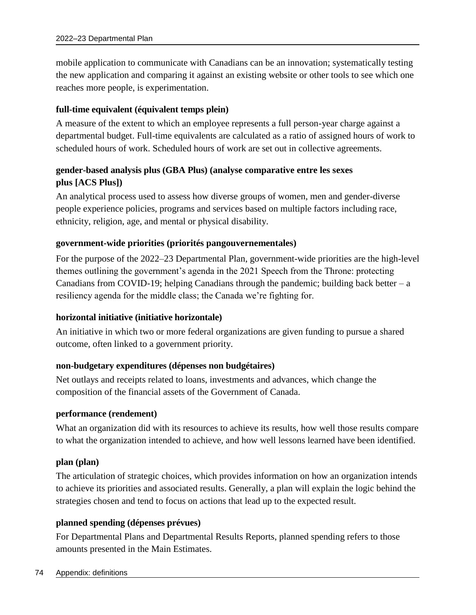mobile application to communicate with Canadians can be an innovation; systematically testing the new application and comparing it against an existing website or other tools to see which one reaches more people, is experimentation.

#### **full-time equivalent (équivalent temps plein)**

A measure of the extent to which an employee represents a full person-year charge against a departmental budget. Full-time equivalents are calculated as a ratio of assigned hours of work to scheduled hours of work. Scheduled hours of work are set out in collective agreements.

### **gender-based analysis plus (GBA Plus) (analyse comparative entre les sexes plus [ACS Plus])**

An analytical process used to assess how diverse groups of women, men and gender-diverse people experience policies, programs and services based on multiple factors including race, ethnicity, religion, age, and mental or physical disability.

#### **government-wide priorities (priorités pangouvernementales)**

For the purpose of the 2022–23 Departmental Plan, government-wide priorities are the high-level themes outlining the government's agenda in the 2021 Speech from the Throne: protecting Canadians from COVID-19; helping Canadians through the pandemic; building back better  $-a$ resiliency agenda for the middle class; the Canada we're fighting for.

#### **horizontal initiative (initiative horizontale)**

An initiative in which two or more federal organizations are given funding to pursue a shared outcome, often linked to a government priority.

#### **non-budgetary expenditures (dépenses non budgétaires)**

Net outlays and receipts related to loans, investments and advances, which change the composition of the financial assets of the Government of Canada.

#### **performance (rendement)**

What an organization did with its resources to achieve its results, how well those results compare to what the organization intended to achieve, and how well lessons learned have been identified.

#### **plan (plan)**

The articulation of strategic choices, which provides information on how an organization intends to achieve its priorities and associated results. Generally, a plan will explain the logic behind the strategies chosen and tend to focus on actions that lead up to the expected result.

#### **planned spending (dépenses prévues)**

For Departmental Plans and Departmental Results Reports, planned spending refers to those amounts presented in the Main Estimates.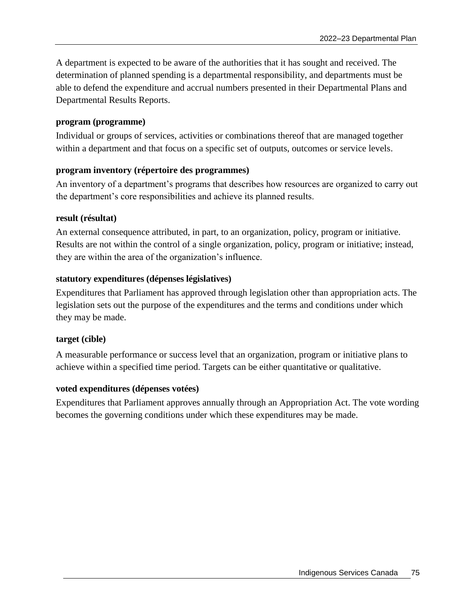A department is expected to be aware of the authorities that it has sought and received. The determination of planned spending is a departmental responsibility, and departments must be able to defend the expenditure and accrual numbers presented in their Departmental Plans and Departmental Results Reports.

#### **program (programme)**

Individual or groups of services, activities or combinations thereof that are managed together within a department and that focus on a specific set of outputs, outcomes or service levels.

#### **program inventory (répertoire des programmes)**

An inventory of a department's programs that describes how resources are organized to carry out the department's core responsibilities and achieve its planned results.

#### **result (résultat)**

An external consequence attributed, in part, to an organization, policy, program or initiative. Results are not within the control of a single organization, policy, program or initiative; instead, they are within the area of the organization's influence.

#### **statutory expenditures (dépenses législatives)**

Expenditures that Parliament has approved through legislation other than appropriation acts. The legislation sets out the purpose of the expenditures and the terms and conditions under which they may be made.

#### **target (cible)**

A measurable performance or success level that an organization, program or initiative plans to achieve within a specified time period. Targets can be either quantitative or qualitative.

#### **voted expenditures (dépenses votées)**

Expenditures that Parliament approves annually through an Appropriation Act. The vote wording becomes the governing conditions under which these expenditures may be made.